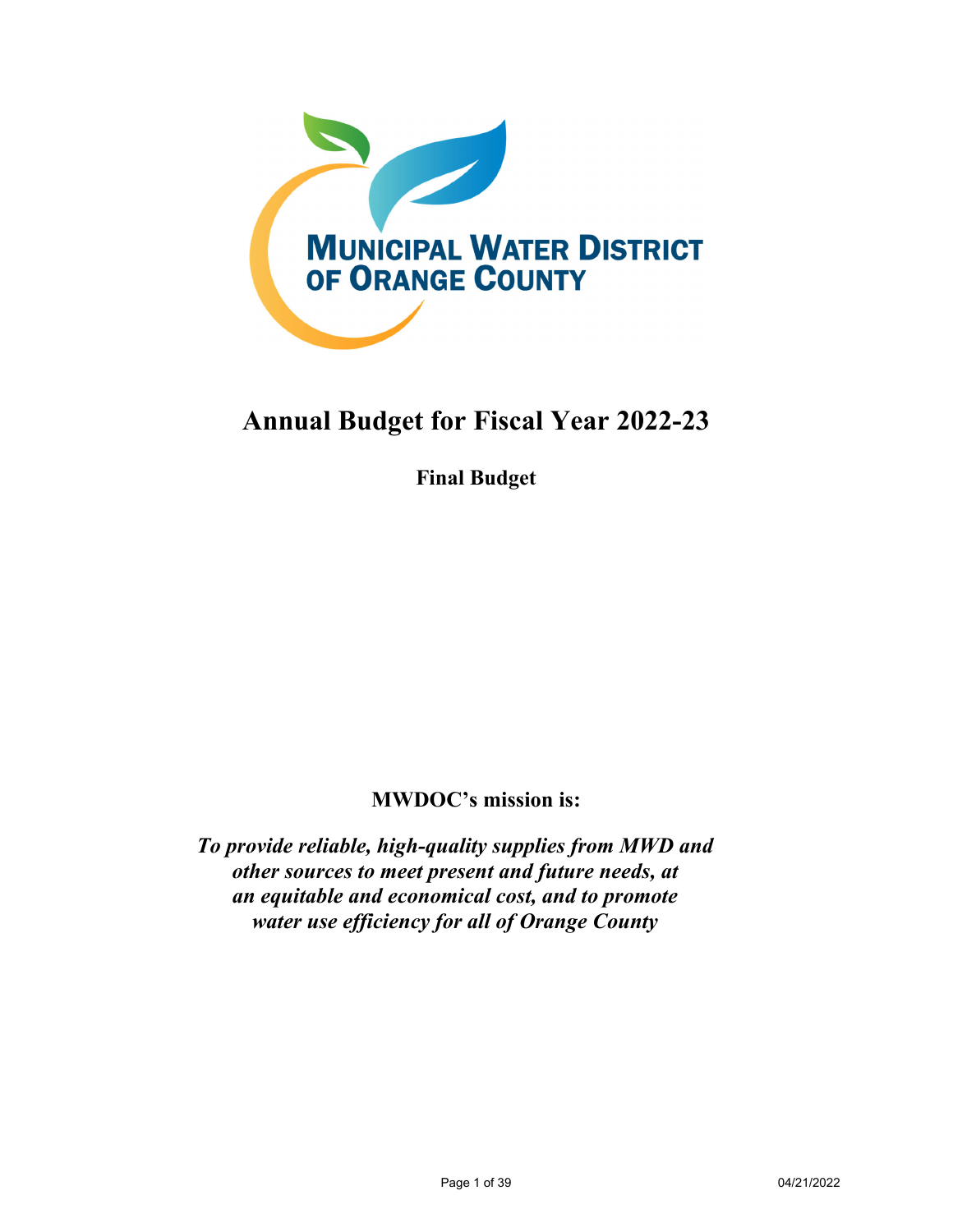

# **Annual Budget for Fiscal Year 2022-23**

**Final Budget** 

# **MWDOC's mission is:**

*To provide reliable, high-quality supplies from MWD and other sources to meet present and future needs, at an equitable and economical cost, and to promote water use efficiency for all of Orange County*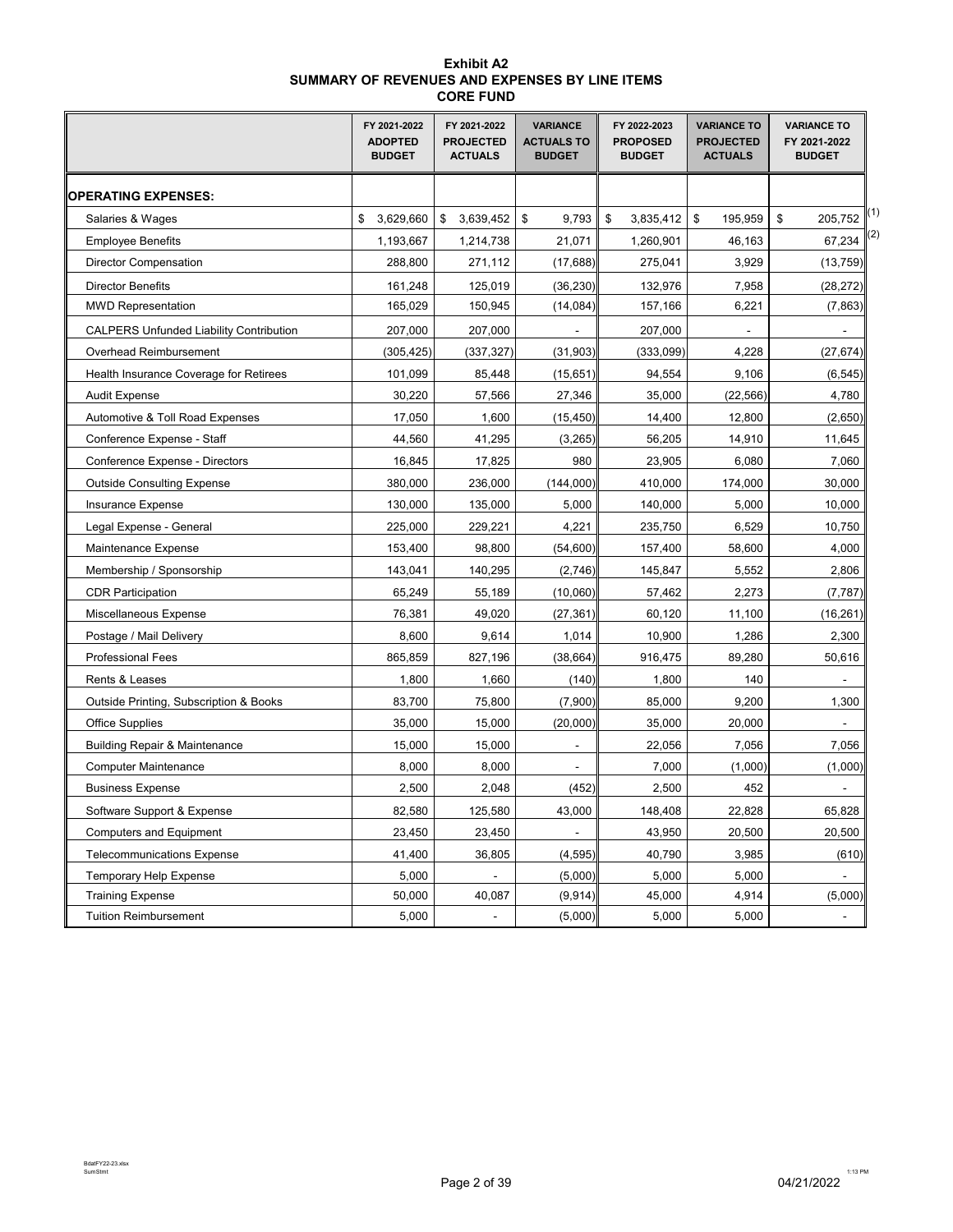#### **Exhibit A2 SUMMARY OF REVENUES AND EXPENSES BY LINE ITEMS CORE FUND**

|                                                | FY 2021-2022<br><b>ADOPTED</b><br><b>BUDGET</b> | FY 2021-2022<br><b>PROJECTED</b><br><b>ACTUALS</b> | <b>VARIANCE</b><br><b>ACTUALS TO</b><br><b>BUDGET</b> | FY 2022-2023<br><b>PROPOSED</b><br><b>BUDGET</b> | <b>VARIANCE TO</b><br><b>PROJECTED</b><br><b>ACTUALS</b> | <b>VARIANCE TO</b><br>FY 2021-2022<br><b>BUDGET</b> |
|------------------------------------------------|-------------------------------------------------|----------------------------------------------------|-------------------------------------------------------|--------------------------------------------------|----------------------------------------------------------|-----------------------------------------------------|
| <b>OPERATING EXPENSES:</b>                     |                                                 |                                                    |                                                       |                                                  |                                                          |                                                     |
| Salaries & Wages                               | \$<br>3,629,660                                 | \$<br>3,639,452                                    | \$<br>9,793                                           | \$<br>3,835,412                                  | \$<br>195,959                                            | (1)<br>\$<br>205,752                                |
| <b>Employee Benefits</b>                       | 1,193,667                                       | 1,214,738                                          | 21,071                                                | 1,260,901                                        | 46,163                                                   | 67,234                                              |
| <b>Director Compensation</b>                   | 288,800                                         | 271,112                                            | (17, 688)                                             | 275,041                                          | 3,929                                                    | (13, 759)                                           |
| <b>Director Benefits</b>                       | 161,248                                         | 125.019                                            | (36, 230)                                             | 132,976                                          | 7,958                                                    | (28, 272)                                           |
| <b>MWD Representation</b>                      | 165,029                                         | 150,945                                            | (14, 084)                                             | 157,166                                          | 6,221                                                    | (7, 863)                                            |
| <b>CALPERS Unfunded Liability Contribution</b> | 207,000                                         | 207,000                                            |                                                       | 207,000                                          |                                                          |                                                     |
| Overhead Reimbursement                         | (305,425)                                       | (337, 327)                                         | (31, 903)                                             | (333,099)                                        | 4,228                                                    | (27, 674)                                           |
| Health Insurance Coverage for Retirees         | 101,099                                         | 85,448                                             | (15, 651)                                             | 94,554                                           | 9,106                                                    | (6, 545)                                            |
| <b>Audit Expense</b>                           | 30,220                                          | 57,566                                             | 27,346                                                | 35,000                                           | (22, 566)                                                | 4,780                                               |
| Automotive & Toll Road Expenses                | 17,050                                          | 1,600                                              | (15, 450)                                             | 14,400                                           | 12,800                                                   | (2,650)                                             |
| Conference Expense - Staff                     | 44,560                                          | 41,295                                             | (3,265)                                               | 56,205                                           | 14,910                                                   | 11,645                                              |
| Conference Expense - Directors                 | 16,845                                          | 17,825                                             | 980                                                   | 23,905                                           | 6,080                                                    | 7,060                                               |
| <b>Outside Consulting Expense</b>              | 380,000                                         | 236,000                                            | (144,000)                                             | 410,000                                          | 174,000                                                  | 30,000                                              |
| Insurance Expense                              | 130,000                                         | 135,000                                            | 5,000                                                 | 140,000                                          | 5,000                                                    | 10,000                                              |
| Legal Expense - General                        | 225,000                                         | 229,221                                            | 4,221                                                 | 235,750                                          | 6,529                                                    | 10,750                                              |
| Maintenance Expense                            | 153,400                                         | 98,800                                             | (54, 600)                                             | 157,400                                          | 58,600                                                   | 4,000                                               |
| Membership / Sponsorship                       | 143,041                                         | 140,295                                            | (2,746)                                               | 145,847                                          | 5,552                                                    | 2,806                                               |
| <b>CDR Participation</b>                       | 65,249                                          | 55,189                                             | (10,060)                                              | 57,462                                           | 2,273                                                    | (7, 787)                                            |
| Miscellaneous Expense                          | 76,381                                          | 49,020                                             | (27, 361)                                             | 60,120                                           | 11,100                                                   | (16, 261)                                           |
| Postage / Mail Delivery                        | 8,600                                           | 9,614                                              | 1,014                                                 | 10,900                                           | 1,286                                                    | 2,300                                               |
| <b>Professional Fees</b>                       | 865,859                                         | 827,196                                            | (38, 664)                                             | 916,475                                          | 89,280                                                   | 50,616                                              |
| Rents & Leases                                 | 1,800                                           | 1,660                                              | (140)                                                 | 1,800                                            | 140                                                      |                                                     |
| Outside Printing, Subscription & Books         | 83,700                                          | 75,800                                             | (7,900)                                               | 85,000                                           | 9,200                                                    | 1,300                                               |
| <b>Office Supplies</b>                         | 35,000                                          | 15,000                                             | (20,000)                                              | 35,000                                           | 20,000                                                   |                                                     |
| <b>Building Repair &amp; Maintenance</b>       | 15,000                                          | 15,000                                             |                                                       | 22,056                                           | 7,056                                                    | 7,056                                               |
| <b>Computer Maintenance</b>                    | 8,000                                           | 8,000                                              | $\blacksquare$                                        | 7,000                                            | (1,000)                                                  | (1,000)                                             |
| <b>Business Expense</b>                        | 2,500                                           | 2,048                                              | (452)                                                 | 2,500                                            | 452                                                      |                                                     |
| Software Support & Expense                     | 82,580                                          | 125,580                                            | 43,000                                                | 148,408                                          | 22,828                                                   | 65,828                                              |
| <b>Computers and Equipment</b>                 | 23,450                                          | 23,450                                             |                                                       | 43,950                                           | 20,500                                                   | 20,500                                              |
| <b>Telecommunications Expense</b>              | 41,400                                          | 36,805                                             | (4, 595)                                              | 40,790                                           | 3,985                                                    | (610)                                               |
| <b>Temporary Help Expense</b>                  | 5,000                                           |                                                    | (5,000)                                               | 5,000                                            | 5,000                                                    |                                                     |
| <b>Training Expense</b>                        | 50,000                                          | 40,087                                             | (9,914)                                               | 45,000                                           | 4,914                                                    | (5,000)                                             |
| <b>Tuition Reimbursement</b>                   | 5,000                                           | ÷,                                                 | (5,000)                                               | 5,000                                            | 5,000                                                    | $\blacksquare$                                      |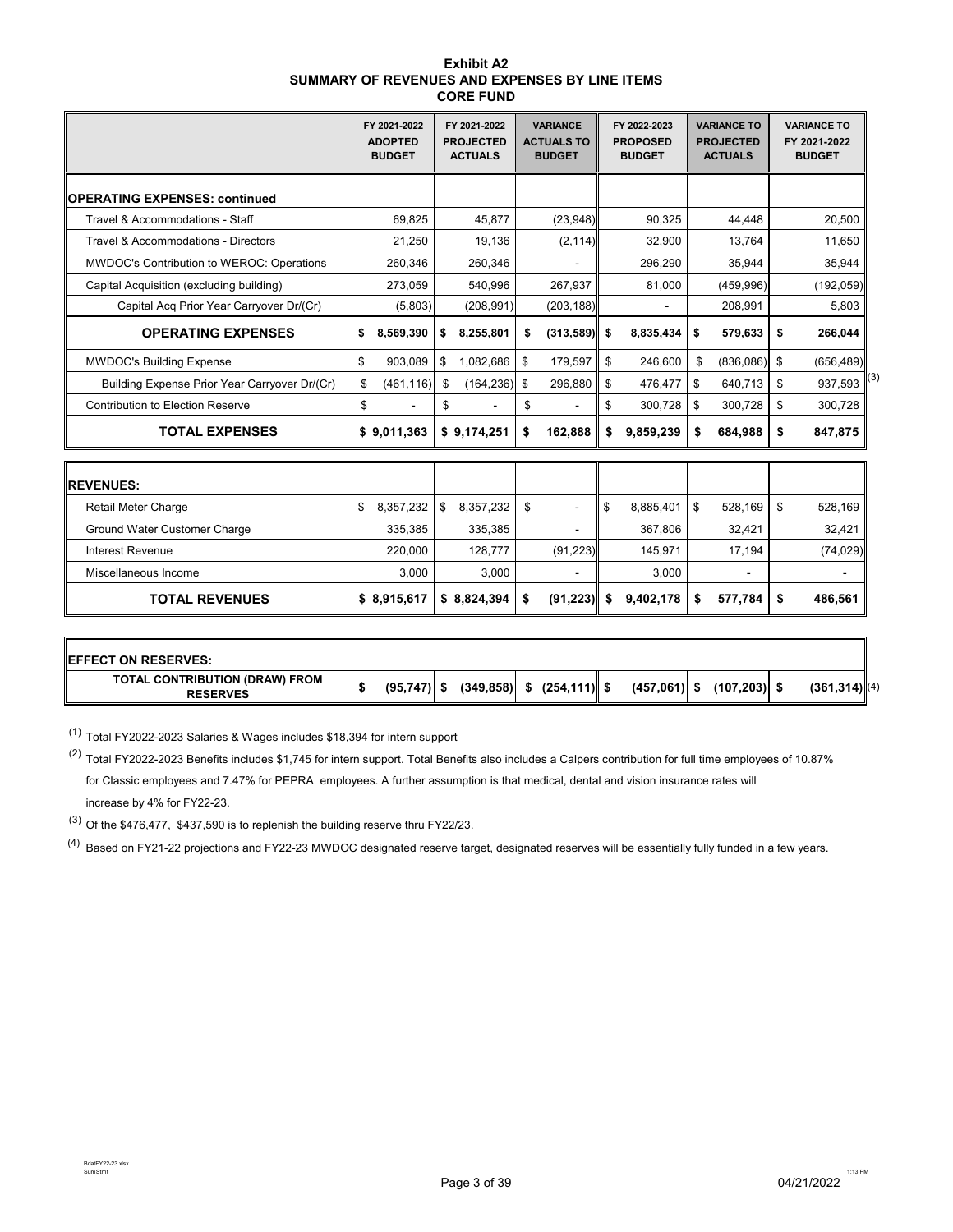| <b>Exhibit A2</b>                              |
|------------------------------------------------|
| SUMMARY OF REVENUES AND EXPENSES BY LINE ITEMS |
| <b>CORE FUND</b>                               |

|                                               | FY 2021-2022<br><b>ADOPTED</b><br><b>BUDGET</b> | FY 2021-2022<br><b>PROJECTED</b><br><b>ACTUALS</b> | <b>VARIANCE</b><br><b>ACTUALS TO</b><br><b>BUDGET</b> | FY 2022-2023<br><b>PROPOSED</b><br><b>BUDGET</b> |    | <b>VARIANCE TO</b><br><b>PROJECTED</b><br><b>ACTUALS</b> | <b>VARIANCE TO</b><br>FY 2021-2022<br><b>BUDGET</b> |
|-----------------------------------------------|-------------------------------------------------|----------------------------------------------------|-------------------------------------------------------|--------------------------------------------------|----|----------------------------------------------------------|-----------------------------------------------------|
| <b>IOPERATING EXPENSES: continued</b>         |                                                 |                                                    |                                                       |                                                  |    |                                                          |                                                     |
| Travel & Accommodations - Staff               | 69.825                                          | 45.877                                             | (23, 948)                                             | 90.325                                           |    | 44.448                                                   | 20.500                                              |
| Travel & Accommodations - Directors           | 21,250                                          | 19,136                                             | (2, 114)                                              | 32,900                                           |    | 13,764                                                   | 11,650                                              |
| MWDOC's Contribution to WEROC: Operations     | 260,346                                         | 260,346                                            |                                                       | 296,290                                          |    | 35.944                                                   | 35.944                                              |
| Capital Acquisition (excluding building)      | 273,059                                         | 540.996                                            | 267,937                                               | 81,000                                           |    | (459, 996)                                               | (192, 059)                                          |
| Capital Acq Prior Year Carryover Dr/(Cr)      | (5,803)                                         | (208, 991)                                         | (203, 188)                                            |                                                  |    | 208,991                                                  | 5,803                                               |
| <b>OPERATING EXPENSES</b>                     | \$<br>8,569,390                                 | \$<br>8,255,801                                    | \$<br>(313,589)                                       | \$<br>8,835,434                                  | \$ | 579,633                                                  | \$<br>266,044                                       |
| <b>MWDOC's Building Expense</b>               | \$<br>903,089                                   | \$<br>1,082,686                                    | \$<br>179,597                                         | \$<br>246,600                                    | \$ | (836,086)                                                | \$<br>(656, 489)                                    |
| Building Expense Prior Year Carryover Dr/(Cr) | \$<br>(461, 116)                                | \$<br>(164, 236)                                   | \$<br>296,880                                         | \$<br>476,477                                    | \$ | 640,713                                                  | \$<br>(3)<br>937,593                                |
| <b>Contribution to Election Reserve</b>       | \$                                              | \$                                                 | \$                                                    | \$<br>300.728                                    | \$ | 300.728                                                  | \$<br>300.728                                       |
| <b>TOTAL EXPENSES</b>                         | \$9,011,363                                     | \$9,174,251                                        | \$<br>162,888                                         | \$<br>9,859,239                                  | \$ | 684,988                                                  | \$<br>847,875                                       |
| <b>REVENUES:</b>                              |                                                 |                                                    |                                                       |                                                  |    |                                                          |                                                     |
| <b>Retail Meter Charge</b>                    | \$<br>8,357,232                                 | \$<br>8,357,232                                    | \$<br>$\blacksquare$                                  | \$<br>8,885,401                                  | \$ | 528,169                                                  | \$<br>528,169                                       |
| Ground Water Customer Charge                  | 335,385                                         | 335,385                                            |                                                       | 367,806                                          |    | 32.421                                                   | 32,421                                              |
| <b>Interest Revenue</b>                       | 220,000                                         | 128.777                                            | (91, 223)                                             | 145,971                                          |    | 17,194                                                   | (74, 029)                                           |
| Miscellaneous Income                          | 3,000                                           | 3,000                                              |                                                       | 3,000                                            |    |                                                          |                                                     |
| <b>TOTAL REVENUES</b>                         | \$8,915,617                                     | \$8,824,394                                        | \$<br>(91, 223)                                       | \$<br>9.402.178                                  | S  | 577,784                                                  | \$<br>486.561                                       |

| <b>IEFFECT ON RESERVES:</b>                       |               |  |                               |                |                 |                  |
|---------------------------------------------------|---------------|--|-------------------------------|----------------|-----------------|------------------|
| TOTAL CONTRIBUTION (DRAW) FROM<br><b>RESERVES</b> | $(95,747)$ \$ |  | $(349,858)$ \$ $(254,111)$ \$ | $(457,061)$ \$ | $(107, 203)$ \$ | $(361, 314)$ (4) |

 $(1)$  Total FY2022-2023 Salaries & Wages includes \$18,394 for intern support

(2) Total FY2022-2023 Benefits includes \$1,745 for intern support. Total Benefits also includes a Calpers contribution for full time employees of 10.87% for Classic employees and 7.47% for PEPRA employees. A further assumption is that medical, dental and vision insurance rates will increase by 4% for FY22-23.

(3) Of the \$476,477, \$437,590 is to replenish the building reserve thru FY22/23.

 $(4)$  Based on FY21-22 projections and FY22-23 MWDOC designated reserve target, designated reserves will be essentially fully funded in a few years.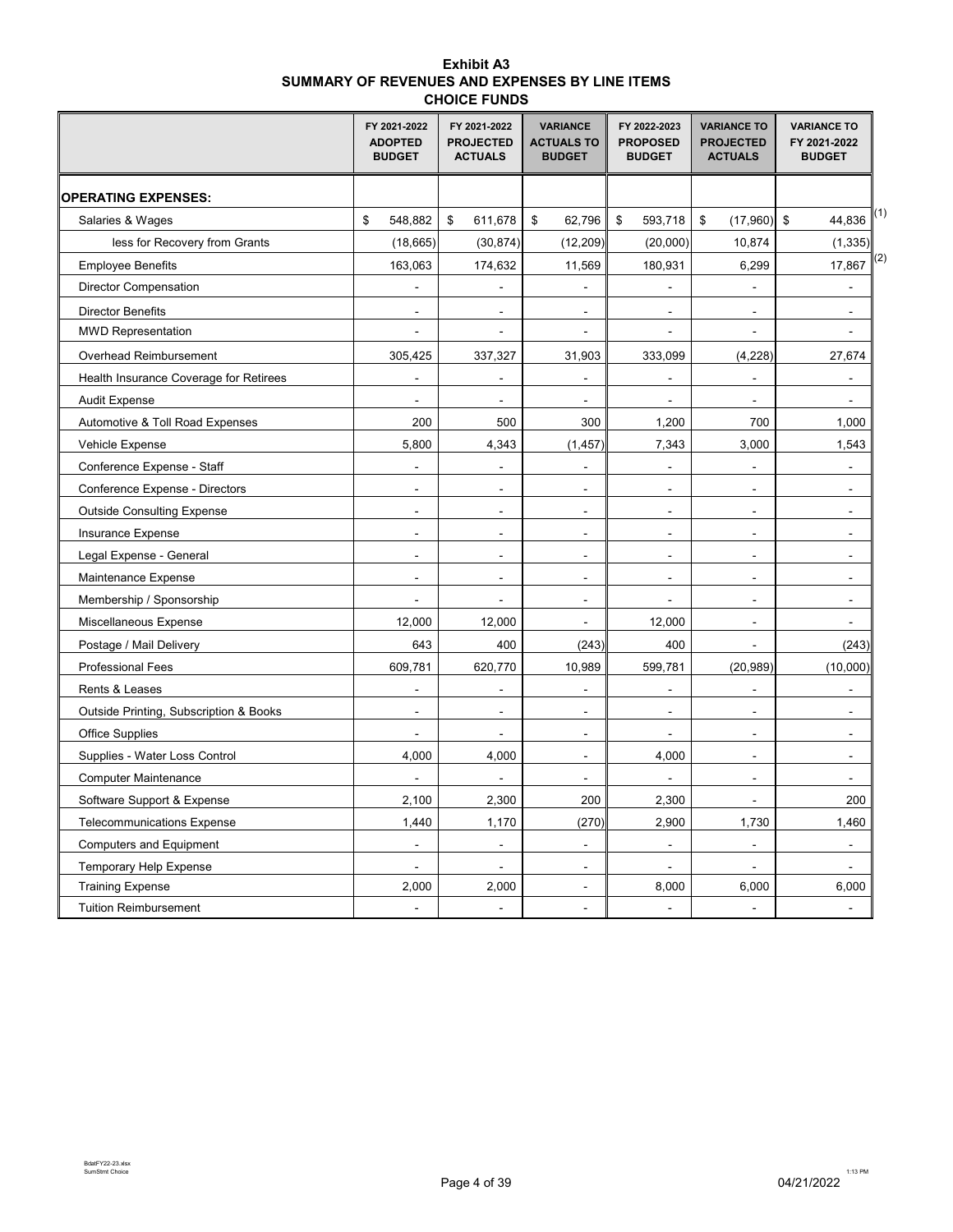#### **Exhibit A3 SUMMARY OF REVENUES AND EXPENSES BY LINE ITEMS CHOICE FUNDS**

|                                        | FY 2021-2022<br><b>ADOPTED</b><br><b>BUDGET</b> | FY 2021-2022<br><b>PROJECTED</b><br><b>ACTUALS</b> | <b>VARIANCE</b><br><b>ACTUALS TO</b><br><b>BUDGET</b> | FY 2022-2023<br><b>PROPOSED</b><br><b>BUDGET</b> | <b>VARIANCE TO</b><br><b>PROJECTED</b><br><b>ACTUALS</b> | <b>VARIANCE TO</b><br>FY 2021-2022<br><b>BUDGET</b> |
|----------------------------------------|-------------------------------------------------|----------------------------------------------------|-------------------------------------------------------|--------------------------------------------------|----------------------------------------------------------|-----------------------------------------------------|
| <b>OPERATING EXPENSES:</b>             |                                                 |                                                    |                                                       |                                                  |                                                          |                                                     |
| Salaries & Wages                       | \$<br>548,882                                   | \$<br>611,678                                      | \$<br>62,796                                          | \$<br>593,718                                    | (17,960)<br>\$                                           | (1)<br>\$<br>44,836                                 |
| less for Recovery from Grants          | (18, 665)                                       | (30, 874)                                          | (12, 209)                                             | (20,000)                                         | 10,874                                                   | (1, 335)                                            |
| <b>Employee Benefits</b>               | 163,063                                         | 174,632                                            | 11,569                                                | 180,931                                          | 6,299                                                    | (2)<br>17,867                                       |
| <b>Director Compensation</b>           | $\overline{a}$                                  | L.                                                 | $\overline{a}$                                        | $\overline{a}$                                   | $\overline{a}$                                           | $\overline{a}$                                      |
| <b>Director Benefits</b>               | $\overline{a}$                                  | $\blacksquare$                                     | $\sim$                                                | $\sim$                                           | $\blacksquare$                                           | ÷.                                                  |
| <b>MWD Representation</b>              | $\qquad \qquad \blacksquare$                    | $\blacksquare$                                     | $\ddot{\phantom{1}}$                                  | $\overline{\phantom{a}}$                         | $\blacksquare$                                           |                                                     |
| Overhead Reimbursement                 | 305,425                                         | 337,327                                            | 31,903                                                | 333,099                                          | (4, 228)                                                 | 27,674                                              |
| Health Insurance Coverage for Retirees |                                                 | L.                                                 |                                                       | $\overline{a}$                                   | $\overline{a}$                                           |                                                     |
| <b>Audit Expense</b>                   |                                                 | $\overline{a}$                                     | $\overline{a}$                                        | ÷,                                               | $\overline{a}$                                           |                                                     |
| Automotive & Toll Road Expenses        | 200                                             | 500                                                | 300                                                   | 1,200                                            | 700                                                      | 1,000                                               |
| Vehicle Expense                        | 5,800                                           | 4,343                                              | (1, 457)                                              | 7,343                                            | 3,000                                                    | 1,543                                               |
| Conference Expense - Staff             | $\mathbf{r}$                                    | $\ddot{\phantom{a}}$                               | $\overline{a}$                                        | $\blacksquare$                                   | $\overline{a}$                                           |                                                     |
| Conference Expense - Directors         | $\blacksquare$                                  | $\blacksquare$                                     | $\sim$                                                | $\sim$                                           | $\blacksquare$                                           | $\blacksquare$                                      |
| <b>Outside Consulting Expense</b>      | $\blacksquare$                                  | $\blacksquare$                                     | $\blacksquare$                                        | $\sim$                                           | $\mathbf{r}$                                             | $\sim$                                              |
| Insurance Expense                      | $\sim$                                          | $\sim$                                             | $\overline{a}$                                        | $\sim$                                           | $\blacksquare$                                           | $\overline{a}$                                      |
| Legal Expense - General                | $\overline{a}$                                  | $\overline{a}$                                     | ÷,                                                    | ÷,                                               | ÷,                                                       |                                                     |
| Maintenance Expense                    |                                                 |                                                    | ÷,                                                    |                                                  | L,                                                       |                                                     |
| Membership / Sponsorship               |                                                 |                                                    | $\blacksquare$                                        |                                                  | ä,                                                       |                                                     |
| Miscellaneous Expense                  | 12,000                                          | 12,000                                             |                                                       | 12,000                                           | ۷                                                        |                                                     |
| Postage / Mail Delivery                | 643                                             | 400                                                | (243)                                                 | 400                                              |                                                          | (243)                                               |
| <b>Professional Fees</b>               | 609,781                                         | 620,770                                            | 10,989                                                | 599,781                                          | (20, 989)                                                | (10,000)                                            |
| Rents & Leases                         | ÷,                                              | ÷,                                                 | ÷,                                                    | $\tilde{\phantom{a}}$                            | ÷,                                                       |                                                     |
| Outside Printing, Subscription & Books | $\sim$                                          | $\blacksquare$                                     | $\blacksquare$                                        | $\blacksquare$                                   | $\blacksquare$                                           | $\blacksquare$                                      |
| <b>Office Supplies</b>                 | ÷.                                              | ÷,                                                 | $\blacksquare$                                        | $\overline{a}$                                   | $\blacksquare$                                           | $\overline{\phantom{a}}$                            |
| Supplies - Water Loss Control          | 4,000                                           | 4,000                                              | $\blacksquare$                                        | 4,000                                            | ÷,                                                       |                                                     |
| <b>Computer Maintenance</b>            |                                                 |                                                    | $\ddot{\phantom{a}}$                                  | $\overline{a}$                                   | $\overline{a}$                                           |                                                     |
| Software Support & Expense             | 2,100                                           | 2,300                                              | 200                                                   | 2,300                                            | $\overline{a}$                                           | 200                                                 |
| <b>Telecommunications Expense</b>      | 1,440                                           | 1,170                                              | (270)                                                 | 2,900                                            | 1,730                                                    | 1,460                                               |
| <b>Computers and Equipment</b>         |                                                 |                                                    |                                                       | $\overline{a}$                                   | ä,                                                       |                                                     |
| <b>Temporary Help Expense</b>          |                                                 |                                                    | $\blacksquare$                                        |                                                  |                                                          |                                                     |
| <b>Training Expense</b>                | 2,000                                           | 2,000                                              | $\overline{a}$                                        | 8,000                                            | 6,000                                                    | 6,000                                               |
| <b>Tuition Reimbursement</b>           | ÷,                                              | $\overline{a}$                                     | $\overline{a}$                                        | $\ddot{\phantom{a}}$                             | $\overline{a}$                                           |                                                     |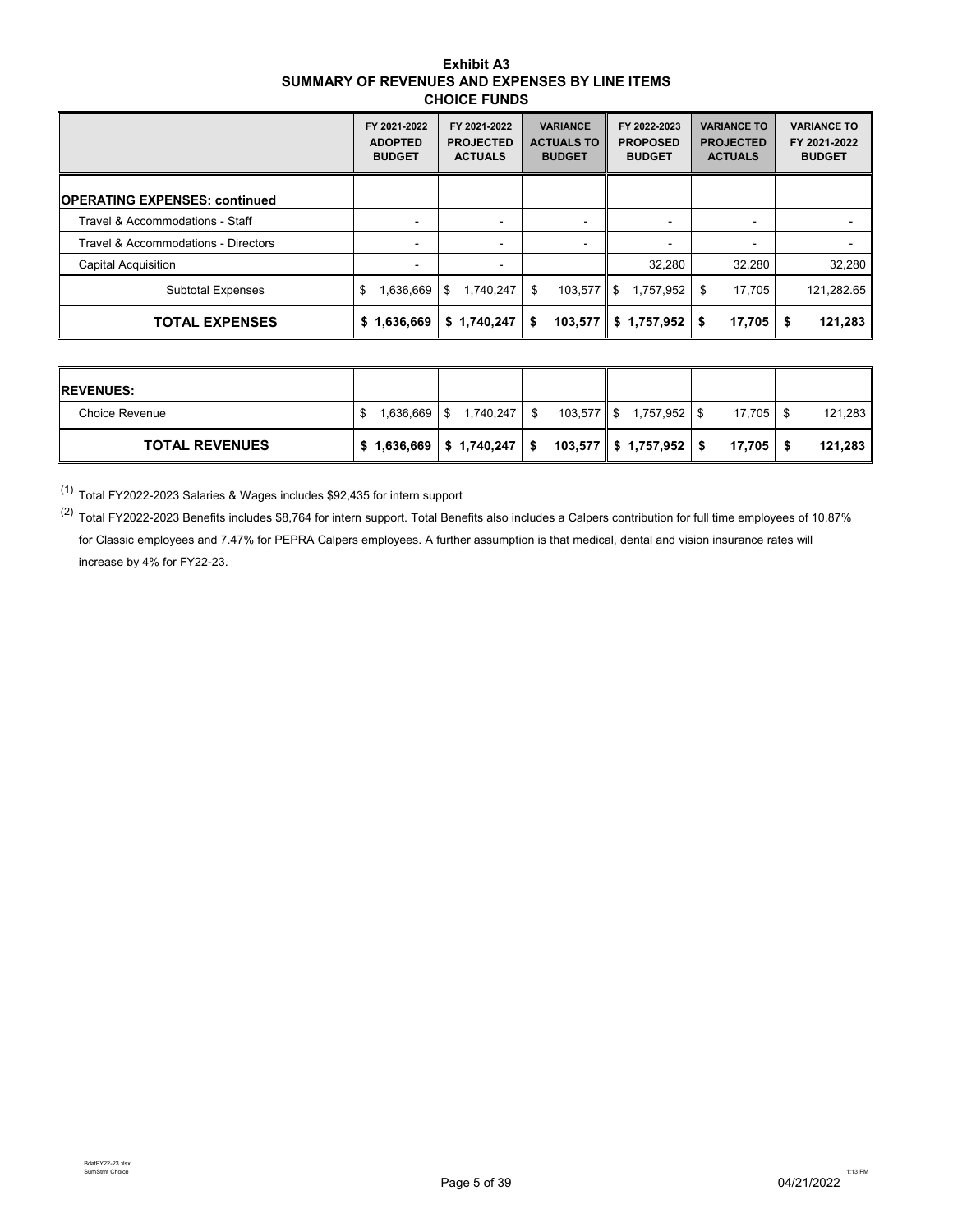#### **Exhibit A3 SUMMARY OF REVENUES AND EXPENSES BY LINE ITEMS CHOICE FUNDS**

|                                      | FY 2021-2022<br><b>ADOPTED</b><br><b>BUDGET</b> | FY 2021-2022<br><b>PROJECTED</b><br><b>ACTUALS</b> | <b>VARIANCE</b><br><b>ACTUALS TO</b><br><b>BUDGET</b> | FY 2022-2023<br><b>PROPOSED</b><br><b>BUDGET</b> | <b>VARIANCE TO</b><br><b>PROJECTED</b><br><b>ACTUALS</b> | <b>VARIANCE TO</b><br>FY 2021-2022<br><b>BUDGET</b> |
|--------------------------------------|-------------------------------------------------|----------------------------------------------------|-------------------------------------------------------|--------------------------------------------------|----------------------------------------------------------|-----------------------------------------------------|
| <b>OPERATING EXPENSES: continued</b> |                                                 |                                                    |                                                       |                                                  |                                                          |                                                     |
| Travel & Accommodations - Staff      | $\overline{\phantom{0}}$                        | $\overline{\phantom{0}}$                           | $\blacksquare$                                        |                                                  |                                                          |                                                     |
| Travel & Accommodations - Directors  |                                                 | $\overline{\phantom{0}}$                           | ٠                                                     |                                                  |                                                          |                                                     |
| <b>Capital Acquisition</b>           |                                                 | -                                                  |                                                       | 32,280                                           | 32,280                                                   | 32,280                                              |
| <b>Subtotal Expenses</b>             | 1.636.669<br>\$                                 | 1.740.247<br>l \$                                  | 103.577<br>\$                                         | 1.757.952<br>\$                                  | 17.705<br>\$                                             | 121,282.65                                          |
| <b>TOTAL EXPENSES</b>                | 1,636,669<br>s.                                 | \$1,740,247                                        | \$<br>103,577                                         | \$1,757,952                                      | $17,705$ $\frac{1}{5}$<br>S.                             | 121,283                                             |

| <b>IREVENUES:</b>     |                               |                         |             |         |
|-----------------------|-------------------------------|-------------------------|-------------|---------|
| Choice Revenue        | 1,636,669   \$1,740,247   \$  | 103,577 \$ 1,757,952 \$ | $17,705$ \$ | 121,283 |
| <b>TOTAL REVENUES</b> | $$1,636,669$ $$1,740,247$ $$$ | 103,577 \$ 1,757,952 \$ | 17.705 S    | 121.283 |

(1) Total FY2022-2023 Salaries & Wages includes \$92,435 for intern support

 $(2)$  Total FY2022-2023 Benefits includes \$8,764 for intern support. Total Benefits also includes a Calpers contribution for full time employees of 10.87% for Classic employees and 7.47% for PEPRA Calpers employees. A further assumption is that medical, dental and vision insurance rates will increase by 4% for FY22-23.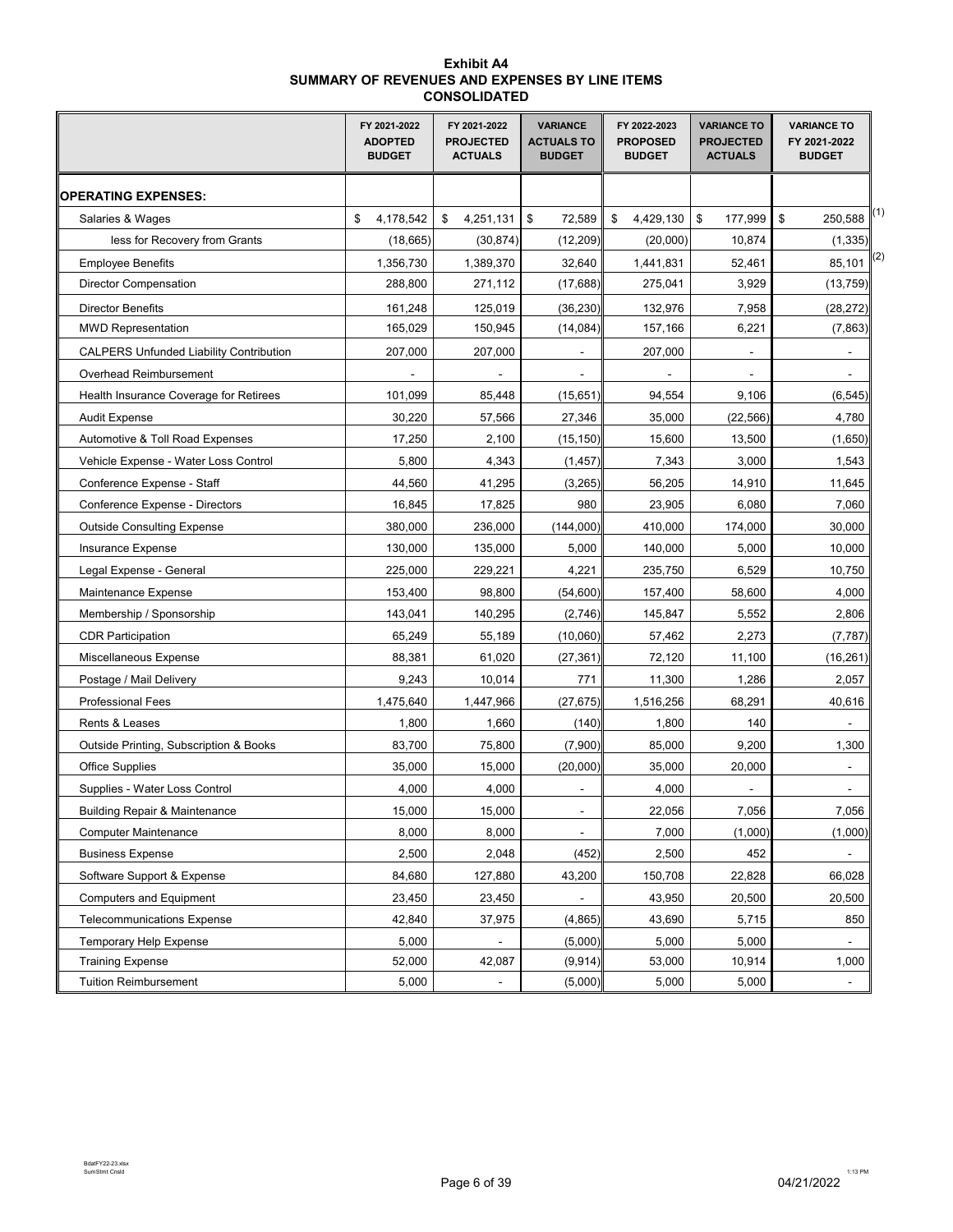#### **Exhibit A4 SUMMARY OF REVENUES AND EXPENSES BY LINE ITEMS CONSOLIDATED**

|                                                | FY 2021-2022<br><b>ADOPTED</b><br><b>BUDGET</b> | FY 2021-2022<br><b>PROJECTED</b><br><b>ACTUALS</b> | <b>VARIANCE</b><br><b>ACTUALS TO</b><br><b>BUDGET</b> | FY 2022-2023<br><b>PROPOSED</b><br><b>BUDGET</b> | <b>VARIANCE TO</b><br><b>PROJECTED</b><br><b>ACTUALS</b> | <b>VARIANCE TO</b><br>FY 2021-2022<br><b>BUDGET</b> |
|------------------------------------------------|-------------------------------------------------|----------------------------------------------------|-------------------------------------------------------|--------------------------------------------------|----------------------------------------------------------|-----------------------------------------------------|
| <b>OPERATING EXPENSES:</b>                     |                                                 |                                                    |                                                       |                                                  |                                                          |                                                     |
| Salaries & Wages                               | \$<br>4,178,542                                 | 4,251,131<br>\$                                    | \$<br>72,589                                          | 4,429,130<br>\$                                  | \$<br>177,999                                            | (1)<br>\$<br>250,588                                |
| less for Recovery from Grants                  | (18,665)                                        | (30, 874)                                          | (12, 209)                                             | (20,000)                                         | 10,874                                                   | (1, 335)                                            |
| <b>Employee Benefits</b>                       | 1,356,730                                       | 1,389,370                                          | 32,640                                                | 1,441,831                                        | 52,461                                                   | (2)<br>85,101                                       |
| <b>Director Compensation</b>                   | 288,800                                         | 271,112                                            | (17, 688)                                             | 275,041                                          | 3,929                                                    | (13, 759)                                           |
| <b>Director Benefits</b>                       | 161,248                                         | 125,019                                            | (36, 230)                                             | 132,976                                          | 7,958                                                    | (28, 272)                                           |
| <b>MWD Representation</b>                      | 165,029                                         | 150,945                                            | (14, 084)                                             | 157,166                                          | 6,221                                                    | (7, 863)                                            |
| <b>CALPERS Unfunded Liability Contribution</b> | 207,000                                         | 207,000                                            |                                                       | 207,000                                          |                                                          |                                                     |
| Overhead Reimbursement                         |                                                 |                                                    |                                                       |                                                  |                                                          |                                                     |
| Health Insurance Coverage for Retirees         | 101,099                                         | 85,448                                             | (15, 651)                                             | 94,554                                           | 9,106                                                    | (6, 545)                                            |
| <b>Audit Expense</b>                           | 30,220                                          | 57,566                                             | 27,346                                                | 35,000                                           | (22, 566)                                                | 4,780                                               |
| Automotive & Toll Road Expenses                | 17,250                                          | 2,100                                              | (15, 150)                                             | 15,600                                           | 13,500                                                   | (1,650)                                             |
| Vehicle Expense - Water Loss Control           | 5,800                                           | 4,343                                              | (1, 457)                                              | 7,343                                            | 3,000                                                    | 1,543                                               |
| Conference Expense - Staff                     | 44,560                                          | 41,295                                             | (3,265)                                               | 56,205                                           | 14,910                                                   | 11,645                                              |
| Conference Expense - Directors                 | 16,845                                          | 17,825                                             | 980                                                   | 23,905                                           | 6,080                                                    | 7,060                                               |
| <b>Outside Consulting Expense</b>              | 380,000                                         | 236,000                                            | (144,000)                                             | 410,000                                          | 174,000                                                  | 30,000                                              |
| Insurance Expense                              | 130,000                                         | 135,000                                            | 5,000                                                 | 140,000                                          | 5,000                                                    | 10,000                                              |
| Legal Expense - General                        | 225,000                                         | 229,221                                            | 4,221                                                 | 235,750                                          | 6,529                                                    | 10,750                                              |
| Maintenance Expense                            | 153,400                                         | 98,800                                             | (54,600)                                              | 157,400                                          | 58,600                                                   | 4,000                                               |
| Membership / Sponsorship                       | 143,041                                         | 140,295                                            | (2,746)                                               | 145,847                                          | 5,552                                                    | 2,806                                               |
| <b>CDR Participation</b>                       | 65,249                                          | 55,189                                             | (10,060)                                              | 57,462                                           | 2,273                                                    | (7, 787)                                            |
| Miscellaneous Expense                          | 88,381                                          | 61,020                                             | (27, 361)                                             | 72,120                                           | 11,100                                                   | (16, 261)                                           |
| Postage / Mail Delivery                        | 9,243                                           | 10,014                                             | 771                                                   | 11,300                                           | 1,286                                                    | 2,057                                               |
| <b>Professional Fees</b>                       | 1,475,640                                       | 1,447,966                                          | (27, 675)                                             | 1,516,256                                        | 68,291                                                   | 40,616                                              |
| Rents & Leases                                 | 1,800                                           | 1,660                                              | (140)                                                 | 1,800                                            | 140                                                      |                                                     |
| Outside Printing, Subscription & Books         | 83,700                                          | 75,800                                             | (7,900)                                               | 85,000                                           | 9,200                                                    | 1,300                                               |
| <b>Office Supplies</b>                         | 35,000                                          | 15,000                                             | (20,000)                                              | 35,000                                           | 20,000                                                   |                                                     |
| Supplies - Water Loss Control                  | 4,000                                           | 4,000                                              |                                                       | 4,000                                            |                                                          |                                                     |
| <b>Building Repair &amp; Maintenance</b>       | 15,000                                          | 15,000                                             | $\blacksquare$                                        | 22,056                                           | 7,056                                                    | 7,056                                               |
| <b>Computer Maintenance</b>                    | 8,000                                           | 8,000                                              |                                                       | 7,000                                            | (1,000)                                                  | (1,000)                                             |
| <b>Business Expense</b>                        | 2,500                                           | 2,048                                              | (452)                                                 | 2,500                                            | 452                                                      | $\overline{\phantom{0}}$                            |
| Software Support & Expense                     | 84,680                                          | 127,880                                            | 43,200                                                | 150,708                                          | 22,828                                                   | 66,028                                              |
| <b>Computers and Equipment</b>                 | 23,450                                          | 23,450                                             |                                                       | 43,950                                           | 20,500                                                   | 20,500                                              |
| <b>Telecommunications Expense</b>              | 42,840                                          | 37,975                                             | (4,865)                                               | 43,690                                           | 5,715                                                    | 850                                                 |
| <b>Temporary Help Expense</b>                  | 5,000                                           |                                                    | (5,000)                                               | 5,000                                            | 5,000                                                    |                                                     |
| <b>Training Expense</b>                        | 52,000                                          | 42,087                                             | (9, 914)                                              | 53,000                                           | 10,914                                                   | 1,000                                               |
| <b>Tuition Reimbursement</b>                   | 5,000                                           | $\blacksquare$                                     | (5,000)                                               | 5,000                                            | 5,000                                                    | $\blacksquare$                                      |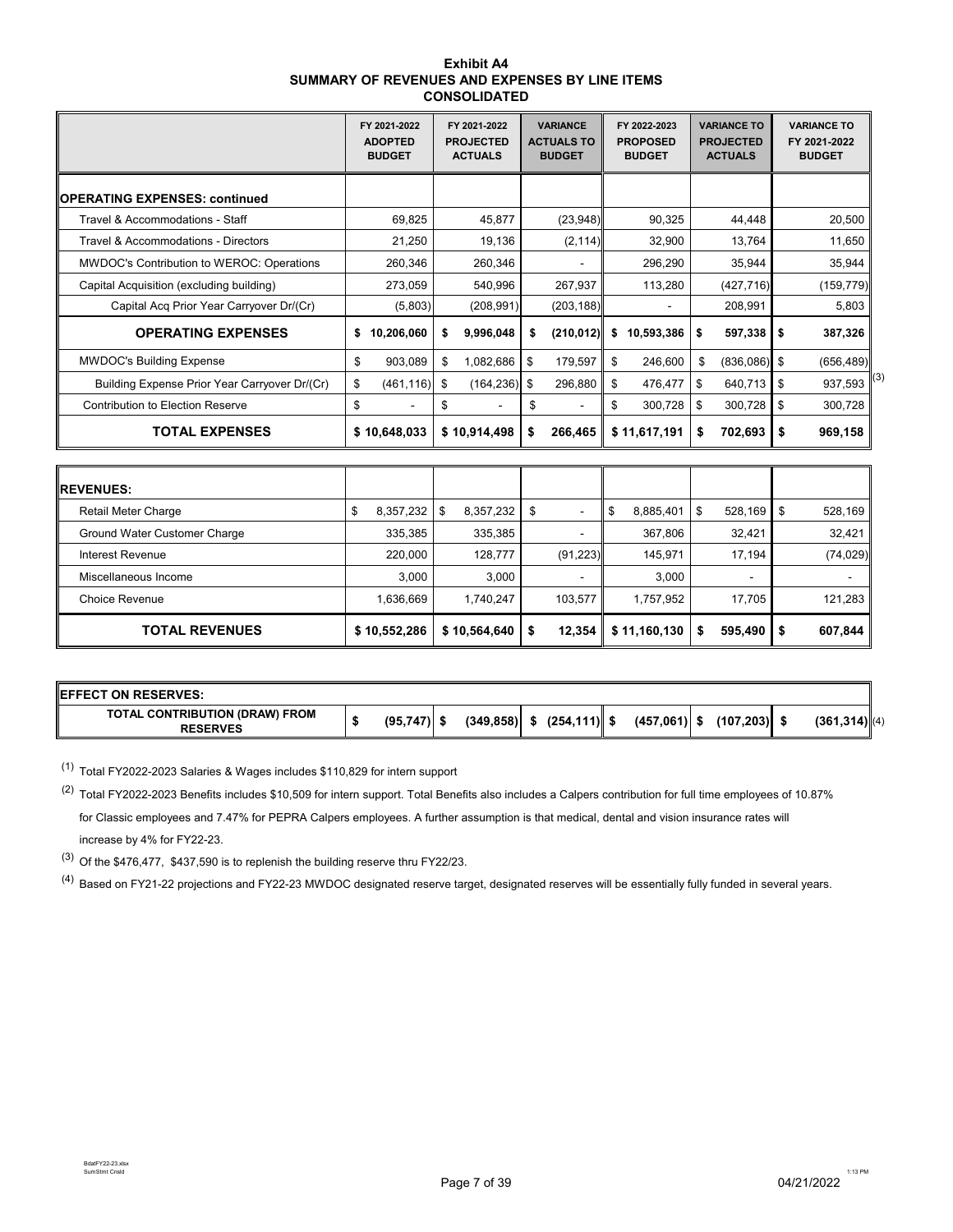| <b>Exhibit A4</b>                              |
|------------------------------------------------|
| SUMMARY OF REVENUES AND EXPENSES BY LINE ITEMS |
| <b>CONSOLIDATED</b>                            |

|                                               | FY 2021-2022<br><b>ADOPTED</b><br><b>BUDGET</b> | FY 2021-2022<br><b>PROJECTED</b><br><b>ACTUALS</b> | <b>VARIANCE</b><br><b>ACTUALS TO</b><br><b>BUDGET</b> | FY 2022-2023<br><b>PROPOSED</b><br><b>BUDGET</b> | <b>VARIANCE TO</b><br><b>PROJECTED</b><br><b>ACTUALS</b> | <b>VARIANCE TO</b><br>FY 2021-2022<br><b>BUDGET</b> |
|-----------------------------------------------|-------------------------------------------------|----------------------------------------------------|-------------------------------------------------------|--------------------------------------------------|----------------------------------------------------------|-----------------------------------------------------|
| <b> OPERATING EXPENSES: continued</b>         |                                                 |                                                    |                                                       |                                                  |                                                          |                                                     |
| Travel & Accommodations - Staff               | 69,825                                          | 45.877                                             | (23,948)                                              | 90,325                                           | 44.448                                                   | 20,500                                              |
| Travel & Accommodations - Directors           | 21,250                                          | 19,136                                             | (2, 114)                                              | 32,900                                           | 13,764                                                   | 11,650                                              |
| MWDOC's Contribution to WEROC: Operations     | 260,346                                         | 260,346                                            |                                                       | 296,290                                          | 35,944                                                   | 35,944                                              |
| Capital Acquisition (excluding building)      | 273,059                                         | 540.996                                            | 267,937                                               | 113,280                                          | (427, 716)                                               | (159, 779)                                          |
| Capital Acq Prior Year Carryover Dr/(Cr)      | (5,803)                                         | (208, 991)                                         | (203, 188)                                            |                                                  | 208,991                                                  | 5,803                                               |
| <b>OPERATING EXPENSES</b>                     | 10,206,060<br>\$                                | 9,996,048<br>s                                     | (210, 012)<br>s                                       | 10,593,386<br>\$                                 | 597,338<br>\$                                            | - \$<br>387,326                                     |
| <b>MWDOC's Building Expense</b>               | 903,089<br>\$                                   | \$<br>1,082,686                                    | 179,597<br>\$                                         | 246,600<br>\$                                    | $(836,086)$ \$<br>\$                                     | (656, 489)                                          |
| Building Expense Prior Year Carryover Dr/(Cr) | \$<br>(461, 116)                                | (164, 236)<br>\$                                   | 296,880<br><b>S</b>                                   | 476,477<br>\$                                    | 640,713<br>\$                                            | 937,593<br>l \$                                     |
| Contribution to Election Reserve              | \$                                              | \$                                                 | S                                                     | \$<br>300.728                                    | 300,728<br>\$                                            | -\$<br>300,728                                      |
| <b>TOTAL EXPENSES</b>                         | \$10,648,033                                    | \$10,914,498                                       | 266,465<br>\$                                         | \$11,617,191                                     | 702,693<br>\$                                            | \$<br>969,158                                       |
|                                               |                                                 |                                                    |                                                       |                                                  |                                                          |                                                     |
| <b>IREVENUES:</b>                             |                                                 |                                                    |                                                       |                                                  |                                                          |                                                     |
| Petail Meter Charge                           | 9.357.22<br>¢                                   | 835733<br>¢                                        |                                                       | ¢<br><b>8 885 401</b>                            | <b>528 160</b><br>¢                                      | ¢<br>528.160                                        |

| <b>TOTAL REVENUES</b>        | \$10,552,286    | \$10,564,640     | $12,354$  | \$11,160,130 | 595,490<br>S             | 607,844   |
|------------------------------|-----------------|------------------|-----------|--------------|--------------------------|-----------|
| <b>Choice Revenue</b>        | 1.636.669       | 1.740.247        | 103.577   | 1.757.952    | 17.705                   | 121,283   |
| Miscellaneous Income         | 3.000           | 3.000            | -         | 3.000        | $\overline{\phantom{a}}$ |           |
| Interest Revenue             | 220.000         | 128.777          | (91, 223) | 145.971      | 17.194                   | (74, 029) |
| Ground Water Customer Charge | 335,385         | 335,385          |           | 367,806      | 32.421                   | 32,421    |
| <b>Retail Meter Charge</b>   | 8,357,232<br>\$ | 8,357,232<br>-\$ | - \$<br>- | 8,885,401    | 528,169<br>\$            | 528,169   |
|                              |                 |                  |           |              |                          |           |

| <b>IEFFECT ON RESERVES:</b>                       |               |            |                 |                |            |                  |
|---------------------------------------------------|---------------|------------|-----------------|----------------|------------|------------------|
| TOTAL CONTRIBUTION (DRAW) FROM<br><b>RESERVES</b> | $(95,747)$ \$ | (349, 858) | $(254, 111)$ \$ | $(457,061)$ \$ | (107, 203) | $(361, 314)$ (4) |

(1) Total FY2022-2023 Salaries & Wages includes \$110,829 for intern support

(2) Total FY2022-2023 Benefits includes \$10,509 for intern support. Total Benefits also includes a Calpers contribution for full time employees of 10.87% for Classic employees and 7.47% for PEPRA Calpers employees. A further assumption is that medical, dental and vision insurance rates will increase by 4% for FY22-23.

(3) Of the \$476,477, \$437,590 is to replenish the building reserve thru FY22/23.

<sup>(4)</sup> Based on FY21-22 projections and FY22-23 MWDOC designated reserve target, designated reserves will be essentially fully funded in several years.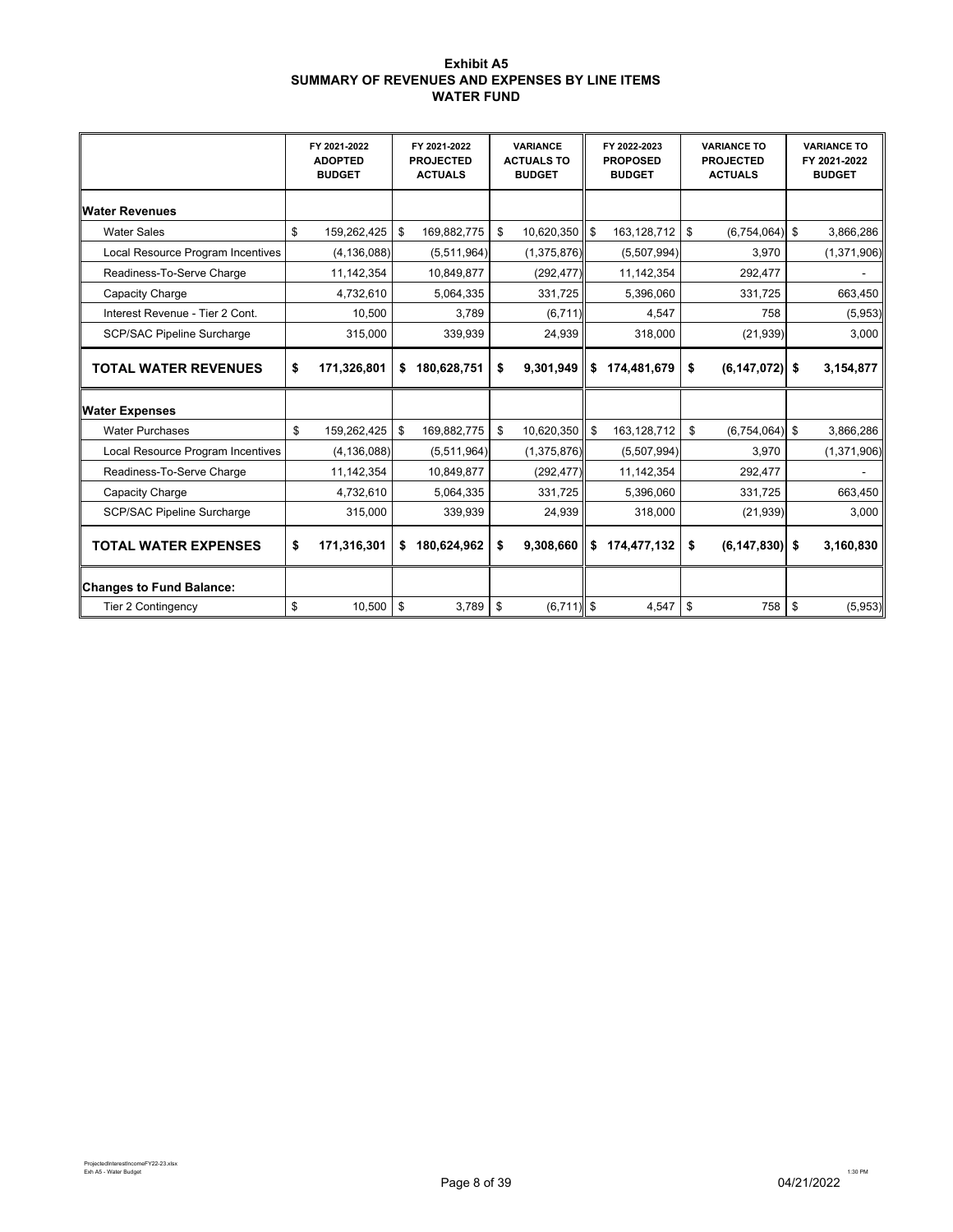#### **Exhibit A5 SUMMARY OF REVENUES AND EXPENSES BY LINE ITEMS WATER FUND**

|                                   | FY 2021-2022<br><b>ADOPTED</b><br><b>BUDGET</b> | FY 2021-2022<br><b>PROJECTED</b><br><b>ACTUALS</b> | <b>VARIANCE</b><br><b>ACTUALS TO</b><br><b>BUDGET</b> | FY 2022-2023<br><b>PROPOSED</b><br><b>BUDGET</b> | <b>VARIANCE TO</b><br><b>PROJECTED</b><br><b>ACTUALS</b> |            | <b>VARIANCE TO</b><br>FY 2021-2022<br><b>BUDGET</b> |
|-----------------------------------|-------------------------------------------------|----------------------------------------------------|-------------------------------------------------------|--------------------------------------------------|----------------------------------------------------------|------------|-----------------------------------------------------|
| <b>Water Revenues</b>             |                                                 |                                                    |                                                       |                                                  |                                                          |            |                                                     |
| <b>Water Sales</b>                | \$<br>159,262,425                               | \$<br>169,882,775                                  | \$<br>10,620,350 \$                                   | 163,128,712 \$                                   | (6,754,064)                                              | \$         | 3,866,286                                           |
| Local Resource Program Incentives | (4, 136, 088)                                   | (5,511,964)                                        | (1,375,876)                                           | (5,507,994)                                      | 3,970                                                    |            | (1, 371, 906)                                       |
| Readiness-To-Serve Charge         | 11,142,354                                      | 10,849,877                                         | (292, 477)                                            | 11, 142, 354                                     | 292,477                                                  |            |                                                     |
| Capacity Charge                   | 4,732,610                                       | 5,064,335                                          | 331,725                                               | 5,396,060                                        | 331,725                                                  |            | 663,450                                             |
| Interest Revenue - Tier 2 Cont.   | 10,500                                          | 3,789                                              | (6,711)                                               | 4,547                                            | 758                                                      |            | (5,953)                                             |
| <b>SCP/SAC Pipeline Surcharge</b> | 315,000                                         | 339,939                                            | 24,939                                                | 318,000                                          | (21, 939)                                                |            | 3,000                                               |
| <b>TOTAL WATER REVENUES</b>       | \$<br>171,326,801                               | \$<br>180,628,751                                  | \$<br>9,301,949                                       | \$174.481.679                                    | \$<br>$(6, 147, 072)$ \$                                 |            | 3,154,877                                           |
| <b>Water Expenses</b>             |                                                 |                                                    |                                                       |                                                  |                                                          |            |                                                     |
| <b>Water Purchases</b>            | \$<br>159,262,425                               | \$<br>169,882,775                                  | \$<br>10,620,350                                      | \$<br>163,128,712                                | \$<br>$(6,754,064)$ \$                                   |            | 3,866,286                                           |
| Local Resource Program Incentives | (4, 136, 088)                                   | (5,511,964)                                        | (1,375,876)                                           | (5,507,994)                                      | 3,970                                                    |            | (1,371,906)                                         |
| Readiness-To-Serve Charge         | 11,142,354                                      | 10,849,877                                         | (292, 477)                                            | 11,142,354                                       | 292,477                                                  |            |                                                     |
| Capacity Charge                   | 4,732,610                                       | 5,064,335                                          | 331,725                                               | 5,396,060                                        | 331,725                                                  |            | 663,450                                             |
| <b>SCP/SAC Pipeline Surcharge</b> | 315,000                                         | 339,939                                            | 24,939                                                | 318,000                                          | (21, 939)                                                |            | 3,000                                               |
| <b>TOTAL WATER EXPENSES</b>       | \$<br>171,316,301                               | \$<br>180,624,962                                  | \$<br>9,308,660                                       | \$174,477,132                                    | \$<br>$(6, 147, 830)$ \$                                 |            | 3,160,830                                           |
| <b>Changes to Fund Balance:</b>   |                                                 |                                                    |                                                       |                                                  |                                                          |            |                                                     |
| <b>Tier 2 Contingency</b>         | \$<br>10,500                                    | \$<br>3,789                                        | \$<br>$(6,711)$ \$                                    | $4,547$ \$                                       | 758                                                      | $\sqrt{3}$ | (5,953)                                             |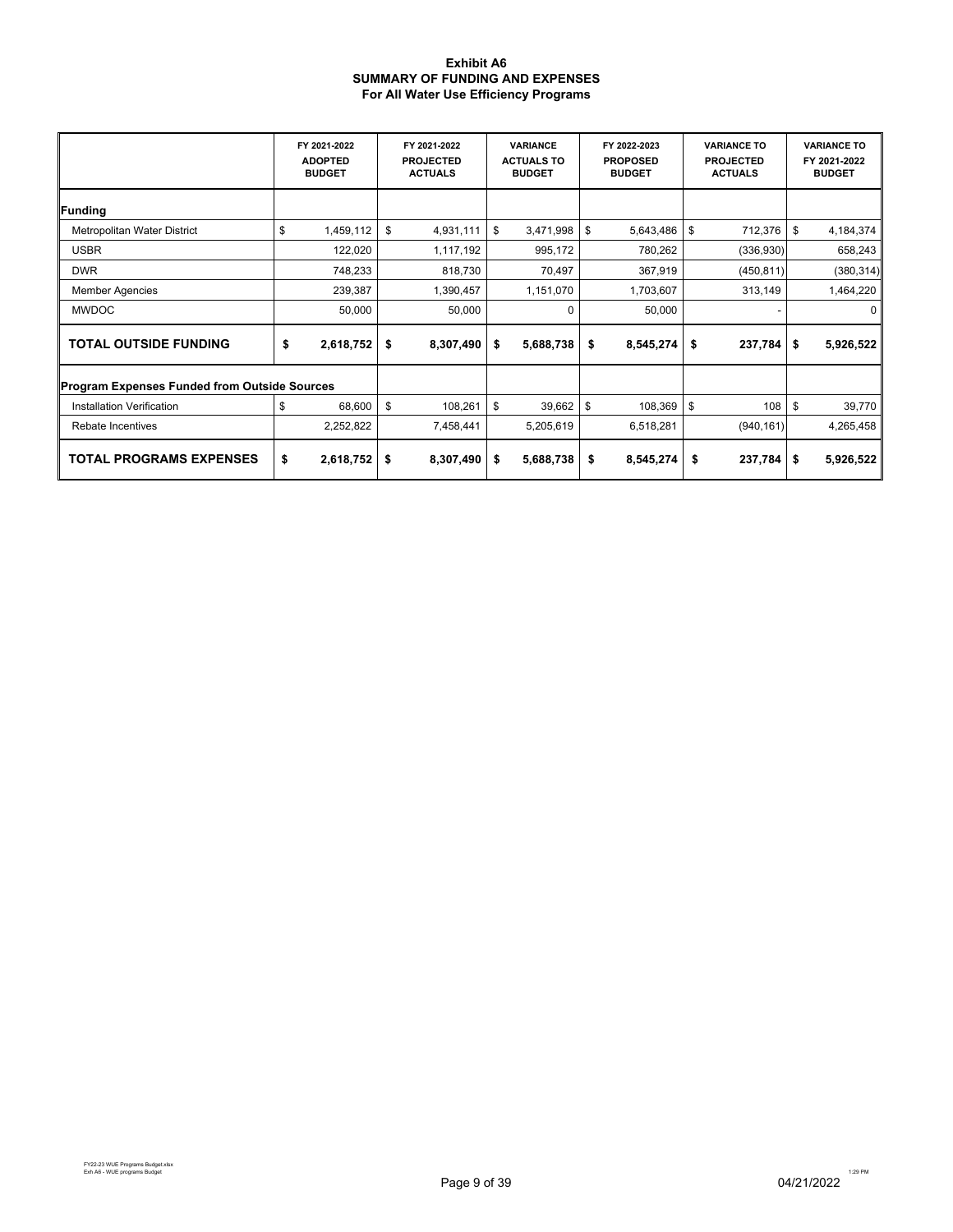#### **Exhibit A6 SUMMARY OF FUNDING AND EXPENSES For All Water Use Efficiency Programs**

|                                                     |    | FY 2021-2022<br><b>ADOPTED</b><br><b>BUDGET</b> |        | FY 2021-2022<br><b>PROJECTED</b><br><b>ACTUALS</b> | <b>VARIANCE</b><br><b>ACTUALS TO</b><br><b>BUDGET</b> |           | FY 2022-2023<br><b>PROPOSED</b><br><b>BUDGET</b> |                 |     | <b>VARIANCE TO</b><br><b>PROJECTED</b><br><b>ACTUALS</b> | <b>VARIANCE TO</b><br>FY 2021-2022<br><b>BUDGET</b> |            |
|-----------------------------------------------------|----|-------------------------------------------------|--------|----------------------------------------------------|-------------------------------------------------------|-----------|--------------------------------------------------|-----------------|-----|----------------------------------------------------------|-----------------------------------------------------|------------|
| <b>Funding</b>                                      |    |                                                 |        |                                                    |                                                       |           |                                                  |                 |     |                                                          |                                                     |            |
| Metropolitan Water District                         | \$ | 1,459,112                                       | \$     | 4,931,111                                          | \$                                                    | 3,471,998 | \$                                               | 5,643,486       | \$  | 712,376                                                  | \$                                                  | 4,184,374  |
| <b>USBR</b>                                         |    | 122,020                                         |        | 1,117,192                                          |                                                       | 995,172   |                                                  | 780,262         |     | (336,930)                                                |                                                     | 658,243    |
| <b>DWR</b>                                          |    | 748,233                                         |        | 818,730                                            |                                                       | 70,497    |                                                  | 367,919         |     | (450, 811)                                               |                                                     | (380, 314) |
| <b>Member Agencies</b>                              |    | 239,387                                         |        | 1,390,457                                          |                                                       | 1,151,070 |                                                  | 1,703,607       |     | 313,149                                                  |                                                     | 1,464,220  |
| <b>MWDOC</b>                                        |    | 50,000                                          | 50,000 |                                                    |                                                       | 0         |                                                  | 50,000          |     |                                                          |                                                     | 0          |
| \$<br><b>TOTAL OUTSIDE FUNDING</b>                  |    | 2,618,752                                       | \$     | 8,307,490                                          | \$                                                    | 5,688,738 |                                                  | \$<br>8,545,274 | \$  | $237,784$ \$                                             |                                                     | 5,926,522  |
| <b>Program Expenses Funded from Outside Sources</b> |    |                                                 |        |                                                    |                                                       |           |                                                  |                 |     |                                                          |                                                     |            |
| Installation Verification                           | \$ | 68,600                                          | \$     | 108,261                                            | \$                                                    | 39,662    | \$                                               | 108,369         | -\$ | 108                                                      | \$                                                  | 39,770     |
| Rebate Incentives                                   |    | 2,252,822                                       |        | 7,458,441                                          |                                                       | 5,205,619 |                                                  | 6,518,281       |     | (940, 161)                                               |                                                     | 4,265,458  |
| <b>TOTAL PROGRAMS EXPENSES</b>                      |    | 2,618,752                                       | \$     | 8,307,490                                          | \$                                                    | 5,688,738 |                                                  | \$<br>8,545,274 | \$  | $237,784$ \$                                             |                                                     | 5,926,522  |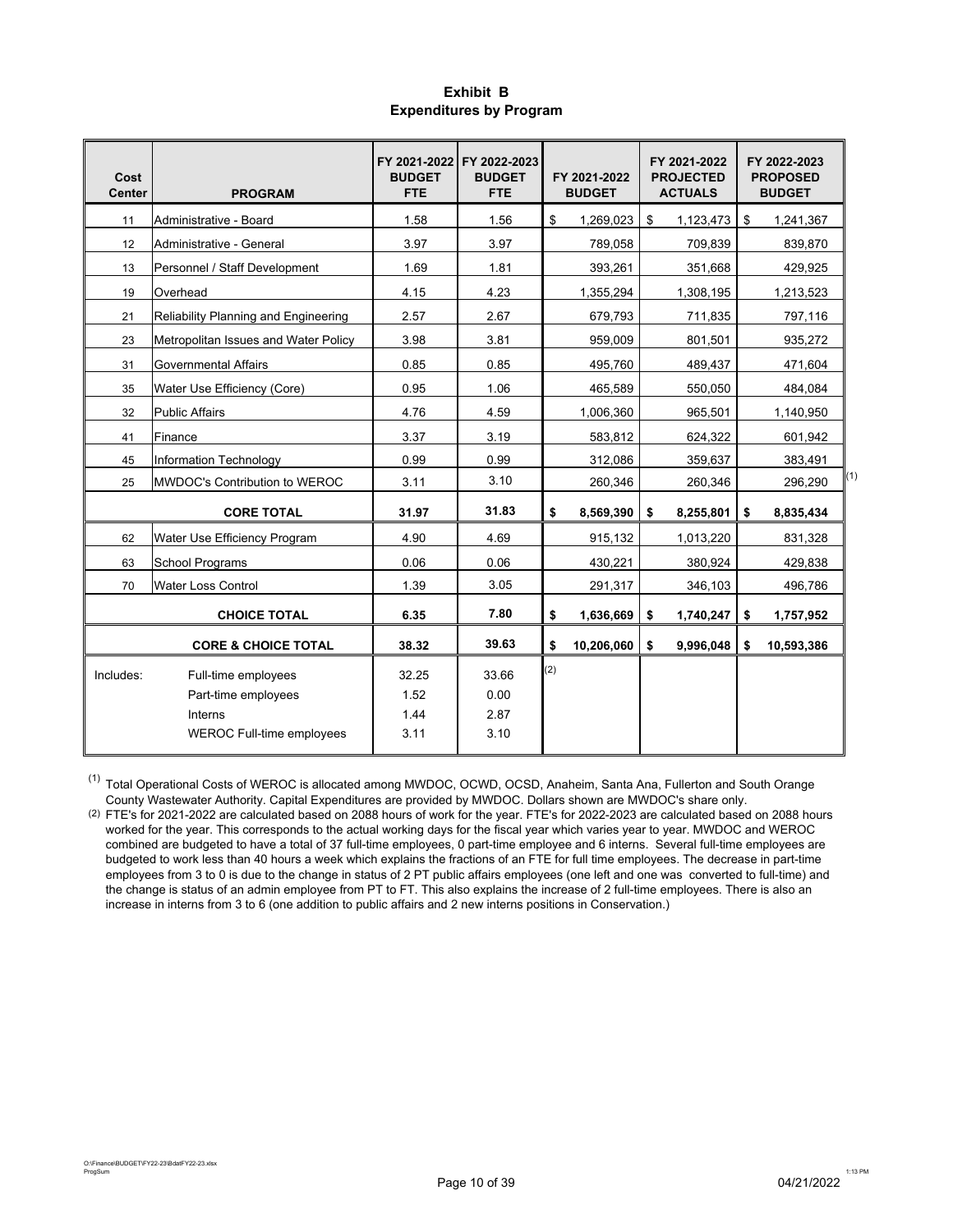### **Exhibit B Expenditures by Program**

| Cost<br><b>Center</b> | <b>PROGRAM</b>                             | FY 2021-2022<br><b>BUDGET</b><br><b>FTE</b> | FY 2022-2023<br><b>BUDGET</b><br><b>FTE</b> |     | FY 2021-2022<br><b>BUDGET</b> | FY 2021-2022<br><b>PROJECTED</b><br><b>ACTUALS</b> | FY 2022-2023<br><b>PROPOSED</b><br><b>BUDGET</b> |
|-----------------------|--------------------------------------------|---------------------------------------------|---------------------------------------------|-----|-------------------------------|----------------------------------------------------|--------------------------------------------------|
| 11                    | Administrative - Board                     | 1.58                                        | 1.56                                        | \$  | 1,269,023                     | \$<br>1,123,473                                    | \$<br>1,241,367                                  |
| 12                    | Administrative - General                   | 3.97                                        | 3.97                                        |     | 789,058                       | 709,839                                            | 839,870                                          |
| 13                    | Personnel / Staff Development              | 1.69                                        | 1.81                                        |     | 393,261                       | 351,668                                            | 429.925                                          |
| 19                    | Overhead                                   | 4.15                                        | 4.23                                        |     | 1,355,294                     | 1,308,195                                          | 1,213,523                                        |
| 21                    | Reliability Planning and Engineering       | 2.57                                        | 2.67                                        |     | 679,793                       | 711,835                                            | 797,116                                          |
| 23                    | Metropolitan Issues and Water Policy       | 3.98                                        | 3.81                                        |     | 959,009                       | 801,501                                            | 935,272                                          |
| 31                    | <b>Governmental Affairs</b>                | 0.85                                        | 0.85                                        |     | 495,760                       | 489,437                                            | 471,604                                          |
| 35                    | Water Use Efficiency (Core)                | 0.95                                        | 1.06                                        |     | 465,589                       | 550,050                                            | 484,084                                          |
| 32                    | <b>Public Affairs</b>                      | 4.76                                        | 4.59                                        |     | 1,006,360                     | 965,501                                            | 1,140,950                                        |
| 41                    | Finance                                    | 3.37                                        | 3.19                                        |     | 583,812                       | 624,322                                            | 601,942                                          |
| 45                    | Information Technology                     | 0.99                                        | 0.99                                        |     | 312,086                       | 359,637                                            | 383,491                                          |
| 25                    | MWDOC's Contribution to WEROC              | 3.11                                        | 3.10                                        |     | 260,346                       | 260,346                                            | (1)<br>296,290                                   |
|                       | <b>CORE TOTAL</b>                          | 31.97                                       | 31.83                                       | \$  | 8,569,390                     | \$<br>8,255,801                                    | \$<br>8,835,434                                  |
| 62                    | Water Use Efficiency Program               | 4.90                                        | 4.69                                        |     | 915,132                       | 1,013,220                                          | 831,328                                          |
| 63                    | <b>School Programs</b>                     | 0.06                                        | 0.06                                        |     | 430,221                       | 380,924                                            | 429,838                                          |
| 70                    | <b>Water Loss Control</b>                  | 1.39                                        | 3.05                                        |     | 291,317                       | 346,103                                            | 496,786                                          |
|                       | <b>CHOICE TOTAL</b>                        | 6.35                                        | 7.80                                        | \$  | 1,636,669                     | \$<br>1,740,247                                    | \$<br>1,757,952                                  |
|                       | <b>CORE &amp; CHOICE TOTAL</b>             | 38.32                                       | 39.63                                       | \$  | 10,206,060                    | \$<br>9,996,048                                    | \$<br>10,593,386                                 |
| Includes:             | Full-time employees<br>Part-time employees | 32.25<br>1.52                               | 33.66<br>0.00                               | (2) |                               |                                                    |                                                  |
|                       | Interns                                    | 1.44                                        | 2.87                                        |     |                               |                                                    |                                                  |
|                       | <b>WEROC Full-time employees</b>           | 3.11                                        | 3.10                                        |     |                               |                                                    |                                                  |

(1) Total Operational Costs of WEROC is allocated among MWDOC, OCWD, OCSD, Anaheim, Santa Ana, Fullerton and South Orange County Wastewater Authority. Capital Expenditures are provided by MWDOC. Dollars shown are MWDOC's share only.

(2) FTE's for 2021-2022 are calculated based on 2088 hours of work for the year. FTE's for 2022-2023 are calculated based on 2088 hours worked for the year. This corresponds to the actual working days for the fiscal year which varies year to year. MWDOC and WEROC combined are budgeted to have a total of 37 full-time employees, 0 part-time employee and 6 interns. Several full-time employees are budgeted to work less than 40 hours a week which explains the fractions of an FTE for full time employees. The decrease in part-time employees from 3 to 0 is due to the change in status of 2 PT public affairs employees (one left and one was converted to full-time) and the change is status of an admin employee from PT to FT. This also explains the increase of 2 full-time employees. There is also an increase in interns from 3 to 6 (one addition to public affairs and 2 new interns positions in Conservation.)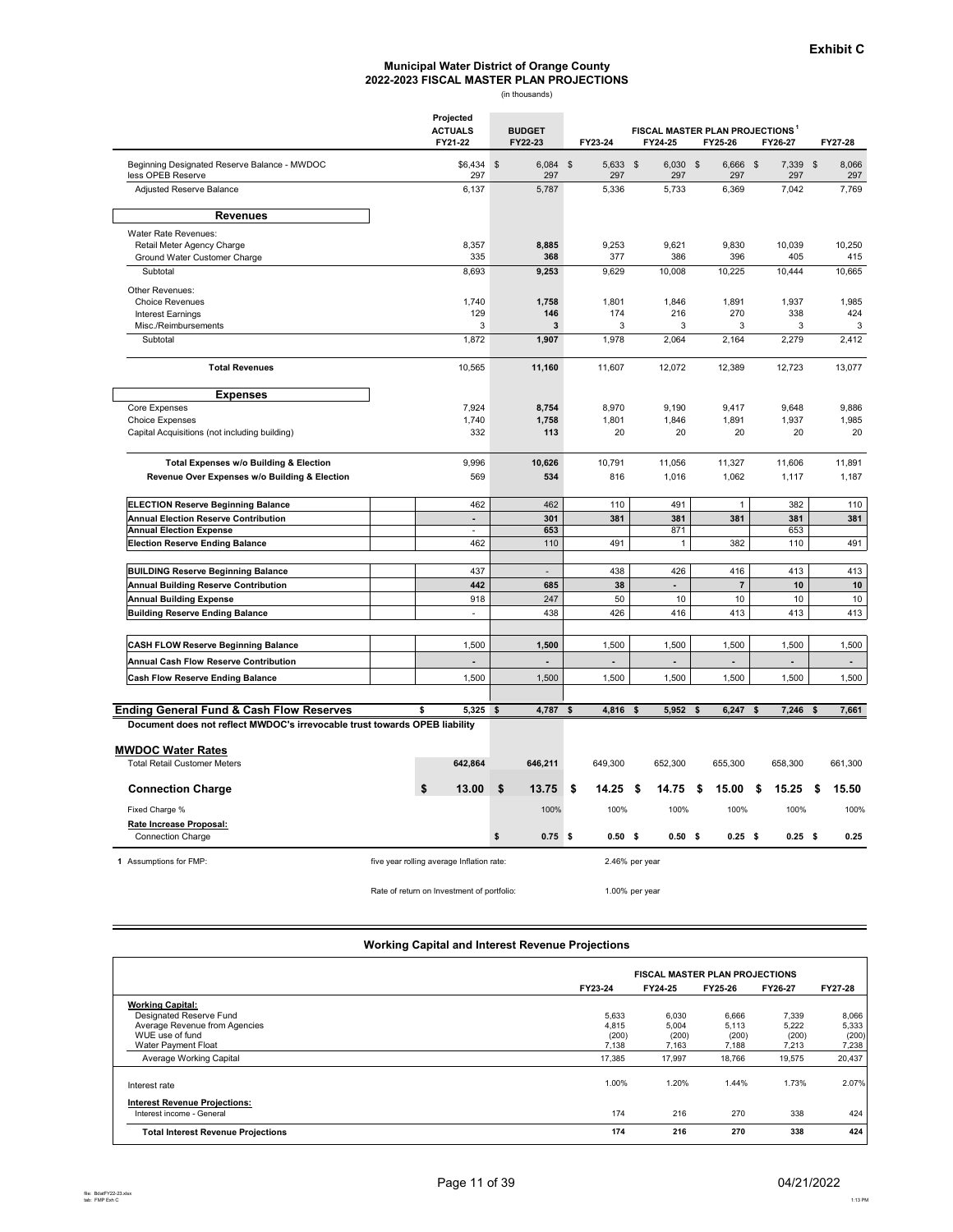# **2022-2023 FISCAL MASTER PLAN PROJECTIONS** (in thousands) **Municipal Water District of Orange County**

|                                                                            | Projected<br><b>ACTUALS</b><br>FY21-22     | <b>BUDGET</b><br>FY22-23   | FY23-24           | FY24-25                  | FISCAL MASTER PLAN PROJECTIONS <sup>1</sup><br>FY25-26 | FY26-27                          | FY27-28            |              |
|----------------------------------------------------------------------------|--------------------------------------------|----------------------------|-------------------|--------------------------|--------------------------------------------------------|----------------------------------|--------------------|--------------|
| Beginning Designated Reserve Balance - MWDOC<br>less OPEB Reserve          | \$6,434<br>297                             | $\$\$<br>$6,084$ \$<br>297 | 5,633 \$<br>297   | $6,030$ \$<br>297        | 6,666<br>297                                           | $\sqrt[6]{3}$<br>7,339 \$<br>297 |                    | 8,066<br>297 |
| Adjusted Reserve Balance                                                   | 6,137                                      | 5,787                      | 5,336             | 5,733                    | 6,369                                                  | 7,042                            |                    | 7,769        |
| <b>Revenues</b>                                                            |                                            |                            |                   |                          |                                                        |                                  |                    |              |
| Water Rate Revenues:                                                       |                                            |                            |                   |                          |                                                        |                                  |                    |              |
| Retail Meter Agency Charge                                                 | 8,357                                      | 8,885                      | 9,253             | 9,621                    | 9,830                                                  | 10,039                           |                    | 10,250       |
| Ground Water Customer Charge                                               | 335                                        | 368                        | 377               | 386                      | 396                                                    | 405                              |                    | 415          |
| Subtotal                                                                   | 8,693                                      | 9,253                      | 9,629             | 10,008                   | 10,225                                                 | 10,444                           |                    | 10,665       |
| Other Revenues:                                                            |                                            |                            |                   |                          |                                                        |                                  |                    |              |
| <b>Choice Revenues</b>                                                     | 1,740                                      | 1,758                      | 1,801             | 1,846                    | 1,891                                                  | 1,937                            |                    | 1,985        |
| <b>Interest Earnings</b>                                                   | 129                                        | 146                        | 174               | 216                      | 270                                                    | 338                              |                    | 424          |
| Misc./Reimbursements                                                       | 3                                          | 3                          | 3                 | 3                        | 3                                                      | 3                                |                    | 3            |
| Subtotal                                                                   | 1,872                                      | 1,907                      | 1,978             | 2,064                    | 2,164                                                  | 2,279                            |                    | 2,412        |
| <b>Total Revenues</b>                                                      | 10,565                                     | 11,160                     | 11,607            | 12,072                   | 12,389                                                 | 12,723                           |                    | 13,077       |
| <b>Expenses</b>                                                            |                                            |                            |                   |                          |                                                        |                                  |                    |              |
| Core Expenses                                                              | 7,924                                      | 8,754                      | 8,970             | 9,190                    | 9,417                                                  | 9,648                            |                    | 9,886        |
| Choice Expenses                                                            | 1,740                                      | 1,758                      | 1,801             | 1,846                    | 1,891                                                  | 1,937                            |                    | 1,985        |
| Capital Acquisitions (not including building)                              | 332                                        | 113                        | 20                | 20                       | 20                                                     | 20                               |                    | 20           |
| <b>Total Expenses w/o Building &amp; Election</b>                          | 9,996                                      | 10,626                     | 10,791            | 11,056                   | 11,327                                                 | 11,606                           |                    | 11,891       |
| Revenue Over Expenses w/o Building & Election                              | 569                                        | 534                        | 816               | 1,016                    | 1,062                                                  | 1,117                            |                    | 1,187        |
|                                                                            |                                            |                            |                   |                          |                                                        |                                  |                    |              |
| <b>ELECTION Reserve Beginning Balance</b>                                  | 462                                        | 462                        | 110               | 491                      | $\mathbf{1}$                                           | 382                              |                    | 110          |
| <b>Annual Election Reserve Contribution</b>                                | $\overline{a}$                             | 301                        | 381               | 381                      | 381                                                    | 381                              |                    | 381          |
| <b>Annual Election Expense</b>                                             | ÷                                          | 653                        |                   | 871                      |                                                        | 653                              |                    |              |
| <b>Election Reserve Ending Balance</b>                                     | 462                                        | 110                        | 491               | $\mathbf{1}$             | 382                                                    | 110                              |                    | 491          |
| <b>BUILDING Reserve Beginning Balance</b>                                  | 437                                        | $\overline{a}$             | 438               | 426                      | 416                                                    | 413                              |                    | 413          |
| <b>Annual Building Reserve Contribution</b>                                | 442                                        | 685                        | 38                | $\overline{\phantom{a}}$ | $\overline{7}$                                         | 10                               |                    | $10$         |
| <b>Annual Building Expense</b>                                             | 918                                        | 247                        | 50                | 10                       | 10                                                     | 10                               |                    | 10           |
| <b>Building Reserve Ending Balance</b>                                     | $\overline{\phantom{a}}$                   | 438                        | 426               | 416                      | 413                                                    | 413                              |                    | 413          |
|                                                                            |                                            |                            |                   |                          |                                                        |                                  |                    |              |
| <b>CASH FLOW Reserve Beginning Balance</b>                                 | 1,500                                      | 1,500                      | 1,500             | 1,500                    | 1,500                                                  | 1,500                            |                    | 1,500        |
| Annual Cash Flow Reserve Contribution                                      |                                            |                            |                   |                          |                                                        |                                  |                    |              |
| <b>Cash Flow Reserve Ending Balance</b>                                    | 1,500                                      | 1,500                      | 1,500             | 1,500                    | 1,500                                                  | 1,500                            |                    | 1,500        |
|                                                                            |                                            |                            |                   |                          |                                                        |                                  |                    |              |
| <b>Ending General Fund &amp; Cash Flow Reserves</b>                        | 5,325 \$<br>\$                             | 4,787                      | 4,816<br>\$       | 5,952<br>\$              | 6,247<br>\$                                            | 7,246<br>\$                      | $\mathbf{\hat{z}}$ | 7,661        |
| Document does not reflect MWDOC's irrevocable trust towards OPEB liability |                                            |                            |                   |                          |                                                        |                                  |                    |              |
| <b>MWDOC Water Rates</b>                                                   |                                            |                            |                   |                          |                                                        |                                  |                    |              |
| <b>Total Retail Customer Meters</b>                                        | 642,864                                    | 646,211                    | 649,300           | 652,300                  | 655,300                                                | 658,300                          |                    | 661,300      |
| <b>Connection Charge</b>                                                   | \$<br>13.00                                | \$<br>13.75                | \$<br>14.25       | -\$<br>14.75             | 15.00<br>\$                                            | \$<br>15.25                      | \$                 | 15.50        |
| Fixed Charge %                                                             |                                            | 100%                       | 100%              | 100%                     | 100%                                                   | 100%                             |                    | 100%         |
| Rate Increase Proposal:                                                    |                                            |                            |                   |                          |                                                        |                                  |                    |              |
| Connection Charge                                                          |                                            | \$<br>$0.75$ \$            | 0.50 <sup>5</sup> | 0.50 <sup>5</sup>        | $0.25$ \$                                              | $0.25$ \$                        |                    | 0.25         |
| 1 Assumptions for FMP:                                                     | five year rolling average Inflation rate:  |                            |                   | 2.46% per year           |                                                        |                                  |                    |              |
|                                                                            | Rate of return on Investment of portfolio: |                            |                   | 1.00% per year           |                                                        |                                  |                    |              |

#### **Working Capital and Interest Revenue Projections**

|                                                                   |         | <b>FISCAL MASTER PLAN PROJECTIONS</b> |         |         |         |
|-------------------------------------------------------------------|---------|---------------------------------------|---------|---------|---------|
|                                                                   | FY23-24 | FY24-25                               | FY25-26 | FY26-27 | FY27-28 |
| <b>Working Capital:</b>                                           |         |                                       |         |         |         |
| Designated Reserve Fund                                           | 5,633   | 6,030                                 | 6,666   | 7,339   | 8,066   |
| Average Revenue from Agencies                                     | 4.815   | 5,004                                 | 5,113   | 5,222   | 5,333   |
| WUE use of fund                                                   | (200)   | (200)                                 | (200)   | (200)   | (200)   |
| Water Payment Float                                               | 7,138   | 7.163                                 | 7.188   | 7.213   | 7,238   |
| Average Working Capital                                           | 17,385  | 17,997                                | 18,766  | 19,575  | 20,437  |
| Interest rate                                                     | 1.00%   | 1.20%                                 | 1.44%   | 1.73%   | 2.07%   |
| <b>Interest Revenue Projections:</b><br>Interest income - General | 174     | 216                                   | 270     | 338     | 424     |
|                                                                   |         |                                       |         |         |         |
| <b>Total Interest Revenue Projections</b>                         | 174     | 216                                   | 270     | 338     | 424     |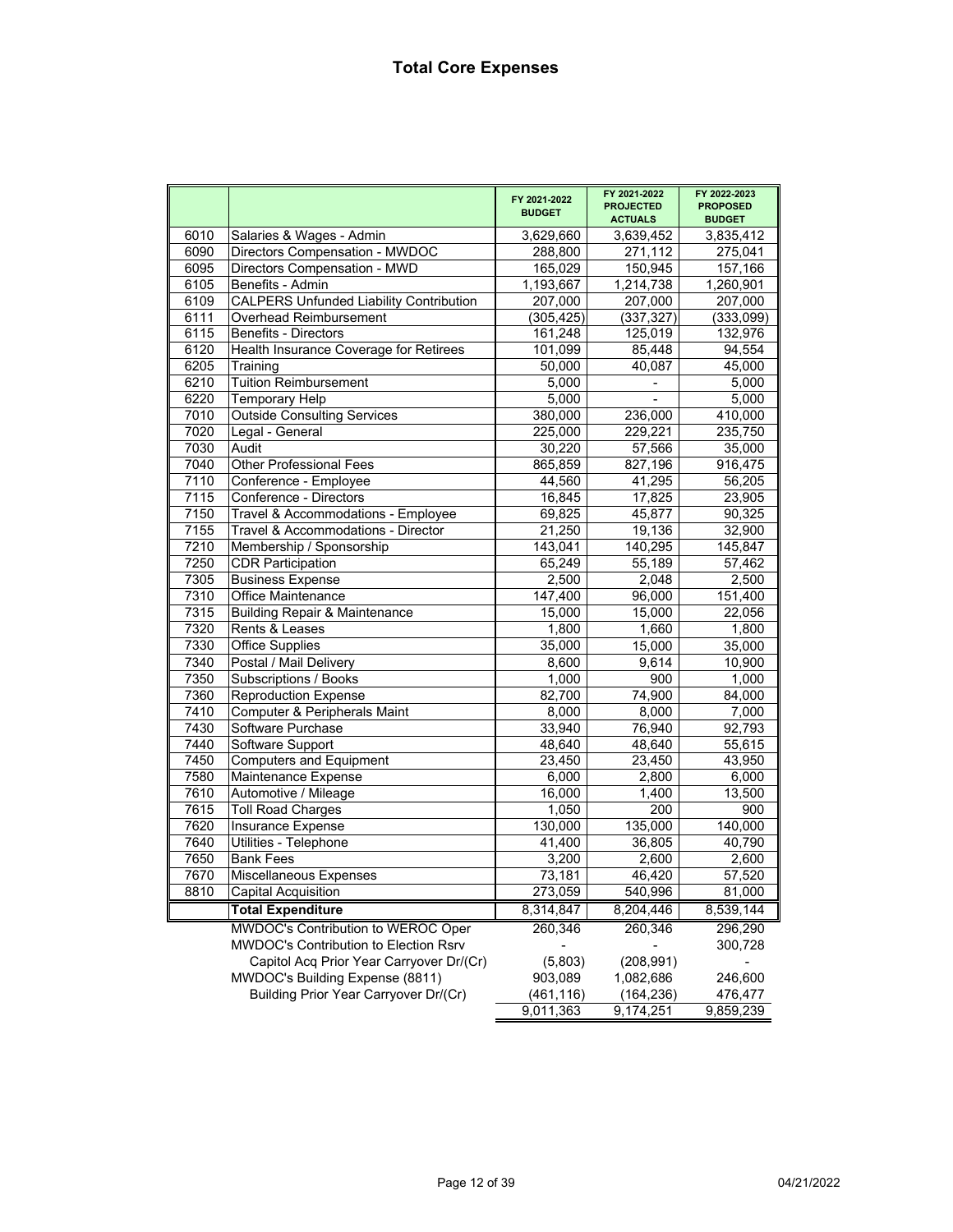|      |                                                | FY 2021-2022<br><b>BUDGET</b> | FY 2021-2022<br><b>PROJECTED</b><br><b>ACTUALS</b> | FY 2022-2023<br><b>PROPOSED</b><br><b>BUDGET</b> |
|------|------------------------------------------------|-------------------------------|----------------------------------------------------|--------------------------------------------------|
| 6010 | Salaries & Wages - Admin                       | 3,629,660                     | 3,639,452                                          | 3,835,412                                        |
| 6090 | Directors Compensation - MWDOC                 | 288,800                       | 271,112                                            | 275,041                                          |
| 6095 | Directors Compensation - MWD                   | 165,029                       | 150,945                                            | 157,166                                          |
| 6105 | Benefits - Admin                               | 1,193,667                     | 1,214,738                                          | 1,260,901                                        |
| 6109 | <b>CALPERS Unfunded Liability Contribution</b> | 207,000                       | 207,000                                            | 207,000                                          |
| 6111 | <b>Overhead Reimbursement</b>                  | (305, 425)                    | (337, 327)                                         | (333,099)                                        |
| 6115 | <b>Benefits - Directors</b>                    | 161,248                       | 125,019                                            | 132,976                                          |
| 6120 | Health Insurance Coverage for Retirees         | 101,099                       | 85,448                                             | 94,554                                           |
| 6205 | Training                                       | 50,000                        | 40,087                                             | 45,000                                           |
| 6210 | <b>Tuition Reimbursement</b>                   | 5,000                         | $\overline{\phantom{0}}$                           | $\overline{5,000}$                               |
| 6220 | <b>Temporary Help</b>                          | 5,000                         |                                                    | 5,000                                            |
| 7010 | <b>Outside Consulting Services</b>             | 380,000                       | 236,000                                            | 410,000                                          |
| 7020 | Legal - General                                | 225,000                       | 229,221                                            | 235,750                                          |
| 7030 | Audit                                          | 30,220                        | 57,566                                             | 35,000                                           |
| 7040 | <b>Other Professional Fees</b>                 | 865,859                       | 827,196                                            | 916,475                                          |
| 7110 | Conference - Employee                          | 44,560                        | 41,295                                             | 56,205                                           |
| 7115 | Conference - Directors                         | 16,845                        | 17,825                                             | 23,905                                           |
| 7150 | Travel & Accommodations - Employee             | 69,825                        | 45,877                                             | 90,325                                           |
| 7155 | Travel & Accommodations - Director             | 21,250                        | 19,136                                             | 32,900                                           |
| 7210 | Membership / Sponsorship                       | 143,041                       | 140,295                                            | 145,847                                          |
| 7250 | <b>CDR Participation</b>                       | 65,249                        | 55,189                                             | 57,462                                           |
| 7305 | <b>Business Expense</b>                        | 2,500                         | 2,048                                              | 2,500                                            |
| 7310 | <b>Office Maintenance</b>                      | 147,400                       | 96,000                                             | 151,400                                          |
| 7315 | <b>Building Repair &amp; Maintenance</b>       | 15,000                        | 15,000                                             | 22,056                                           |
| 7320 | Rents & Leases                                 | 1,800                         | 1,660                                              | 1,800                                            |
| 7330 | <b>Office Supplies</b>                         | 35,000                        | 15,000                                             | 35,000                                           |
| 7340 | Postal / Mail Delivery                         | 8,600                         | 9,614                                              | 10,900                                           |
| 7350 | Subscriptions / Books                          | 1,000                         | 900                                                | 1,000                                            |
| 7360 | <b>Reproduction Expense</b>                    | 82,700                        | 74,900                                             | 84,000                                           |
| 7410 | Computer & Peripherals Maint                   | 8,000                         | 8,000                                              | 7,000                                            |
| 7430 | Software Purchase                              | 33,940                        | 76,940                                             | 92,793                                           |
| 7440 | Software Support                               | 48,640                        | 48,640                                             | 55,615                                           |
| 7450 | <b>Computers and Equipment</b>                 | 23,450                        | 23,450                                             | 43,950                                           |
| 7580 | Maintenance Expense                            | 6,000                         | 2,800                                              | 6,000                                            |
| 7610 | Automotive / Mileage                           | 16,000                        | 1,400                                              | 13,500                                           |
| 7615 | <b>Toll Road Charges</b>                       | 1,050                         | 200                                                | 900                                              |
| 7620 | Insurance Expense                              | 130,000                       | 135,000                                            | 140,000                                          |
| 7640 | Utilities - Telephone                          | 41,400                        | 36,805                                             | 40,790                                           |
| 7650 | <b>Bank Fees</b>                               | 3,200                         | 2,600                                              | 2,600                                            |
| 7670 | <b>Miscellaneous Expenses</b>                  | 73,181                        | 46,420                                             | 57,520                                           |
| 8810 | Capital Acquisition                            | 273,059                       | 540,996                                            | 81,000                                           |
|      | <b>Total Expenditure</b>                       | 8,314,847                     | 8,204,446                                          | 8,539,144                                        |
|      | <b>MWDOC's Contribution to WEROC Oper</b>      | 260,346                       | 260,346                                            | 296,290                                          |
|      | MWDOC's Contribution to Election Rsrv          |                               |                                                    | 300,728                                          |
|      | Capitol Acq Prior Year Carryover Dr/(Cr)       | (5,803)                       | (208, 991)                                         |                                                  |
|      | MWDOC's Building Expense (8811)                | 903,089                       | 1,082,686                                          | 246,600                                          |
|      | Building Prior Year Carryover Dr/(Cr)          | (461, 116)                    | (164, 236)                                         | 476,477                                          |
|      |                                                | 9,011,363                     | 9,174,251                                          | 9,859,239                                        |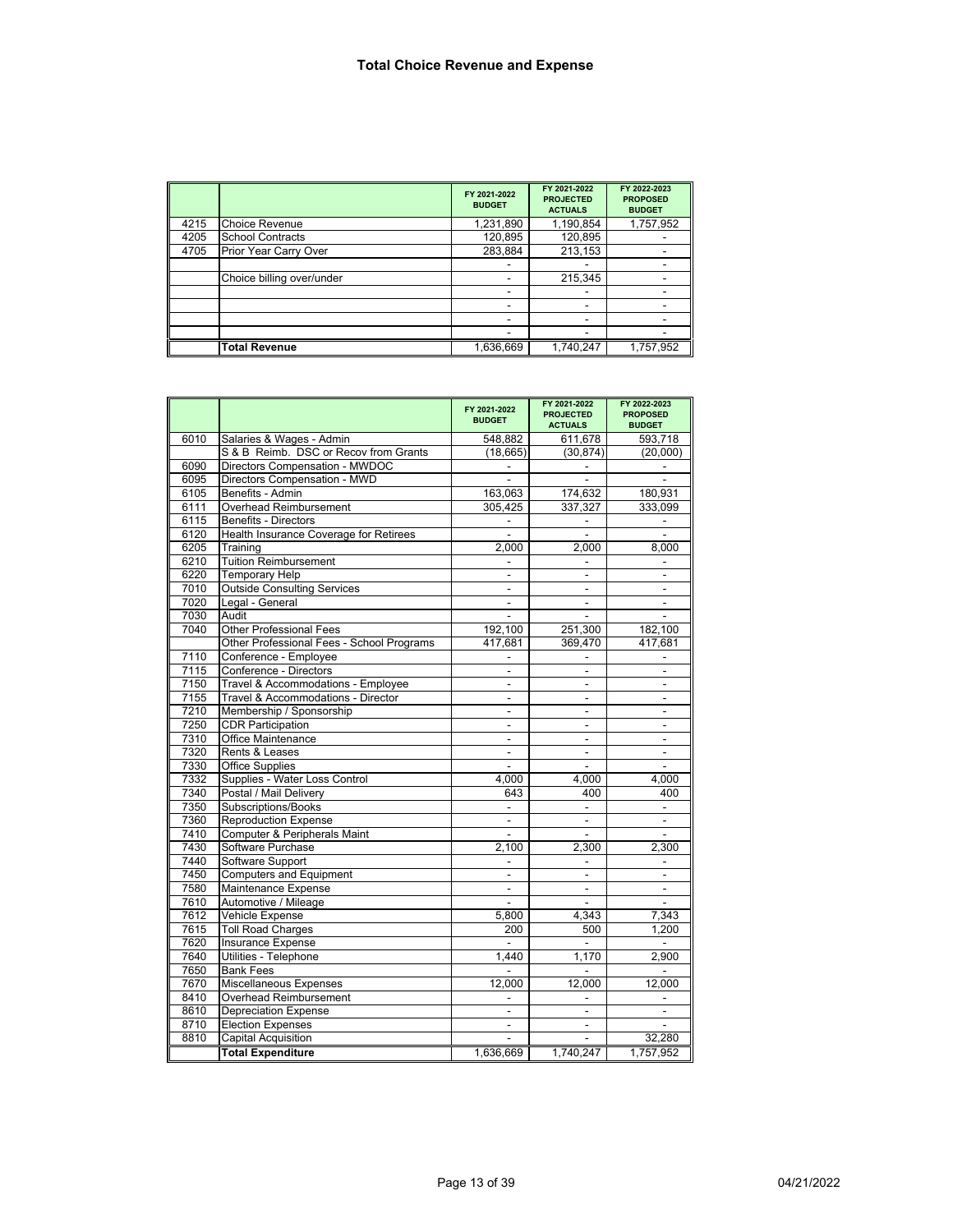|      |                           | FY 2021-2022<br><b>BUDGET</b> | FY 2021-2022<br><b>PROJECTED</b><br><b>ACTUALS</b> | FY 2022-2023<br><b>PROPOSED</b><br><b>BUDGET</b> |
|------|---------------------------|-------------------------------|----------------------------------------------------|--------------------------------------------------|
| 4215 | <b>Choice Revenue</b>     | 1,231,890                     | 1,190,854                                          | 1,757,952                                        |
| 4205 | <b>School Contracts</b>   | 120,895                       | 120,895                                            |                                                  |
| 4705 | Prior Year Carry Over     | 283,884                       | 213,153                                            |                                                  |
|      |                           |                               |                                                    |                                                  |
|      | Choice billing over/under |                               | 215,345                                            |                                                  |
|      |                           |                               |                                                    |                                                  |
|      |                           |                               |                                                    |                                                  |
|      |                           |                               |                                                    |                                                  |
|      |                           |                               | ۰                                                  |                                                  |
|      | <b>Total Revenue</b>      | 1,636,669                     | 1,740,247                                          | 1,757,952                                        |

|      |                                           | FY 2021-2022<br><b>BUDGET</b> | FY 2021-2022<br><b>PROJECTED</b><br><b>ACTUALS</b> | FY 2022-2023<br><b>PROPOSED</b><br><b>BUDGET</b> |
|------|-------------------------------------------|-------------------------------|----------------------------------------------------|--------------------------------------------------|
| 6010 | Salaries & Wages - Admin                  | 548,882                       | 611.678                                            | 593.718                                          |
|      | S & B Reimb. DSC or Recov from Grants     | (18, 665)                     | (30, 874)                                          | (20,000)                                         |
| 6090 | Directors Compensation - MWDOC            |                               |                                                    |                                                  |
| 6095 | Directors Compensation - MWD              |                               |                                                    |                                                  |
| 6105 | Benefits - Admin                          | 163,063                       | 174,632                                            | 180,931                                          |
| 6111 | Overhead Reimbursement                    | 305,425                       | 337,327                                            | 333,099                                          |
| 6115 | <b>Benefits - Directors</b>               | $\overline{\phantom{a}}$      | $\blacksquare$                                     | $\overline{\phantom{a}}$                         |
| 6120 | Health Insurance Coverage for Retirees    | $\blacksquare$                | $\blacksquare$                                     | $\blacksquare$                                   |
| 6205 | Training                                  | 2.000                         | 2,000                                              | 8,000                                            |
| 6210 | <b>Tuition Reimbursement</b>              |                               | $\blacksquare$                                     | $\overline{\phantom{a}}$                         |
| 6220 | <b>Temporary Help</b>                     | ÷                             | $\overline{a}$                                     | $\sim$                                           |
| 7010 | <b>Outside Consulting Services</b>        | $\frac{1}{2}$                 | $\overline{a}$                                     | $\blacksquare$                                   |
| 7020 | Legal - General                           | $\blacksquare$                | $\blacksquare$                                     | $\blacksquare$                                   |
| 7030 | Audit                                     | $\overline{a}$                |                                                    | $\overline{a}$                                   |
| 7040 | <b>Other Professional Fees</b>            | 192,100                       | 251,300                                            | 182,100                                          |
|      | Other Professional Fees - School Programs | 417,681                       | 369,470                                            | 417,681                                          |
| 7110 | Conference - Employee                     |                               |                                                    |                                                  |
| 7115 | Conference - Directors                    |                               |                                                    |                                                  |
| 7150 | Travel & Accommodations - Employee        | $\blacksquare$                | $\blacksquare$                                     | $\overline{\phantom{a}}$                         |
| 7155 | Travel & Accommodations - Director        | ۰                             | $\blacksquare$                                     | $\blacksquare$                                   |
| 7210 | Membership / Sponsorship                  | $\overline{\phantom{a}}$      | $\blacksquare$                                     | $\overline{\phantom{a}}$                         |
| 7250 | <b>CDR Participation</b>                  | $\overline{\phantom{a}}$      | $\blacksquare$                                     | $\blacksquare$                                   |
| 7310 | Office Maintenance                        | $\blacksquare$                | $\blacksquare$                                     | $\blacksquare$                                   |
| 7320 | Rents & Leases                            | $\blacksquare$                | $\blacksquare$                                     | $\blacksquare$                                   |
| 7330 | <b>Office Supplies</b>                    | ÷                             | ÷                                                  | ÷                                                |
| 7332 | Supplies - Water Loss Control             | 4,000                         | 4,000                                              | 4,000                                            |
| 7340 | Postal / Mail Delivery                    | 643                           | 400                                                | 400                                              |
| 7350 | <b>Subscriptions/Books</b>                | $\overline{a}$                |                                                    | ÷,                                               |
| 7360 | <b>Reproduction Expense</b>               |                               |                                                    | $\overline{a}$                                   |
| 7410 | Computer & Peripherals Maint              | ÷                             | $\overline{a}$                                     |                                                  |
| 7430 | Software Purchase                         | 2.100                         | 2.300                                              | 2,300                                            |
| 7440 | Software Support                          |                               |                                                    |                                                  |
| 7450 | <b>Computers and Equipment</b>            |                               |                                                    |                                                  |
| 7580 | Maintenance Expense                       | $\blacksquare$                | $\blacksquare$                                     | $\blacksquare$                                   |
| 7610 | Automotive / Mileage                      |                               |                                                    |                                                  |
| 7612 | Vehicle Expense                           | 5,800                         | 4.343                                              | 7,343                                            |
| 7615 | <b>Toll Road Charges</b>                  | 200                           | 500                                                | 1,200                                            |
| 7620 | <b>Insurance Expense</b>                  |                               |                                                    |                                                  |
| 7640 | Utilities - Telephone                     | 1,440                         | 1,170                                              | 2,900                                            |
| 7650 | <b>Bank Fees</b>                          |                               |                                                    |                                                  |
| 7670 | Miscellaneous Expenses                    | 12,000                        | 12,000                                             | 12,000                                           |
| 8410 | Overhead Reimbursement                    |                               |                                                    |                                                  |
| 8610 | <b>Depreciation Expense</b>               | ÷                             |                                                    | $\blacksquare$                                   |
| 8710 | <b>Election Expenses</b>                  |                               |                                                    |                                                  |
| 8810 | <b>Capital Acquisition</b>                |                               |                                                    | 32.280                                           |
|      | <b>Total Expenditure</b>                  | 1,636,669                     | 1,740,247                                          | 1,757,952                                        |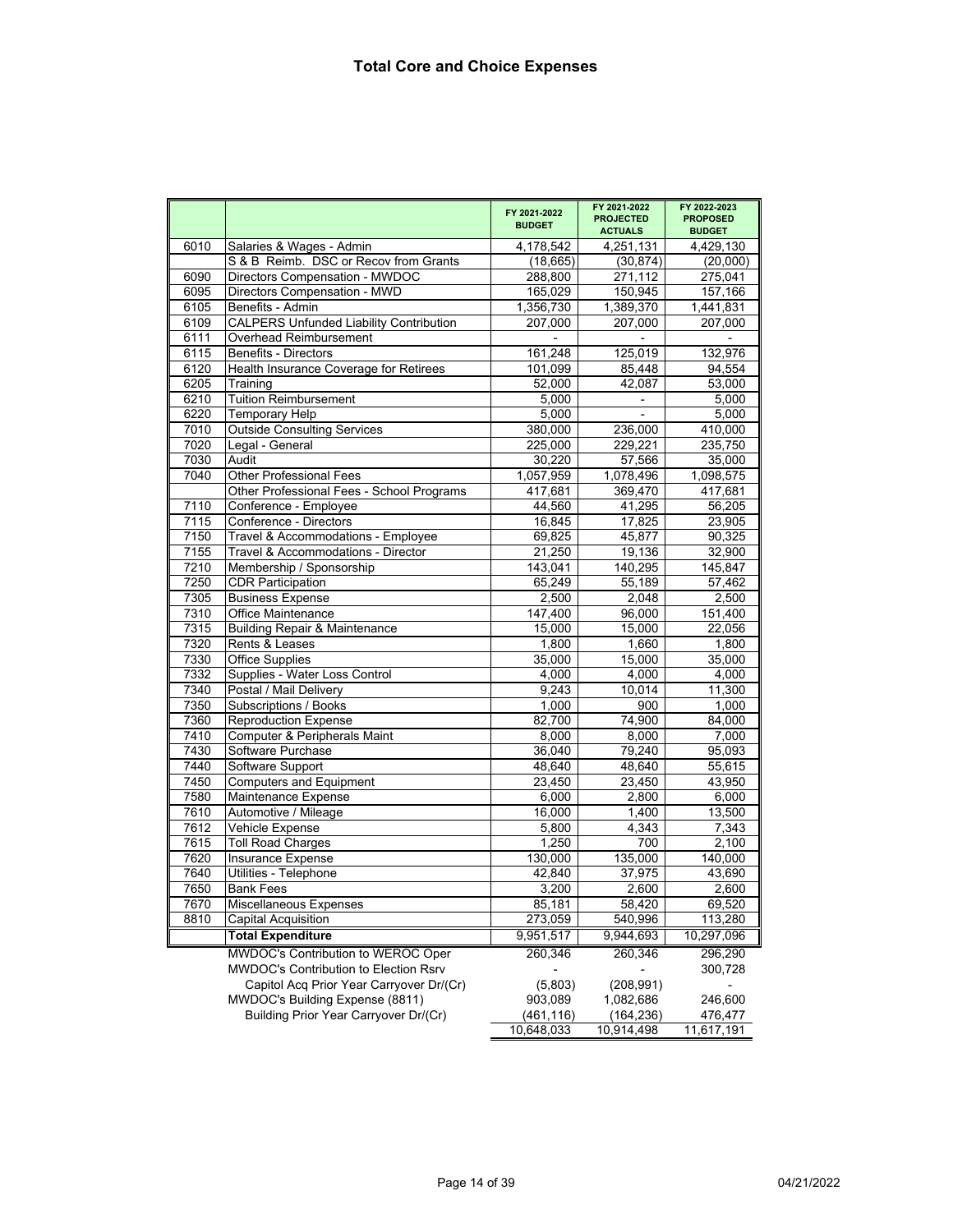|      |                                                | FY 2021-2022<br><b>BUDGET</b> | FY 2021-2022<br><b>PROJECTED</b><br><b>ACTUALS</b> | FY 2022-2023<br><b>PROPOSED</b><br><b>BUDGET</b> |
|------|------------------------------------------------|-------------------------------|----------------------------------------------------|--------------------------------------------------|
| 6010 | Salaries & Wages - Admin                       | 4,178,542                     | 4,251,131                                          | 4,429,130                                        |
|      | S & B Reimb. DSC or Recov from Grants          | (18, 665)                     | (30, 874)                                          | (20,000)                                         |
| 6090 | Directors Compensation - MWDOC                 | 288,800                       | 271,112                                            | 275,041                                          |
| 6095 | Directors Compensation - MWD                   | 165,029                       | 150,945                                            | 157,166                                          |
| 6105 | Benefits - Admin                               | 1,356,730                     | 1,389,370                                          | 1,441,831                                        |
| 6109 | <b>CALPERS Unfunded Liability Contribution</b> | 207,000                       | 207,000                                            | 207,000                                          |
| 6111 | Overhead Reimbursement                         |                               |                                                    |                                                  |
| 6115 | Benefits - Directors                           | 161,248                       | 125,019                                            | 132,976                                          |
| 6120 | Health Insurance Coverage for Retirees         | 101,099                       | 85,448                                             | 94,554                                           |
| 6205 | Training                                       | 52,000                        | 42,087                                             | 53,000                                           |
| 6210 | <b>Tuition Reimbursement</b>                   | 5.000                         |                                                    | 5,000                                            |
| 6220 | <b>Temporary Help</b>                          | 5,000                         |                                                    | 5,000                                            |
| 7010 | <b>Outside Consulting Services</b>             | 380,000                       | 236,000                                            | 410,000                                          |
| 7020 | Legal - General                                | 225,000                       | 229,221                                            | 235,750                                          |
| 7030 | Audit                                          | 30,220                        | 57,566                                             | 35,000                                           |
| 7040 | <b>Other Professional Fees</b>                 | 1,057,959                     | 1,078,496                                          | 1,098,575                                        |
|      | Other Professional Fees - School Programs      | 417,681                       | 369,470                                            | 417,681                                          |
| 7110 | Conference - Employee                          | 44,560                        | 41,295                                             | 56,205                                           |
| 7115 | Conference - Directors                         | 16,845                        | 17,825                                             | 23,905                                           |
| 7150 | Travel & Accommodations - Employee             | 69,825                        | 45,877                                             | 90,325                                           |
| 7155 | Travel & Accommodations - Director             | 21,250                        | 19,136                                             | 32,900                                           |
| 7210 | Membership / Sponsorship                       | 143,041                       | 140,295                                            | 145,847                                          |
| 7250 | <b>CDR Participation</b>                       | 65,249                        | 55,189                                             | 57,462                                           |
| 7305 | <b>Business Expense</b>                        | 2,500                         | 2,048                                              | 2,500                                            |
| 7310 | <b>Office Maintenance</b>                      | 147,400                       | 96,000                                             | 151,400                                          |
| 7315 | <b>Building Repair &amp; Maintenance</b>       | 15.000                        | 15,000                                             | 22,056                                           |
| 7320 | Rents & Leases                                 | 1,800                         | 1,660                                              | 1,800                                            |
| 7330 | <b>Office Supplies</b>                         | 35,000                        | 15,000                                             | 35,000                                           |
| 7332 | Supplies - Water Loss Control                  | 4,000                         | 4,000                                              | 4,000                                            |
| 7340 | Postal / Mail Delivery                         | 9,243                         | 10,014                                             | 11,300                                           |
| 7350 | Subscriptions / Books                          | 1,000                         | 900                                                | 1,000                                            |
| 7360 | <b>Reproduction Expense</b>                    | 82,700                        | 74,900                                             | 84,000                                           |
| 7410 | Computer & Peripherals Maint                   | 8,000                         | 8,000                                              | 7,000                                            |
| 7430 | Software Purchase                              | 36,040                        | 79,240                                             | 95,093                                           |
| 7440 | Software Support                               | 48,640                        | 48,640                                             | 55,615                                           |
| 7450 | <b>Computers and Equipment</b>                 | 23,450                        | 23,450                                             | 43,950                                           |
| 7580 | Maintenance Expense                            | 6,000                         | 2,800                                              | 6,000                                            |
| 7610 | Automotive / Mileage                           | 16,000                        | 1,400                                              | 13,500                                           |
| 7612 | Vehicle Expense                                | 5.800                         | 4,343                                              | 7,343                                            |
| 7615 | <b>Toll Road Charges</b>                       | 1,250                         | 700                                                | 2,100                                            |
| 7620 | Insurance Expense                              | 130,000                       | 135,000                                            | 140,000                                          |
| 7640 | Utilities - Telephone                          | 42,840                        | 37,975                                             | 43,690                                           |
| 7650 | <b>Bank Fees</b>                               | 3,200                         | 2,600                                              | 2,600                                            |
| 7670 | Miscellaneous Expenses                         | 85,181                        | 58,420                                             | 69,520                                           |
| 8810 | <b>Capital Acquisition</b>                     | 273,059                       | 540,996                                            | 113,280                                          |
|      | <b>Total Expenditure</b>                       | 9,951,517                     | 9,944,693                                          | 10,297,096                                       |
|      | MWDOC's Contribution to WEROC Oper             | 260,346                       | 260,346                                            | 296,290                                          |
|      | MWDOC's Contribution to Election Rsrv          |                               |                                                    | 300,728                                          |
|      | Capitol Acq Prior Year Carryover Dr/(Cr)       | (5,803)                       | (208, 991)                                         |                                                  |
|      | MWDOC's Building Expense (8811)                | 903,089                       | 1,082,686                                          | 246,600                                          |
|      | Building Prior Year Carryover Dr/(Cr)          | (461, 116)                    | (164, 236)                                         | 476,477                                          |
|      |                                                | 10,648,033                    | 10,914,498                                         | 11,617,191                                       |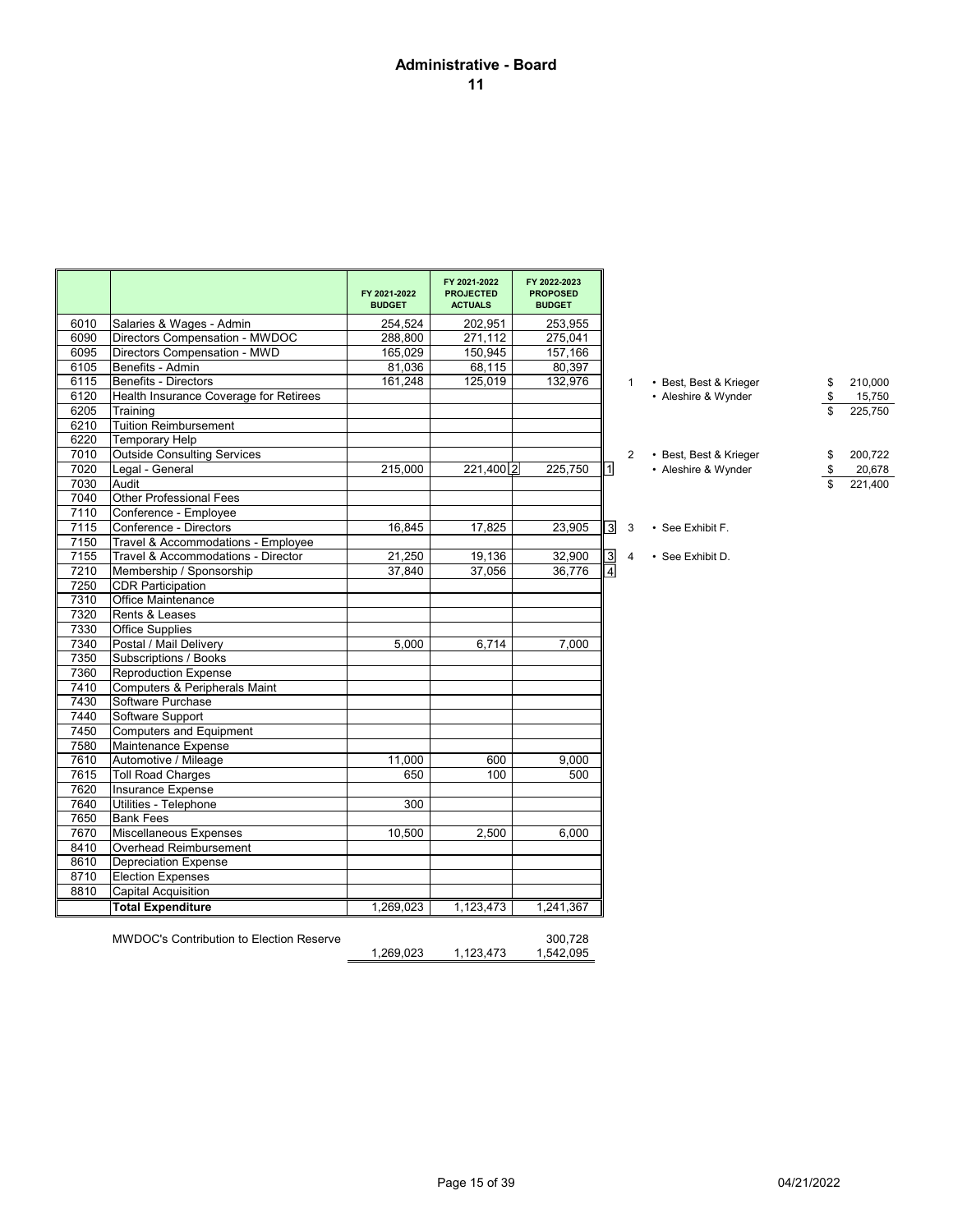# **Administrative - Board 11**

|      |                                                 | FY 2021-2022<br><b>BUDGET</b> | FY 2021-2022<br><b>PROJECTED</b><br><b>ACTUALS</b> | FY 2022-2023<br><b>PROPOSED</b><br><b>BUDGET</b> |                         |                |                        |               |
|------|-------------------------------------------------|-------------------------------|----------------------------------------------------|--------------------------------------------------|-------------------------|----------------|------------------------|---------------|
| 6010 | Salaries & Wages - Admin                        | 254,524                       | 202,951                                            | 253,955                                          |                         |                |                        |               |
| 6090 | Directors Compensation - MWDOC                  | 288,800                       | 271,112                                            | 275,041                                          |                         |                |                        |               |
| 6095 | Directors Compensation - MWD                    | 165,029                       | 150,945                                            | 157,166                                          |                         |                |                        |               |
| 6105 | Benefits - Admin                                | 81,036                        | 68,115                                             | 80,397                                           |                         |                |                        |               |
| 6115 | <b>Benefits - Directors</b>                     | 161,248                       | 125,019                                            | 132,976                                          |                         | $\mathbf{1}$   | • Best, Best & Krieger | \$<br>210,000 |
| 6120 | Health Insurance Coverage for Retirees          |                               |                                                    |                                                  |                         |                | • Aleshire & Wynder    | \$<br>15,750  |
| 6205 | Training                                        |                               |                                                    |                                                  |                         |                |                        | 225,750       |
| 6210 | <b>Tuition Reimbursement</b>                    |                               |                                                    |                                                  |                         |                |                        |               |
| 6220 | <b>Temporary Help</b>                           |                               |                                                    |                                                  |                         |                |                        |               |
| 7010 | <b>Outside Consulting Services</b>              |                               |                                                    |                                                  |                         | $\overline{2}$ | • Best, Best & Krieger | 200,722       |
| 7020 | Legal - General                                 | 215,000                       | 221,400 2                                          | 225,750                                          | 1                       |                | • Aleshire & Wynder    | 20,678        |
| 7030 | Audit                                           |                               |                                                    |                                                  |                         |                |                        | 221,400       |
| 7040 | <b>Other Professional Fees</b>                  |                               |                                                    |                                                  |                         |                |                        |               |
| 7110 | Conference - Employee                           |                               |                                                    |                                                  |                         |                |                        |               |
| 7115 | Conference - Directors                          | 16,845                        | 17,825                                             | 23,905                                           | $\overline{\mathsf{3}}$ | $\mathbf{3}$   | • See Exhibit F.       |               |
| 7150 | Travel & Accommodations - Employee              |                               |                                                    |                                                  |                         |                |                        |               |
| 7155 | Travel & Accommodations - Director              | 21,250                        | 19,136                                             | 32,900                                           | $\overline{3}$          | $\overline{4}$ | • See Exhibit D.       |               |
| 7210 | Membership / Sponsorship                        | 37.840                        | 37,056                                             | 36,776                                           | $\overline{4}$          |                |                        |               |
| 7250 | <b>CDR Participation</b>                        |                               |                                                    |                                                  |                         |                |                        |               |
| 7310 | Office Maintenance                              |                               |                                                    |                                                  |                         |                |                        |               |
| 7320 | Rents & Leases                                  |                               |                                                    |                                                  |                         |                |                        |               |
| 7330 | <b>Office Supplies</b>                          |                               |                                                    |                                                  |                         |                |                        |               |
| 7340 | Postal / Mail Delivery                          | 5,000                         | 6,714                                              | 7,000                                            |                         |                |                        |               |
| 7350 | Subscriptions / Books                           |                               |                                                    |                                                  |                         |                |                        |               |
| 7360 | <b>Reproduction Expense</b>                     |                               |                                                    |                                                  |                         |                |                        |               |
| 7410 | Computers & Peripherals Maint                   |                               |                                                    |                                                  |                         |                |                        |               |
| 7430 | Software Purchase                               |                               |                                                    |                                                  |                         |                |                        |               |
| 7440 | Software Support                                |                               |                                                    |                                                  |                         |                |                        |               |
| 7450 | Computers and Equipment                         |                               |                                                    |                                                  |                         |                |                        |               |
| 7580 | Maintenance Expense                             |                               |                                                    |                                                  |                         |                |                        |               |
| 7610 | Automotive / Mileage                            | 11,000                        | 600                                                | 9.000                                            |                         |                |                        |               |
| 7615 | <b>Toll Road Charges</b>                        | 650                           | 100                                                | 500                                              |                         |                |                        |               |
| 7620 | Insurance Expense                               |                               |                                                    |                                                  |                         |                |                        |               |
| 7640 | Utilities - Telephone                           | 300                           |                                                    |                                                  |                         |                |                        |               |
| 7650 | <b>Bank Fees</b>                                |                               |                                                    |                                                  |                         |                |                        |               |
| 7670 | <b>Miscellaneous Expenses</b>                   | 10,500                        | 2,500                                              | 6,000                                            |                         |                |                        |               |
| 8410 | Overhead Reimbursement                          |                               |                                                    |                                                  |                         |                |                        |               |
| 8610 | <b>Depreciation Expense</b>                     |                               |                                                    |                                                  |                         |                |                        |               |
| 8710 | <b>Election Expenses</b>                        |                               |                                                    |                                                  |                         |                |                        |               |
| 8810 | <b>Capital Acquisition</b>                      |                               |                                                    |                                                  |                         |                |                        |               |
|      | <b>Total Expenditure</b>                        | 1,269,023                     | 1,123,473                                          | 1,241,367                                        |                         |                |                        |               |
|      | <b>MWDOC's Contribution to Election Reserve</b> | 1.269.023                     | 1,123,473                                          | 300,728<br>1,542,095                             |                         |                |                        |               |

- -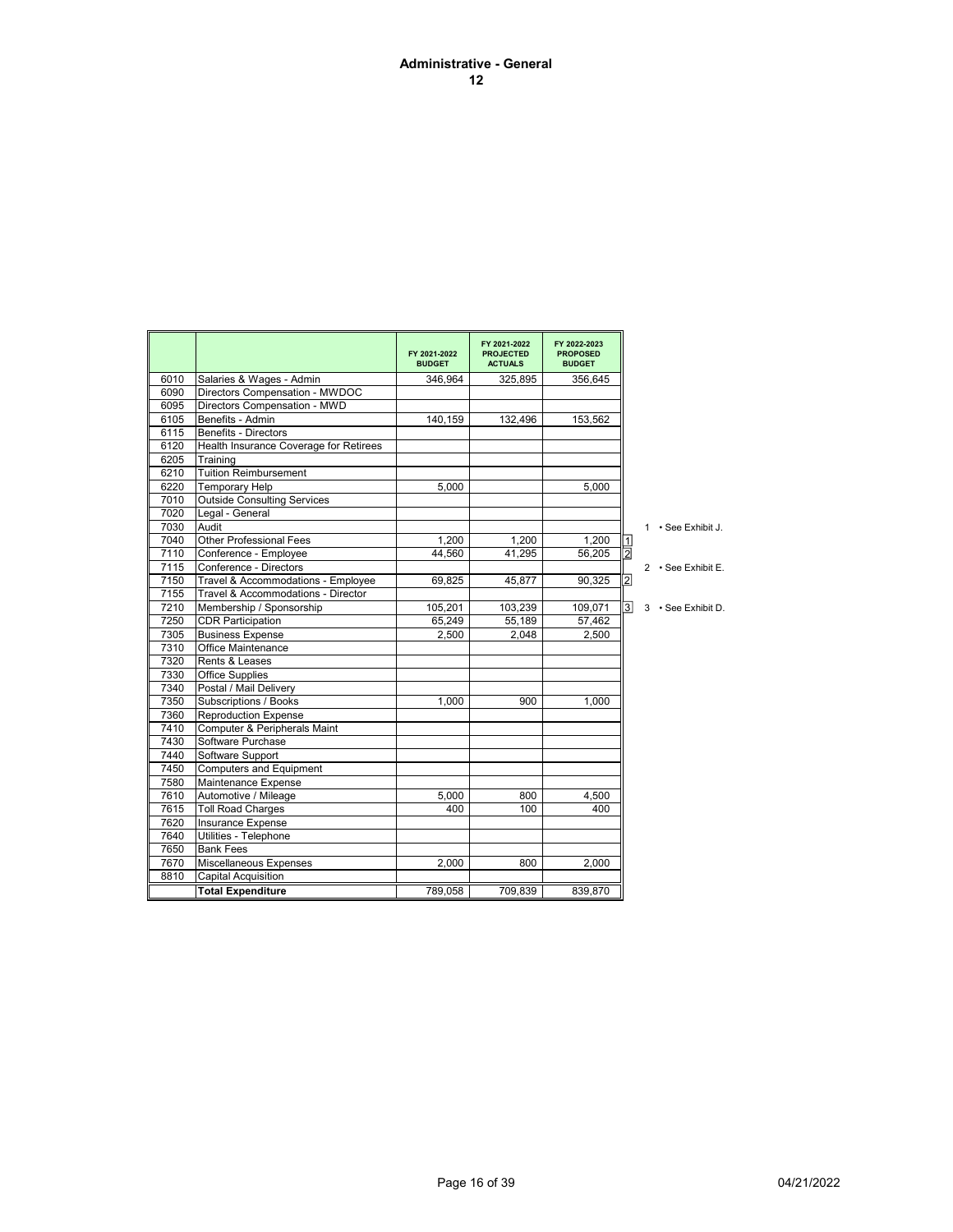#### **Administrative - General 12**

|      |                                        | FY 2021-2022<br><b>BUDGET</b> | FY 2021-2022<br><b>PROJECTED</b><br><b>ACTUALS</b> | FY 2022-2023<br><b>PROPOSED</b><br><b>BUDGET</b> |                |                    |
|------|----------------------------------------|-------------------------------|----------------------------------------------------|--------------------------------------------------|----------------|--------------------|
| 6010 | Salaries & Wages - Admin               | 346,964                       | 325,895                                            | 356,645                                          |                |                    |
| 6090 | Directors Compensation - MWDOC         |                               |                                                    |                                                  |                |                    |
| 6095 | Directors Compensation - MWD           |                               |                                                    |                                                  |                |                    |
| 6105 | Benefits - Admin                       | 140,159                       | 132,496                                            | 153,562                                          |                |                    |
| 6115 | <b>Benefits - Directors</b>            |                               |                                                    |                                                  |                |                    |
| 6120 | Health Insurance Coverage for Retirees |                               |                                                    |                                                  |                |                    |
| 6205 | Training                               |                               |                                                    |                                                  |                |                    |
| 6210 | <b>Tuition Reimbursement</b>           |                               |                                                    |                                                  |                |                    |
| 6220 | <b>Temporary Help</b>                  | 5.000                         |                                                    | 5.000                                            |                |                    |
| 7010 | <b>Outside Consulting Services</b>     |                               |                                                    |                                                  |                |                    |
| 7020 | Legal - General                        |                               |                                                    |                                                  |                |                    |
| 7030 | Audit                                  |                               |                                                    |                                                  |                | 1 • See Exhibit J. |
| 7040 | <b>Other Professional Fees</b>         | 1.200                         | 1.200                                              | 1.200                                            |                |                    |
| 7110 | Conference - Employee                  | 44,560                        | 41,295                                             | 56,205                                           | $\frac{1}{2}$  |                    |
| 7115 | Conference - Directors                 |                               |                                                    |                                                  |                | 2 · See Exhibit E. |
| 7150 | Travel & Accommodations - Employee     | 69,825                        | 45,877                                             | 90,325                                           | $\overline{2}$ |                    |
| 7155 | Travel & Accommodations - Director     |                               |                                                    |                                                  |                |                    |
| 7210 | Membership / Sponsorship               | 105,201                       | 103,239                                            | 109,071                                          | $\overline{3}$ | 3 · See Exhibit D. |
| 7250 | <b>CDR Participation</b>               | 65,249                        | 55,189                                             | 57,462                                           |                |                    |
| 7305 | <b>Business Expense</b>                | 2,500                         | 2.048                                              | 2,500                                            |                |                    |
| 7310 | Office Maintenance                     |                               |                                                    |                                                  |                |                    |
| 7320 | Rents & Leases                         |                               |                                                    |                                                  |                |                    |
| 7330 | <b>Office Supplies</b>                 |                               |                                                    |                                                  |                |                    |
| 7340 | Postal / Mail Delivery                 |                               |                                                    |                                                  |                |                    |
| 7350 | Subscriptions / Books                  | 1.000                         | 900                                                | 1,000                                            |                |                    |
| 7360 | <b>Reproduction Expense</b>            |                               |                                                    |                                                  |                |                    |
| 7410 | Computer & Peripherals Maint           |                               |                                                    |                                                  |                |                    |
| 7430 | Software Purchase                      |                               |                                                    |                                                  |                |                    |
| 7440 | Software Support                       |                               |                                                    |                                                  |                |                    |
| 7450 | <b>Computers and Equipment</b>         |                               |                                                    |                                                  |                |                    |
| 7580 | Maintenance Expense                    |                               |                                                    |                                                  |                |                    |
| 7610 | Automotive / Mileage                   | 5,000                         | 800                                                | 4,500                                            |                |                    |
| 7615 | <b>Toll Road Charges</b>               | 400                           | 100                                                | 400                                              |                |                    |
| 7620 | <b>Insurance Expense</b>               |                               |                                                    |                                                  |                |                    |
| 7640 | Utilities - Telephone                  |                               |                                                    |                                                  |                |                    |
| 7650 | <b>Bank Fees</b>                       |                               |                                                    |                                                  |                |                    |
| 7670 | <b>Miscellaneous Expenses</b>          | 2.000                         | 800                                                | 2.000                                            |                |                    |
| 8810 | Capital Acquisition                    |                               |                                                    |                                                  |                |                    |
|      | <b>Total Expenditure</b>               | 789,058                       | 709,839                                            | 839,870                                          |                |                    |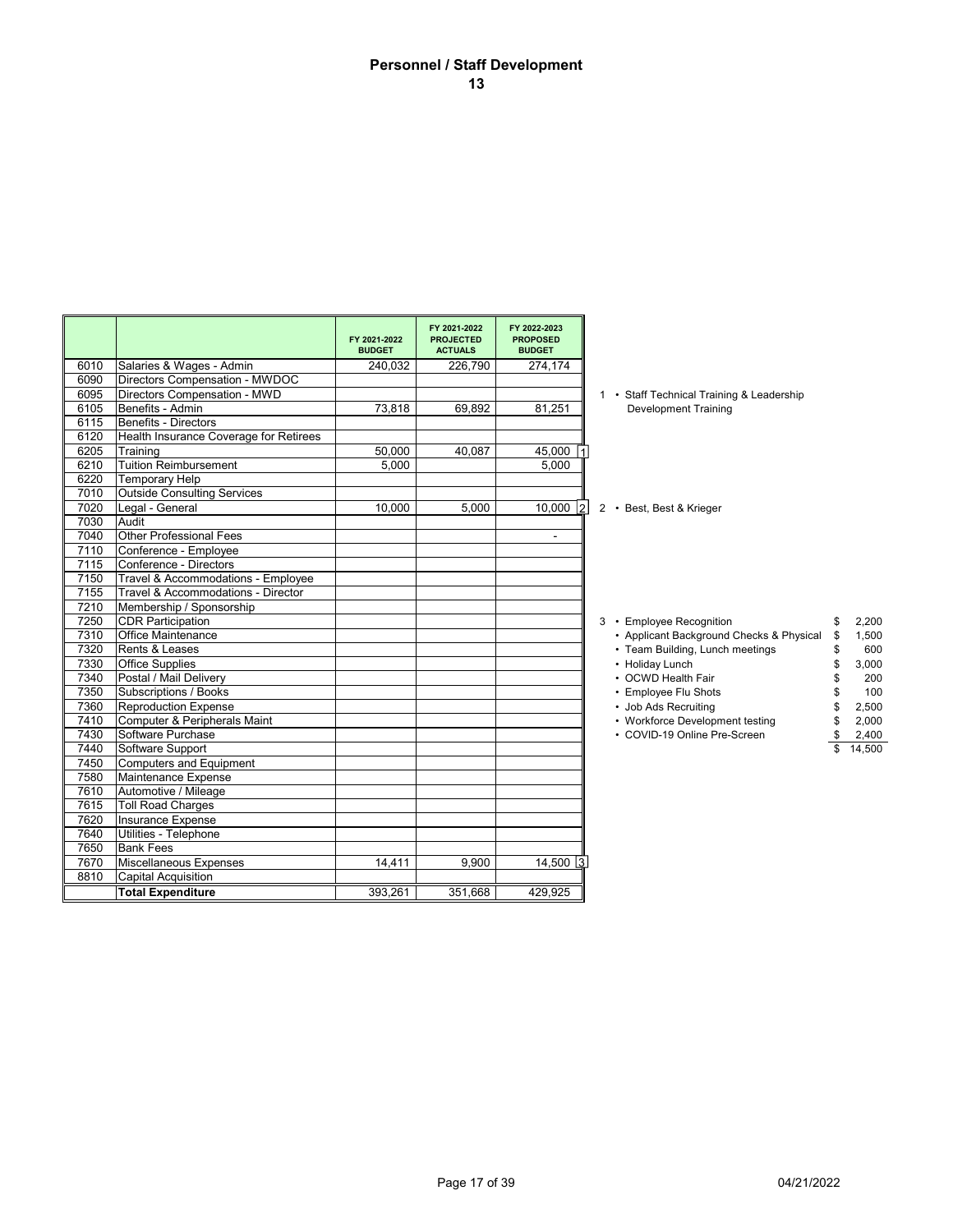# **Personnel / Staff Development 13**

| FY 2021-2022<br>FY 2022-2023<br>FY 2021-2022<br><b>PROJECTED</b><br><b>PROPOSED</b><br><b>BUDGET</b><br><b>ACTUALS</b><br><b>BUDGET</b><br>Salaries & Wages - Admin<br>6010<br>240,032<br>226,790<br>274,174<br>Directors Compensation - MWDOC<br>6090<br>Directors Compensation - MWD<br>6095<br>1 • Staff Technical Training & Leadership<br>6105<br>Benefits - Admin<br>73,818<br>81,251<br>69,892<br><b>Development Training</b><br>6115<br>Benefits - Directors<br>Health Insurance Coverage for Retirees<br>6120<br>6205<br>50,000<br>40,087<br>45,000 1<br>Training<br>6210<br><b>Tuition Reimbursement</b><br>5,000<br>5.000<br>6220<br><b>Temporary Help</b><br><b>Outside Consulting Services</b><br>7010<br>7020<br>10.000<br>Legal - General<br>5.000<br>$10,000$  2<br>2 • Best, Best & Krieger<br>7030<br>Audit<br>7040<br><b>Other Professional Fees</b><br>$\blacksquare$<br>7110<br>Conference - Employee<br>7115<br>Conference - Directors<br>7150<br>Travel & Accommodations - Employee<br>7155<br>Travel & Accommodations - Director<br>7210<br>Membership / Sponsorship<br>7250<br><b>CDR Participation</b><br>3 • Employee Recognition<br>\$<br>7310<br><b>Office Maintenance</b><br>• Applicant Background Checks & Physical<br>\$<br>7320<br>Rents & Leases<br>• Team Building, Lunch meetings<br>\$<br>7330<br><b>Office Supplies</b><br>• Holiday Lunch<br>\$<br>7340<br>Postal / Mail Delivery<br>• OCWD Health Fair<br>\$<br>7350<br>Subscriptions / Books<br>• Employee Flu Shots<br>7360<br><b>Reproduction Expense</b><br>• Job Ads Recruiting<br>7410<br>Computer & Peripherals Maint<br>• Workforce Development testing<br>\$<br>7430<br>Software Purchase<br>• COVID-19 Online Pre-Screen<br>\$<br>7440<br>Software Support<br>7450<br>Computers and Equipment<br>7580<br>Maintenance Expense<br>7610<br>Automotive / Mileage<br><b>Toll Road Charges</b><br>7615<br>7620<br>Insurance Expense<br>7640<br>Utilities - Telephone<br>7650<br><b>Bank Fees</b><br>7670<br>Miscellaneous Expenses<br>9,900<br>14,411<br>$14,500$ 3<br>8810<br><b>Capital Acquisition</b><br><b>Total Expenditure</b><br>393,261<br>351,668<br>429,925 |  |  |  |  |
|---------------------------------------------------------------------------------------------------------------------------------------------------------------------------------------------------------------------------------------------------------------------------------------------------------------------------------------------------------------------------------------------------------------------------------------------------------------------------------------------------------------------------------------------------------------------------------------------------------------------------------------------------------------------------------------------------------------------------------------------------------------------------------------------------------------------------------------------------------------------------------------------------------------------------------------------------------------------------------------------------------------------------------------------------------------------------------------------------------------------------------------------------------------------------------------------------------------------------------------------------------------------------------------------------------------------------------------------------------------------------------------------------------------------------------------------------------------------------------------------------------------------------------------------------------------------------------------------------------------------------------------------------------------------------------------------------------------------------------------------------------------------------------------------------------------------------------------------------------------------------------------------------------------------------------------------------------------------------------------------------------------------------------------------------------------------------------------------------------------------------------------------------------------------|--|--|--|--|
| 2,200<br>1,500<br>600<br>3,000<br>200<br>100<br>2,500<br>2,000<br>2,400<br>14,500                                                                                                                                                                                                                                                                                                                                                                                                                                                                                                                                                                                                                                                                                                                                                                                                                                                                                                                                                                                                                                                                                                                                                                                                                                                                                                                                                                                                                                                                                                                                                                                                                                                                                                                                                                                                                                                                                                                                                                                                                                                                                   |  |  |  |  |
|                                                                                                                                                                                                                                                                                                                                                                                                                                                                                                                                                                                                                                                                                                                                                                                                                                                                                                                                                                                                                                                                                                                                                                                                                                                                                                                                                                                                                                                                                                                                                                                                                                                                                                                                                                                                                                                                                                                                                                                                                                                                                                                                                                     |  |  |  |  |
|                                                                                                                                                                                                                                                                                                                                                                                                                                                                                                                                                                                                                                                                                                                                                                                                                                                                                                                                                                                                                                                                                                                                                                                                                                                                                                                                                                                                                                                                                                                                                                                                                                                                                                                                                                                                                                                                                                                                                                                                                                                                                                                                                                     |  |  |  |  |
|                                                                                                                                                                                                                                                                                                                                                                                                                                                                                                                                                                                                                                                                                                                                                                                                                                                                                                                                                                                                                                                                                                                                                                                                                                                                                                                                                                                                                                                                                                                                                                                                                                                                                                                                                                                                                                                                                                                                                                                                                                                                                                                                                                     |  |  |  |  |
|                                                                                                                                                                                                                                                                                                                                                                                                                                                                                                                                                                                                                                                                                                                                                                                                                                                                                                                                                                                                                                                                                                                                                                                                                                                                                                                                                                                                                                                                                                                                                                                                                                                                                                                                                                                                                                                                                                                                                                                                                                                                                                                                                                     |  |  |  |  |
|                                                                                                                                                                                                                                                                                                                                                                                                                                                                                                                                                                                                                                                                                                                                                                                                                                                                                                                                                                                                                                                                                                                                                                                                                                                                                                                                                                                                                                                                                                                                                                                                                                                                                                                                                                                                                                                                                                                                                                                                                                                                                                                                                                     |  |  |  |  |
|                                                                                                                                                                                                                                                                                                                                                                                                                                                                                                                                                                                                                                                                                                                                                                                                                                                                                                                                                                                                                                                                                                                                                                                                                                                                                                                                                                                                                                                                                                                                                                                                                                                                                                                                                                                                                                                                                                                                                                                                                                                                                                                                                                     |  |  |  |  |
|                                                                                                                                                                                                                                                                                                                                                                                                                                                                                                                                                                                                                                                                                                                                                                                                                                                                                                                                                                                                                                                                                                                                                                                                                                                                                                                                                                                                                                                                                                                                                                                                                                                                                                                                                                                                                                                                                                                                                                                                                                                                                                                                                                     |  |  |  |  |
|                                                                                                                                                                                                                                                                                                                                                                                                                                                                                                                                                                                                                                                                                                                                                                                                                                                                                                                                                                                                                                                                                                                                                                                                                                                                                                                                                                                                                                                                                                                                                                                                                                                                                                                                                                                                                                                                                                                                                                                                                                                                                                                                                                     |  |  |  |  |
|                                                                                                                                                                                                                                                                                                                                                                                                                                                                                                                                                                                                                                                                                                                                                                                                                                                                                                                                                                                                                                                                                                                                                                                                                                                                                                                                                                                                                                                                                                                                                                                                                                                                                                                                                                                                                                                                                                                                                                                                                                                                                                                                                                     |  |  |  |  |
|                                                                                                                                                                                                                                                                                                                                                                                                                                                                                                                                                                                                                                                                                                                                                                                                                                                                                                                                                                                                                                                                                                                                                                                                                                                                                                                                                                                                                                                                                                                                                                                                                                                                                                                                                                                                                                                                                                                                                                                                                                                                                                                                                                     |  |  |  |  |
|                                                                                                                                                                                                                                                                                                                                                                                                                                                                                                                                                                                                                                                                                                                                                                                                                                                                                                                                                                                                                                                                                                                                                                                                                                                                                                                                                                                                                                                                                                                                                                                                                                                                                                                                                                                                                                                                                                                                                                                                                                                                                                                                                                     |  |  |  |  |
|                                                                                                                                                                                                                                                                                                                                                                                                                                                                                                                                                                                                                                                                                                                                                                                                                                                                                                                                                                                                                                                                                                                                                                                                                                                                                                                                                                                                                                                                                                                                                                                                                                                                                                                                                                                                                                                                                                                                                                                                                                                                                                                                                                     |  |  |  |  |
|                                                                                                                                                                                                                                                                                                                                                                                                                                                                                                                                                                                                                                                                                                                                                                                                                                                                                                                                                                                                                                                                                                                                                                                                                                                                                                                                                                                                                                                                                                                                                                                                                                                                                                                                                                                                                                                                                                                                                                                                                                                                                                                                                                     |  |  |  |  |
|                                                                                                                                                                                                                                                                                                                                                                                                                                                                                                                                                                                                                                                                                                                                                                                                                                                                                                                                                                                                                                                                                                                                                                                                                                                                                                                                                                                                                                                                                                                                                                                                                                                                                                                                                                                                                                                                                                                                                                                                                                                                                                                                                                     |  |  |  |  |
|                                                                                                                                                                                                                                                                                                                                                                                                                                                                                                                                                                                                                                                                                                                                                                                                                                                                                                                                                                                                                                                                                                                                                                                                                                                                                                                                                                                                                                                                                                                                                                                                                                                                                                                                                                                                                                                                                                                                                                                                                                                                                                                                                                     |  |  |  |  |
|                                                                                                                                                                                                                                                                                                                                                                                                                                                                                                                                                                                                                                                                                                                                                                                                                                                                                                                                                                                                                                                                                                                                                                                                                                                                                                                                                                                                                                                                                                                                                                                                                                                                                                                                                                                                                                                                                                                                                                                                                                                                                                                                                                     |  |  |  |  |
|                                                                                                                                                                                                                                                                                                                                                                                                                                                                                                                                                                                                                                                                                                                                                                                                                                                                                                                                                                                                                                                                                                                                                                                                                                                                                                                                                                                                                                                                                                                                                                                                                                                                                                                                                                                                                                                                                                                                                                                                                                                                                                                                                                     |  |  |  |  |
|                                                                                                                                                                                                                                                                                                                                                                                                                                                                                                                                                                                                                                                                                                                                                                                                                                                                                                                                                                                                                                                                                                                                                                                                                                                                                                                                                                                                                                                                                                                                                                                                                                                                                                                                                                                                                                                                                                                                                                                                                                                                                                                                                                     |  |  |  |  |
|                                                                                                                                                                                                                                                                                                                                                                                                                                                                                                                                                                                                                                                                                                                                                                                                                                                                                                                                                                                                                                                                                                                                                                                                                                                                                                                                                                                                                                                                                                                                                                                                                                                                                                                                                                                                                                                                                                                                                                                                                                                                                                                                                                     |  |  |  |  |
|                                                                                                                                                                                                                                                                                                                                                                                                                                                                                                                                                                                                                                                                                                                                                                                                                                                                                                                                                                                                                                                                                                                                                                                                                                                                                                                                                                                                                                                                                                                                                                                                                                                                                                                                                                                                                                                                                                                                                                                                                                                                                                                                                                     |  |  |  |  |
|                                                                                                                                                                                                                                                                                                                                                                                                                                                                                                                                                                                                                                                                                                                                                                                                                                                                                                                                                                                                                                                                                                                                                                                                                                                                                                                                                                                                                                                                                                                                                                                                                                                                                                                                                                                                                                                                                                                                                                                                                                                                                                                                                                     |  |  |  |  |
|                                                                                                                                                                                                                                                                                                                                                                                                                                                                                                                                                                                                                                                                                                                                                                                                                                                                                                                                                                                                                                                                                                                                                                                                                                                                                                                                                                                                                                                                                                                                                                                                                                                                                                                                                                                                                                                                                                                                                                                                                                                                                                                                                                     |  |  |  |  |
|                                                                                                                                                                                                                                                                                                                                                                                                                                                                                                                                                                                                                                                                                                                                                                                                                                                                                                                                                                                                                                                                                                                                                                                                                                                                                                                                                                                                                                                                                                                                                                                                                                                                                                                                                                                                                                                                                                                                                                                                                                                                                                                                                                     |  |  |  |  |
|                                                                                                                                                                                                                                                                                                                                                                                                                                                                                                                                                                                                                                                                                                                                                                                                                                                                                                                                                                                                                                                                                                                                                                                                                                                                                                                                                                                                                                                                                                                                                                                                                                                                                                                                                                                                                                                                                                                                                                                                                                                                                                                                                                     |  |  |  |  |
|                                                                                                                                                                                                                                                                                                                                                                                                                                                                                                                                                                                                                                                                                                                                                                                                                                                                                                                                                                                                                                                                                                                                                                                                                                                                                                                                                                                                                                                                                                                                                                                                                                                                                                                                                                                                                                                                                                                                                                                                                                                                                                                                                                     |  |  |  |  |
|                                                                                                                                                                                                                                                                                                                                                                                                                                                                                                                                                                                                                                                                                                                                                                                                                                                                                                                                                                                                                                                                                                                                                                                                                                                                                                                                                                                                                                                                                                                                                                                                                                                                                                                                                                                                                                                                                                                                                                                                                                                                                                                                                                     |  |  |  |  |
|                                                                                                                                                                                                                                                                                                                                                                                                                                                                                                                                                                                                                                                                                                                                                                                                                                                                                                                                                                                                                                                                                                                                                                                                                                                                                                                                                                                                                                                                                                                                                                                                                                                                                                                                                                                                                                                                                                                                                                                                                                                                                                                                                                     |  |  |  |  |
|                                                                                                                                                                                                                                                                                                                                                                                                                                                                                                                                                                                                                                                                                                                                                                                                                                                                                                                                                                                                                                                                                                                                                                                                                                                                                                                                                                                                                                                                                                                                                                                                                                                                                                                                                                                                                                                                                                                                                                                                                                                                                                                                                                     |  |  |  |  |
|                                                                                                                                                                                                                                                                                                                                                                                                                                                                                                                                                                                                                                                                                                                                                                                                                                                                                                                                                                                                                                                                                                                                                                                                                                                                                                                                                                                                                                                                                                                                                                                                                                                                                                                                                                                                                                                                                                                                                                                                                                                                                                                                                                     |  |  |  |  |
|                                                                                                                                                                                                                                                                                                                                                                                                                                                                                                                                                                                                                                                                                                                                                                                                                                                                                                                                                                                                                                                                                                                                                                                                                                                                                                                                                                                                                                                                                                                                                                                                                                                                                                                                                                                                                                                                                                                                                                                                                                                                                                                                                                     |  |  |  |  |
|                                                                                                                                                                                                                                                                                                                                                                                                                                                                                                                                                                                                                                                                                                                                                                                                                                                                                                                                                                                                                                                                                                                                                                                                                                                                                                                                                                                                                                                                                                                                                                                                                                                                                                                                                                                                                                                                                                                                                                                                                                                                                                                                                                     |  |  |  |  |
|                                                                                                                                                                                                                                                                                                                                                                                                                                                                                                                                                                                                                                                                                                                                                                                                                                                                                                                                                                                                                                                                                                                                                                                                                                                                                                                                                                                                                                                                                                                                                                                                                                                                                                                                                                                                                                                                                                                                                                                                                                                                                                                                                                     |  |  |  |  |
|                                                                                                                                                                                                                                                                                                                                                                                                                                                                                                                                                                                                                                                                                                                                                                                                                                                                                                                                                                                                                                                                                                                                                                                                                                                                                                                                                                                                                                                                                                                                                                                                                                                                                                                                                                                                                                                                                                                                                                                                                                                                                                                                                                     |  |  |  |  |
|                                                                                                                                                                                                                                                                                                                                                                                                                                                                                                                                                                                                                                                                                                                                                                                                                                                                                                                                                                                                                                                                                                                                                                                                                                                                                                                                                                                                                                                                                                                                                                                                                                                                                                                                                                                                                                                                                                                                                                                                                                                                                                                                                                     |  |  |  |  |
|                                                                                                                                                                                                                                                                                                                                                                                                                                                                                                                                                                                                                                                                                                                                                                                                                                                                                                                                                                                                                                                                                                                                                                                                                                                                                                                                                                                                                                                                                                                                                                                                                                                                                                                                                                                                                                                                                                                                                                                                                                                                                                                                                                     |  |  |  |  |
|                                                                                                                                                                                                                                                                                                                                                                                                                                                                                                                                                                                                                                                                                                                                                                                                                                                                                                                                                                                                                                                                                                                                                                                                                                                                                                                                                                                                                                                                                                                                                                                                                                                                                                                                                                                                                                                                                                                                                                                                                                                                                                                                                                     |  |  |  |  |
|                                                                                                                                                                                                                                                                                                                                                                                                                                                                                                                                                                                                                                                                                                                                                                                                                                                                                                                                                                                                                                                                                                                                                                                                                                                                                                                                                                                                                                                                                                                                                                                                                                                                                                                                                                                                                                                                                                                                                                                                                                                                                                                                                                     |  |  |  |  |
|                                                                                                                                                                                                                                                                                                                                                                                                                                                                                                                                                                                                                                                                                                                                                                                                                                                                                                                                                                                                                                                                                                                                                                                                                                                                                                                                                                                                                                                                                                                                                                                                                                                                                                                                                                                                                                                                                                                                                                                                                                                                                                                                                                     |  |  |  |  |
|                                                                                                                                                                                                                                                                                                                                                                                                                                                                                                                                                                                                                                                                                                                                                                                                                                                                                                                                                                                                                                                                                                                                                                                                                                                                                                                                                                                                                                                                                                                                                                                                                                                                                                                                                                                                                                                                                                                                                                                                                                                                                                                                                                     |  |  |  |  |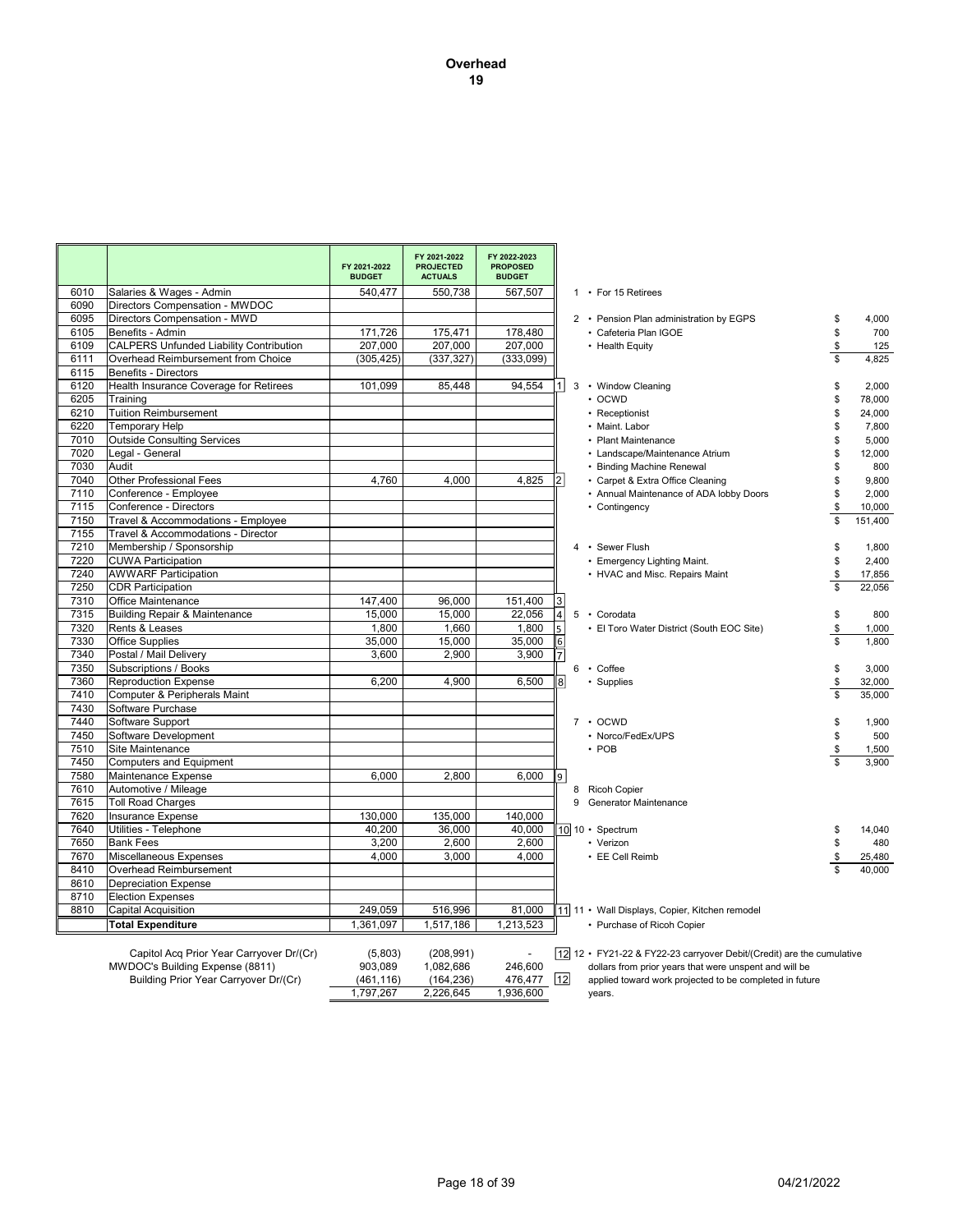|      |                                                                             | FY 2021-2022<br><b>BUDGET</b> | FY 2021-2022<br><b>PROJECTED</b><br><b>ACTUALS</b> | FY 2022-2023<br><b>PROPOSED</b><br><b>BUDGET</b> |                |                                                                                                                                 |               |
|------|-----------------------------------------------------------------------------|-------------------------------|----------------------------------------------------|--------------------------------------------------|----------------|---------------------------------------------------------------------------------------------------------------------------------|---------------|
| 6010 | Salaries & Wages - Admin                                                    | 540,477                       | 550,738                                            | 567,507                                          |                | 1 • For 15 Retirees                                                                                                             |               |
| 6090 | Directors Compensation - MWDOC                                              |                               |                                                    |                                                  |                |                                                                                                                                 |               |
| 6095 | Directors Compensation - MWD                                                |                               |                                                    |                                                  |                | 2 • Pension Plan administration by EGPS                                                                                         | \$<br>4,000   |
| 6105 | Benefits - Admin                                                            | 171,726                       | 175,471                                            | 178,480                                          |                | · Cafeteria Plan IGOE                                                                                                           | \$<br>700     |
| 6109 | <b>CALPERS Unfunded Liability Contribution</b>                              | 207,000                       | 207,000                                            | 207,000                                          |                | • Health Equity                                                                                                                 | \$<br>125     |
| 6111 | Overhead Reimbursement from Choice                                          | (305, 425)                    | (337, 327)                                         | (333,099)                                        |                |                                                                                                                                 | \$<br>4,825   |
| 6115 | <b>Benefits - Directors</b>                                                 |                               |                                                    |                                                  |                |                                                                                                                                 |               |
| 6120 | Health Insurance Coverage for Retirees                                      | 101,099                       | 85.448                                             | 94.554                                           | 1              | 3 • Window Cleaning                                                                                                             | \$<br>2,000   |
| 6205 | Training                                                                    |                               |                                                    |                                                  |                | $\cdot$ OCWD                                                                                                                    | \$<br>78,000  |
| 6210 | <b>Tuition Reimbursement</b>                                                |                               |                                                    |                                                  |                | • Receptionist                                                                                                                  | \$<br>24,000  |
| 6220 | <b>Temporary Help</b>                                                       |                               |                                                    |                                                  |                | • Maint. Labor                                                                                                                  | \$<br>7,800   |
| 7010 | <b>Outside Consulting Services</b>                                          |                               |                                                    |                                                  |                | • Plant Maintenance                                                                                                             | \$<br>5,000   |
| 7020 | Legal - General                                                             |                               |                                                    |                                                  |                | • Landscape/Maintenance Atrium                                                                                                  | \$<br>12,000  |
| 7030 | Audit                                                                       |                               |                                                    |                                                  |                | • Binding Machine Renewal                                                                                                       | \$<br>800     |
| 7040 | <b>Other Professional Fees</b>                                              | 4,760                         | 4,000                                              | 4,825                                            | $\overline{2}$ | • Carpet & Extra Office Cleaning                                                                                                | \$<br>9,800   |
| 7110 | Conference - Employee                                                       |                               |                                                    |                                                  |                | • Annual Maintenance of ADA lobby Doors                                                                                         | \$<br>2,000   |
| 7115 | Conference - Directors                                                      |                               |                                                    |                                                  |                | • Contingency                                                                                                                   | \$<br>10,000  |
| 7150 | Travel & Accommodations - Employee                                          |                               |                                                    |                                                  |                |                                                                                                                                 | \$<br>151,400 |
| 7155 | Travel & Accommodations - Director                                          |                               |                                                    |                                                  |                |                                                                                                                                 |               |
| 7210 | Membership / Sponsorship                                                    |                               |                                                    |                                                  |                | 4 · Sewer Flush                                                                                                                 | \$<br>1,800   |
| 7220 | <b>CUWA Participation</b>                                                   |                               |                                                    |                                                  |                | • Emergency Lighting Maint.                                                                                                     | \$<br>2.400   |
| 7240 | <b>AWWARF Participation</b>                                                 |                               |                                                    |                                                  |                | • HVAC and Misc. Repairs Maint                                                                                                  | \$<br>17,856  |
| 7250 | <b>CDR Participation</b>                                                    |                               |                                                    |                                                  |                |                                                                                                                                 | \$<br>22.056  |
| 7310 | Office Maintenance                                                          | 147.400                       | 96,000                                             | 151,400                                          | 3              |                                                                                                                                 |               |
| 7315 | <b>Building Repair &amp; Maintenance</b>                                    | 15,000                        | 15,000                                             | 22,056                                           | $\overline{4}$ | 5 · Corodata                                                                                                                    | \$<br>800     |
| 7320 | Rents & Leases                                                              | 1,800                         | 1,660                                              | 1,800                                            | 5              | • El Toro Water District (South EOC Site)                                                                                       | \$<br>1,000   |
| 7330 | <b>Office Supplies</b>                                                      | 35,000                        | 15,000                                             | 35,000                                           | 6              |                                                                                                                                 | 1.800         |
| 7340 | Postal / Mail Delivery                                                      | 3,600                         | 2,900                                              | 3,900                                            |                |                                                                                                                                 |               |
| 7350 | Subscriptions / Books                                                       |                               |                                                    |                                                  |                | 6 · Coffee                                                                                                                      | \$<br>3,000   |
| 7360 | <b>Reproduction Expense</b>                                                 | 6,200                         | 4,900                                              | 6,500                                            | $\bf{8}$       | • Supplies                                                                                                                      | \$<br>32,000  |
| 7410 | Computer & Peripherals Maint                                                |                               |                                                    |                                                  |                |                                                                                                                                 | \$<br>35,000  |
| 7430 | Software Purchase                                                           |                               |                                                    |                                                  |                |                                                                                                                                 |               |
| 7440 | Software Support                                                            |                               |                                                    |                                                  |                | $7 \cdot O C WD$                                                                                                                | \$<br>1.900   |
| 7450 | Software Development                                                        |                               |                                                    |                                                  |                | • Norco/FedEx/UPS                                                                                                               | \$<br>500     |
| 7510 | Site Maintenance                                                            |                               |                                                    |                                                  |                | $\cdot$ POB                                                                                                                     | \$<br>1,500   |
| 7450 | <b>Computers and Equipment</b>                                              |                               |                                                    |                                                  |                |                                                                                                                                 | 3.900         |
| 7580 | Maintenance Expense                                                         | 6,000                         | 2,800                                              | 6,000                                            | 9              |                                                                                                                                 |               |
| 7610 | Automotive / Mileage                                                        |                               |                                                    |                                                  |                | 8 Ricoh Copier                                                                                                                  |               |
| 7615 | <b>Toll Road Charges</b>                                                    |                               |                                                    |                                                  |                | 9 Generator Maintenance                                                                                                         |               |
| 7620 | Insurance Expense                                                           | 130,000                       | 135,000                                            | 140,000                                          |                |                                                                                                                                 |               |
| 7640 | Utilities - Telephone                                                       | 40,200                        | 36,000                                             | 40,000                                           |                | 10 10 · Spectrum                                                                                                                | \$<br>14,040  |
| 7650 | <b>Bank Fees</b>                                                            | 3,200                         | 2,600                                              | 2,600                                            |                | • Verizon                                                                                                                       | \$<br>480     |
| 7670 | Miscellaneous Expenses                                                      | 4,000                         | 3,000                                              | 4,000                                            |                | • EE Cell Reimb                                                                                                                 | \$<br>25,480  |
| 8410 | Overhead Reimbursement                                                      |                               |                                                    |                                                  |                |                                                                                                                                 | 40,000        |
| 8610 | <b>Depreciation Expense</b>                                                 |                               |                                                    |                                                  |                |                                                                                                                                 |               |
| 8710 | <b>Election Expenses</b>                                                    |                               |                                                    |                                                  |                |                                                                                                                                 |               |
| 8810 | Capital Acquisition                                                         | 249,059                       | 516,996                                            | 81,000                                           |                | 11 11 • Wall Displays, Copier, Kitchen remodel                                                                                  |               |
|      | <b>Total Expenditure</b>                                                    | 1.361.097                     | 1.517.186                                          | 1,213,523                                        |                | • Purchase of Ricoh Copier                                                                                                      |               |
|      | Capitol Acq Prior Year Carryover Dr/(Cr)<br>MWDOC's Building Expense (8811) | (5,803)<br>903.089            | (208, 991)<br>1,082,686                            | 246.600                                          |                | 12 12 • FY21-22 & FY22-23 carryover Debit/(Credit) are the cumulative<br>dollars from prior years that were unspent and will be |               |

Building Prior Year Carryover Dr/(Cr) (461,116) (164,236) 476,477 [12] applied toward work projected to be completed in future 2,226,645 1,797,267 1,936,600 years.

12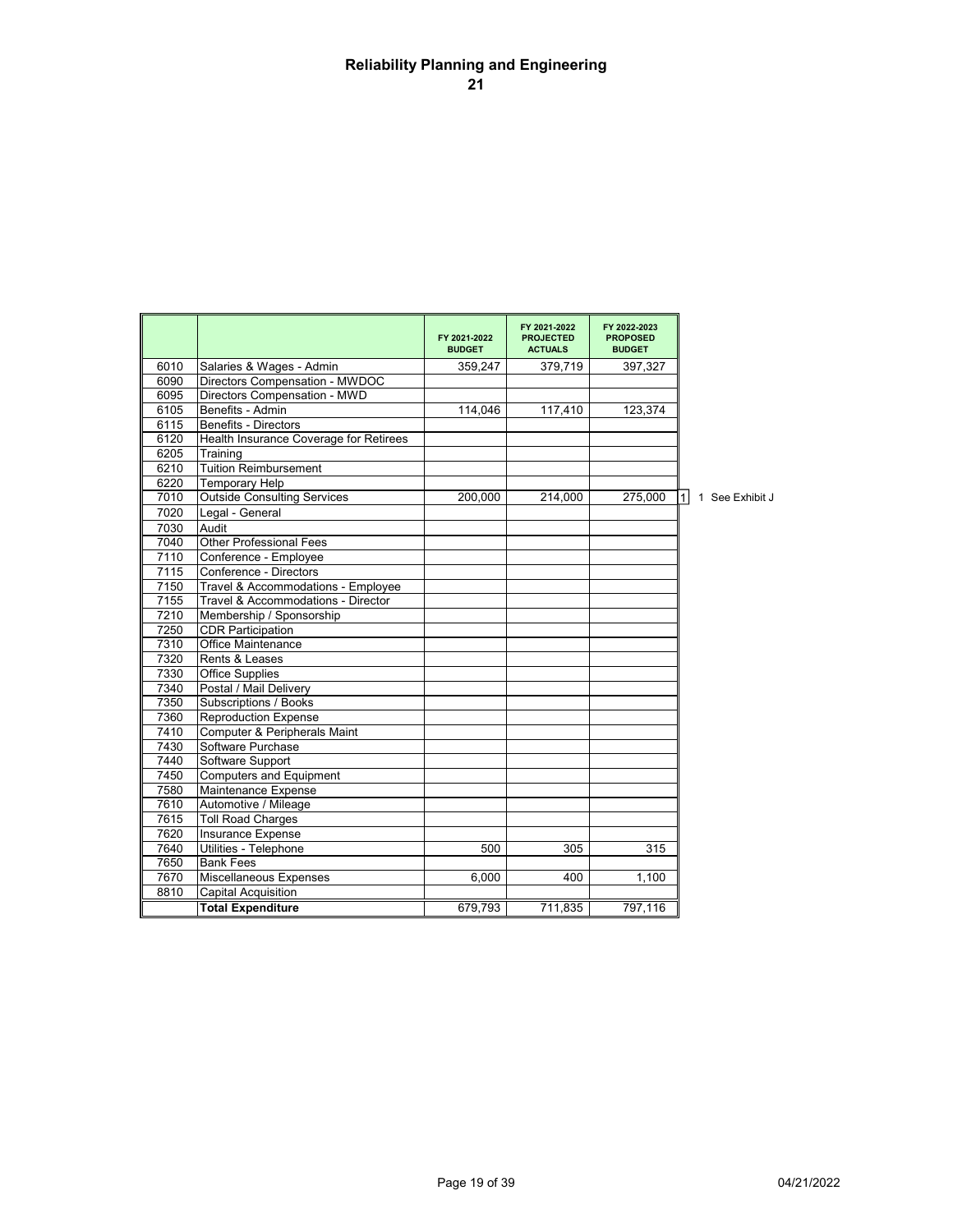# **Reliability Planning and Engineering 21**

|      |                                        | FY 2021-2022<br><b>BUDGET</b> | FY 2021-2022<br><b>PROJECTED</b><br><b>ACTUALS</b> | FY 2022-2023<br><b>PROPOSED</b><br><b>BUDGET</b> |                                   |
|------|----------------------------------------|-------------------------------|----------------------------------------------------|--------------------------------------------------|-----------------------------------|
| 6010 | Salaries & Wages - Admin               | 359,247                       | 379,719                                            | 397,327                                          |                                   |
| 6090 | Directors Compensation - MWDOC         |                               |                                                    |                                                  |                                   |
| 6095 | Directors Compensation - MWD           |                               |                                                    |                                                  |                                   |
| 6105 | Benefits - Admin                       | 114.046                       | 117,410                                            | 123.374                                          |                                   |
| 6115 | <b>Benefits - Directors</b>            |                               |                                                    |                                                  |                                   |
| 6120 | Health Insurance Coverage for Retirees |                               |                                                    |                                                  |                                   |
| 6205 | Training                               |                               |                                                    |                                                  |                                   |
| 6210 | <b>Tuition Reimbursement</b>           |                               |                                                    |                                                  |                                   |
| 6220 | <b>Temporary Help</b>                  |                               |                                                    |                                                  |                                   |
| 7010 | <b>Outside Consulting Services</b>     | 200,000                       | 214,000                                            | 275,000                                          | 1 <sup>1</sup><br>1 See Exhibit J |
| 7020 | Legal - General                        |                               |                                                    |                                                  |                                   |
| 7030 | Audit                                  |                               |                                                    |                                                  |                                   |
| 7040 | <b>Other Professional Fees</b>         |                               |                                                    |                                                  |                                   |
| 7110 | Conference - Employee                  |                               |                                                    |                                                  |                                   |
| 7115 | Conference - Directors                 |                               |                                                    |                                                  |                                   |
| 7150 | Travel & Accommodations - Employee     |                               |                                                    |                                                  |                                   |
| 7155 | Travel & Accommodations - Director     |                               |                                                    |                                                  |                                   |
| 7210 | Membership / Sponsorship               |                               |                                                    |                                                  |                                   |
| 7250 | <b>CDR Participation</b>               |                               |                                                    |                                                  |                                   |
| 7310 | <b>Office Maintenance</b>              |                               |                                                    |                                                  |                                   |
| 7320 | Rents & Leases                         |                               |                                                    |                                                  |                                   |
| 7330 | <b>Office Supplies</b>                 |                               |                                                    |                                                  |                                   |
| 7340 | Postal / Mail Delivery                 |                               |                                                    |                                                  |                                   |
| 7350 | Subscriptions / Books                  |                               |                                                    |                                                  |                                   |
| 7360 | <b>Reproduction Expense</b>            |                               |                                                    |                                                  |                                   |
| 7410 | Computer & Peripherals Maint           |                               |                                                    |                                                  |                                   |
| 7430 | Software Purchase                      |                               |                                                    |                                                  |                                   |
| 7440 | Software Support                       |                               |                                                    |                                                  |                                   |
| 7450 | <b>Computers and Equipment</b>         |                               |                                                    |                                                  |                                   |
| 7580 | Maintenance Expense                    |                               |                                                    |                                                  |                                   |
| 7610 | Automotive / Mileage                   |                               |                                                    |                                                  |                                   |
| 7615 | <b>Toll Road Charges</b>               |                               |                                                    |                                                  |                                   |
| 7620 | Insurance Expense                      |                               |                                                    |                                                  |                                   |
| 7640 | Utilities - Telephone                  | 500                           | 305                                                | 315                                              |                                   |
| 7650 | <b>Bank Fees</b>                       |                               |                                                    |                                                  |                                   |
| 7670 | Miscellaneous Expenses                 | 6,000                         | 400                                                | 1,100                                            |                                   |
| 8810 | Capital Acquisition                    |                               |                                                    |                                                  |                                   |
|      | <b>Total Expenditure</b>               | 679,793                       | 711,835                                            | 797,116                                          |                                   |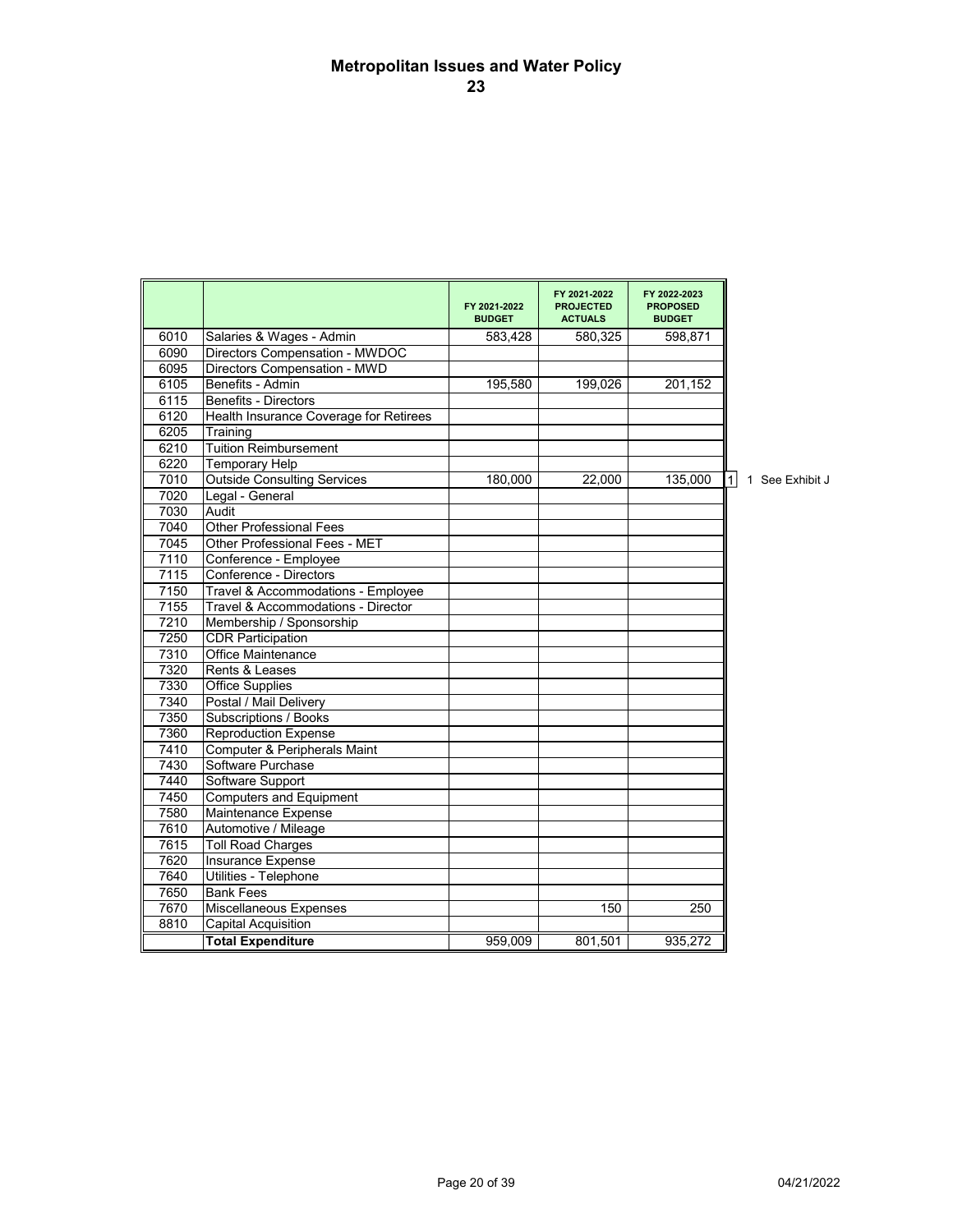# **Metropolitan Issues and Water Policy 23**

|      |                                         | FY 2021 2022<br><b>BUDGET</b> | FY 2021 2022<br><b>PROJECTED</b><br><b>ACTUALS</b> | FY 2022 2023<br><b>PROPOSED</b><br><b>BUDGET</b> |                                   |
|------|-----------------------------------------|-------------------------------|----------------------------------------------------|--------------------------------------------------|-----------------------------------|
| 6010 | Salaries & Wages - Admin                | 583,428                       | 580,325                                            | 598,871                                          |                                   |
| 6090 | Directors Compensation - MWDOC          |                               |                                                    |                                                  |                                   |
| 6095 | Directors Compensation - MWD            |                               |                                                    |                                                  |                                   |
| 6105 | Benefits - Admin                        | 195,580                       | 199,026                                            | 201,152                                          |                                   |
| 6115 | <b>Benefits - Directors</b>             |                               |                                                    |                                                  |                                   |
| 6120 | Health Insurance Coverage for Retirees  |                               |                                                    |                                                  |                                   |
| 6205 | Training                                |                               |                                                    |                                                  |                                   |
| 6210 | <b>Tuition Reimbursement</b>            |                               |                                                    |                                                  |                                   |
| 6220 | <b>Temporary Help</b>                   |                               |                                                    |                                                  |                                   |
| 7010 | <b>Outside Consulting Services</b>      | 180,000                       | 22,000                                             | 135,000                                          | 1 <sup>1</sup><br>1 See Exhibit J |
| 7020 | Legal - General                         |                               |                                                    |                                                  |                                   |
| 7030 | Audit                                   |                               |                                                    |                                                  |                                   |
| 7040 | Other Professional Fees                 |                               |                                                    |                                                  |                                   |
| 7045 | Other Professional Fees - MET           |                               |                                                    |                                                  |                                   |
| 7110 | Conference - Employee                   |                               |                                                    |                                                  |                                   |
| 7115 | Conference - Directors                  |                               |                                                    |                                                  |                                   |
| 7150 | Travel & Accommodations - Employee      |                               |                                                    |                                                  |                                   |
| 7155 | Travel & Accommodations - Director      |                               |                                                    |                                                  |                                   |
| 7210 | Membership / Sponsorship                |                               |                                                    |                                                  |                                   |
| 7250 | <b>CDR Participation</b>                |                               |                                                    |                                                  |                                   |
| 7310 | Office Maintenance                      |                               |                                                    |                                                  |                                   |
| 7320 | Rents & Leases                          |                               |                                                    |                                                  |                                   |
| 7330 | Office Supplies                         |                               |                                                    |                                                  |                                   |
| 7340 | Postal / Mail Delivery                  |                               |                                                    |                                                  |                                   |
| 7350 | Subscriptions / Books                   |                               |                                                    |                                                  |                                   |
| 7360 | <b>Reproduction Expense</b>             |                               |                                                    |                                                  |                                   |
| 7410 | <b>Computer &amp; Peripherals Maint</b> |                               |                                                    |                                                  |                                   |
| 7430 | Software Purchase                       |                               |                                                    |                                                  |                                   |
| 7440 | Software Support                        |                               |                                                    |                                                  |                                   |
| 7450 | <b>Computers and Equipment</b>          |                               |                                                    |                                                  |                                   |
| 7580 | Maintenance Expense                     |                               |                                                    |                                                  |                                   |
| 7610 | Automotive / Mileage                    |                               |                                                    |                                                  |                                   |
| 7615 | <b>Toll Road Charges</b>                |                               |                                                    |                                                  |                                   |
| 7620 | <b>Insurance Expense</b>                |                               |                                                    |                                                  |                                   |
| 7640 | Utilities - Telephone                   |                               |                                                    |                                                  |                                   |
| 7650 | <b>Bank Fees</b>                        |                               |                                                    |                                                  |                                   |
| 7670 | Miscellaneous Expenses                  |                               | 150                                                | 250                                              |                                   |
| 8810 | Capital Acquisition                     |                               |                                                    |                                                  |                                   |
|      | <b>Total Expenditure</b>                | 959,009                       | 801,501                                            | 935,272                                          |                                   |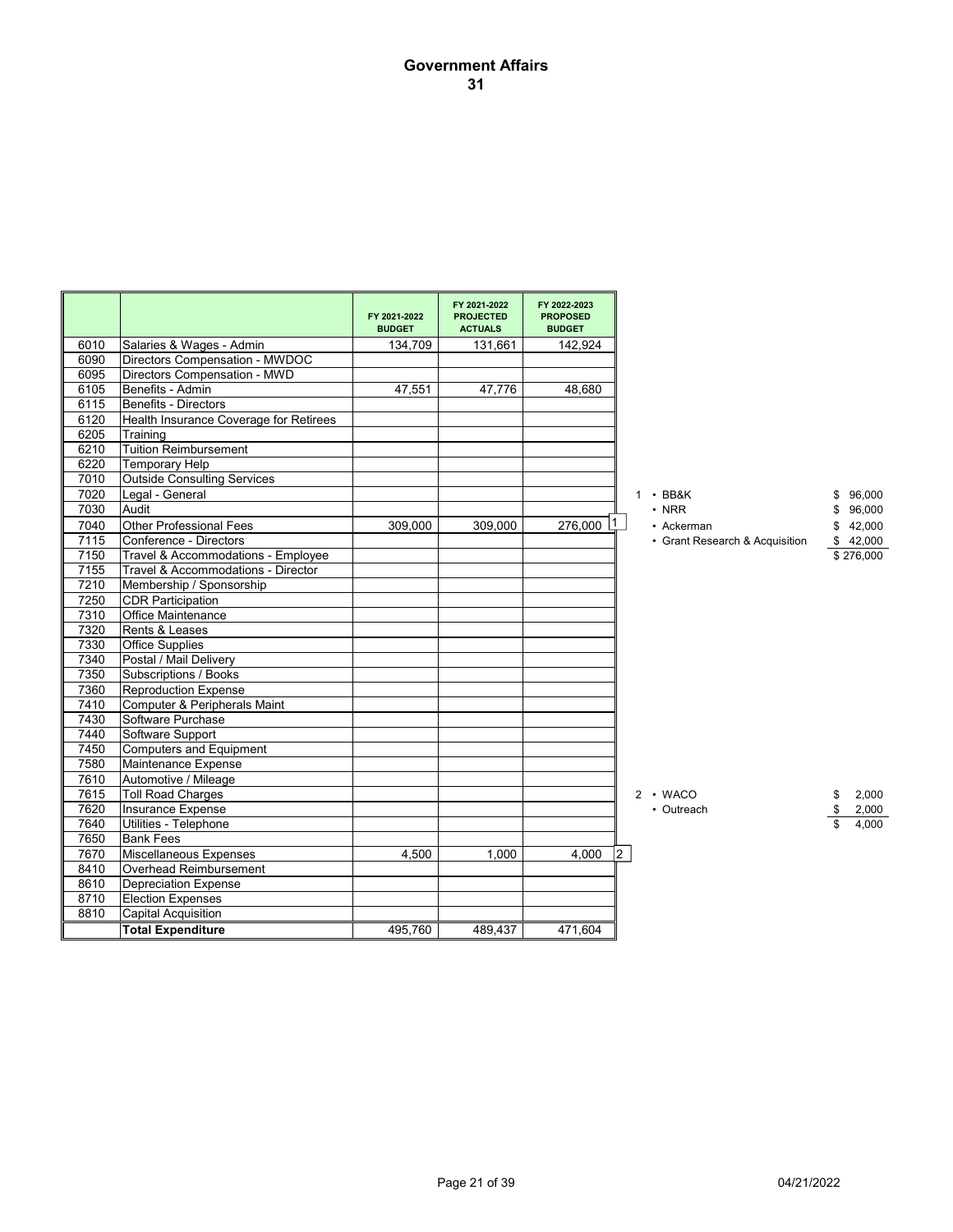## **Government Affairs 31**

|      |                                        | FY 2021-2022<br><b>BUDGET</b> | FY 2021-2022<br><b>PROJECTED</b><br><b>ACTUALS</b> | FY 2022-2023<br><b>PROPOSED</b><br><b>BUDGET</b> |                                |              |
|------|----------------------------------------|-------------------------------|----------------------------------------------------|--------------------------------------------------|--------------------------------|--------------|
| 6010 | Salaries & Wages - Admin               | 134,709                       | 131,661                                            | 142,924                                          |                                |              |
| 6090 | Directors Compensation - MWDOC         |                               |                                                    |                                                  |                                |              |
| 6095 | Directors Compensation - MWD           |                               |                                                    |                                                  |                                |              |
| 6105 | Benefits - Admin                       | 47,551                        | 47,776                                             | 48,680                                           |                                |              |
| 6115 | Benefits - Directors                   |                               |                                                    |                                                  |                                |              |
| 6120 | Health Insurance Coverage for Retirees |                               |                                                    |                                                  |                                |              |
| 6205 | Training                               |                               |                                                    |                                                  |                                |              |
| 6210 | <b>Tuition Reimbursement</b>           |                               |                                                    |                                                  |                                |              |
| 6220 | <b>Temporary Help</b>                  |                               |                                                    |                                                  |                                |              |
| 7010 | <b>Outside Consulting Services</b>     |                               |                                                    |                                                  |                                |              |
| 7020 | Legal - General                        |                               |                                                    |                                                  | $1 \cdot BB8K$                 | 96,000<br>\$ |
| 7030 | Audit                                  |                               |                                                    |                                                  | $\cdot$ NRR                    | \$<br>96,000 |
| 7040 | <b>Other Professional Fees</b>         | 309,000                       | 309,000                                            | 276,000                                          | • Ackerman                     | 42,000<br>\$ |
| 7115 | Conference - Directors                 |                               |                                                    |                                                  | • Grant Research & Acquisition | \$42,000     |
| 7150 | Travel & Accommodations - Employee     |                               |                                                    |                                                  |                                | \$276,000    |
| 7155 | Travel & Accommodations - Director     |                               |                                                    |                                                  |                                |              |
| 7210 | Membership / Sponsorship               |                               |                                                    |                                                  |                                |              |
| 7250 | <b>CDR Participation</b>               |                               |                                                    |                                                  |                                |              |
| 7310 | Office Maintenance                     |                               |                                                    |                                                  |                                |              |
| 7320 | Rents & Leases                         |                               |                                                    |                                                  |                                |              |
| 7330 | Office Supplies                        |                               |                                                    |                                                  |                                |              |
| 7340 | Postal / Mail Delivery                 |                               |                                                    |                                                  |                                |              |
| 7350 | Subscriptions / Books                  |                               |                                                    |                                                  |                                |              |
| 7360 | <b>Reproduction Expense</b>            |                               |                                                    |                                                  |                                |              |
| 7410 | Computer & Peripherals Maint           |                               |                                                    |                                                  |                                |              |
| 7430 | Software Purchase                      |                               |                                                    |                                                  |                                |              |
| 7440 | Software Support                       |                               |                                                    |                                                  |                                |              |
| 7450 | <b>Computers and Equipment</b>         |                               |                                                    |                                                  |                                |              |
| 7580 | Maintenance Expense                    |                               |                                                    |                                                  |                                |              |
| 7610 | Automotive / Mileage                   |                               |                                                    |                                                  |                                |              |
| 7615 | <b>Toll Road Charges</b>               |                               |                                                    |                                                  | $2 \cdot WACO$                 | 2,000<br>\$  |
| 7620 | Insurance Expense                      |                               |                                                    |                                                  | • Outreach                     | \$<br>2,000  |
| 7640 | Utilities - Telephone                  |                               |                                                    |                                                  |                                | 4.000        |
| 7650 | <b>Bank Fees</b>                       |                               |                                                    |                                                  |                                |              |
| 7670 | <b>Miscellaneous Expenses</b>          | 4,500                         | 1,000                                              | 4,000                                            | 2                              |              |
| 8410 | Overhead Reimbursement                 |                               |                                                    |                                                  |                                |              |
| 8610 | <b>Depreciation Expense</b>            |                               |                                                    |                                                  |                                |              |
| 8710 | <b>Election Expenses</b>               |                               |                                                    |                                                  |                                |              |
| 8810 | Capital Acquisition                    |                               |                                                    |                                                  |                                |              |
|      | <b>Total Expenditure</b>               | 495,760                       | 489,437                                            | 471,604                                          |                                |              |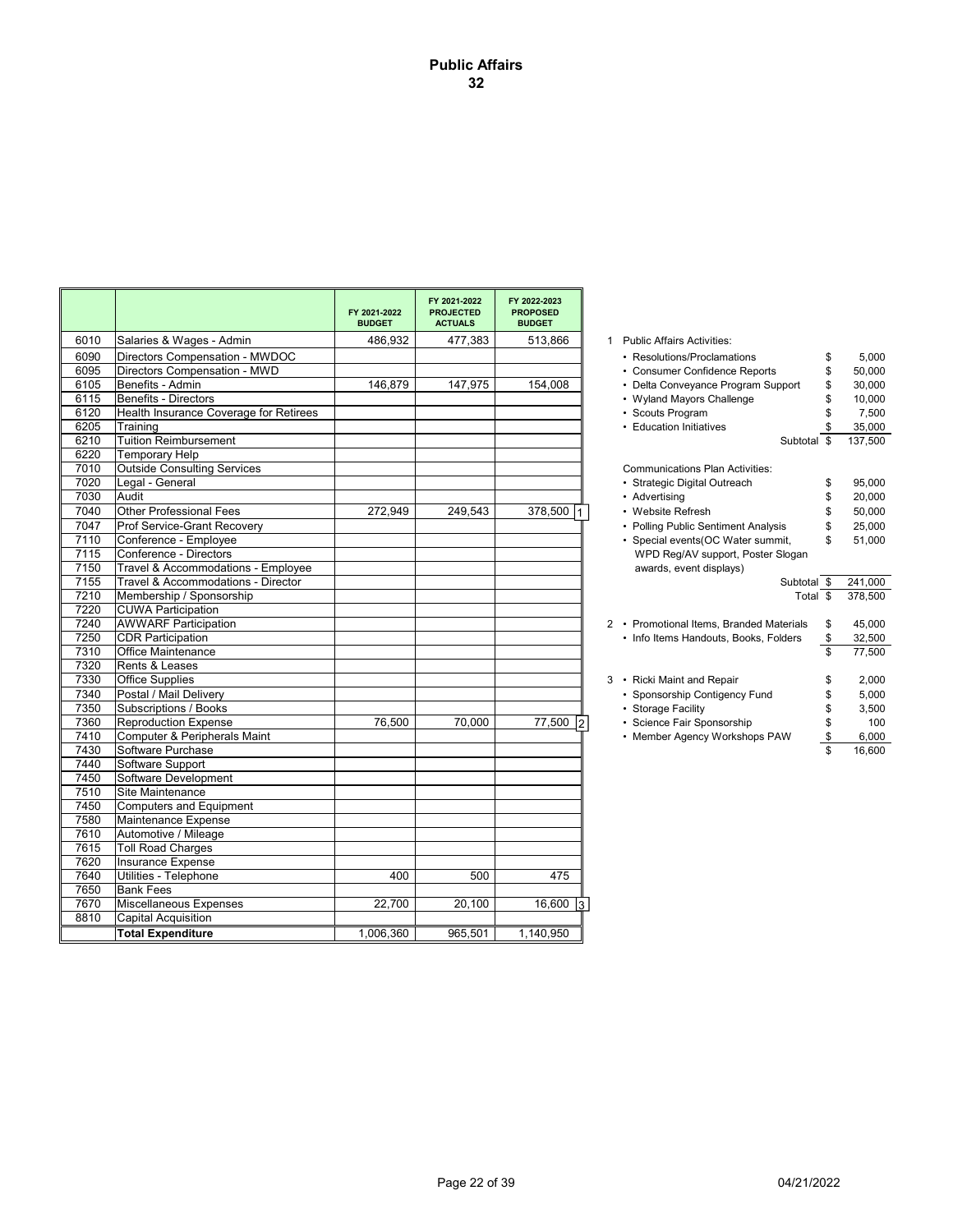| 477,383<br>6010<br>Salaries & Wages - Admin<br>486.932<br>513,866<br>1 Public Affairs Activities:<br>6090<br>Directors Compensation - MWDOC<br>• Resolutions/Proclamations<br>\$<br>6095<br>Directors Compensation - MWD<br>• Consumer Confidence Reports<br>\$<br>154,008<br>6105<br>Benefits - Admin<br>146,879<br>147,975<br>• Delta Conveyance Program Support<br>\$<br>Benefits - Directors<br>6115<br>• Wyland Mayors Challenge<br>\$<br>6120<br>Health Insurance Coverage for Retirees<br>• Scouts Program<br>6205<br>Training<br>• Education Initiatives<br>6210<br><b>Tuition Reimbursement</b><br>Subtotal \$<br>6220<br><b>Temporary Help</b><br><b>Outside Consulting Services</b><br>7010<br><b>Communications Plan Activities:</b><br>7020<br>Legal - General<br>· Strategic Digital Outreach<br>\$<br>7030<br>Audit<br>• Advertising<br>\$<br>7040<br><b>Other Professional Fees</b><br>272.949<br>249.543<br>378,500<br>• Website Refresh<br>\$<br>7047<br>Prof Service-Grant Recovery<br>• Polling Public Sentiment Analysis<br>\$<br>7110<br>Conference - Employee<br>• Special events(OC Water summit,<br>\$<br>7115<br>Conference - Directors<br>WPD Reg/AV support, Poster Slogan<br>7150<br>Travel & Accommodations - Employee<br>awards, event displays)<br>7155<br>Travel & Accommodations - Director<br>Subtotal \$<br>7210<br>Membership / Sponsorship<br>Total \$<br>7220<br><b>CUWA Participation</b><br>7240<br><b>AWWARF Participation</b><br>2 • Promotional Items, Branded Materials<br>\$<br>7250<br><b>CDR Participation</b><br>\$<br>• Info Items Handouts, Books, Folders<br>7310<br>Office Maintenance<br>\$<br>7320<br>Rents & Leases<br>7330<br><b>Office Supplies</b><br>3 • Ricki Maint and Repair<br>\$<br>7340<br>Postal / Mail Delivery<br>• Sponsorship Contigency Fund<br>\$<br>7350<br>Subscriptions / Books<br>• Storage Facility<br>\$<br>7360<br><b>Reproduction Expense</b><br>76,500<br>70,000<br>77,500 2<br>• Science Fair Sponsorship<br>\$<br>7410<br>Computer & Peripherals Maint<br>• Member Agency Workshops PAW<br>\$<br>7430<br>Software Purchase<br>\$<br>16,600<br>7440<br>Software Support<br>Software Development<br>7450<br>7510<br>Site Maintenance<br>7450<br><b>Computers and Equipment</b><br>7580<br>Maintenance Expense<br>7610<br>Automotive / Mileage<br>7615<br><b>Toll Road Charges</b><br>7620<br>Insurance Expense<br>7640<br>Utilities - Telephone<br>400<br>500<br>475<br>7650<br><b>Bank Fees</b><br>7670<br>Miscellaneous Expenses<br>22,700<br>20,100<br>16,600<br>l3.<br>8810<br><b>Capital Acquisition</b><br><b>Total Expenditure</b><br>1,006,360<br>965,501<br>1,140,950 |  | FY 2021-2022<br><b>BUDGET</b> | FY 2021-2022<br><b>PROJECTED</b><br><b>ACTUALS</b> | FY 2022-2023<br><b>PROPOSED</b><br><b>BUDGET</b> |         |
|------------------------------------------------------------------------------------------------------------------------------------------------------------------------------------------------------------------------------------------------------------------------------------------------------------------------------------------------------------------------------------------------------------------------------------------------------------------------------------------------------------------------------------------------------------------------------------------------------------------------------------------------------------------------------------------------------------------------------------------------------------------------------------------------------------------------------------------------------------------------------------------------------------------------------------------------------------------------------------------------------------------------------------------------------------------------------------------------------------------------------------------------------------------------------------------------------------------------------------------------------------------------------------------------------------------------------------------------------------------------------------------------------------------------------------------------------------------------------------------------------------------------------------------------------------------------------------------------------------------------------------------------------------------------------------------------------------------------------------------------------------------------------------------------------------------------------------------------------------------------------------------------------------------------------------------------------------------------------------------------------------------------------------------------------------------------------------------------------------------------------------------------------------------------------------------------------------------------------------------------------------------------------------------------------------------------------------------------------------------------------------------------------------------------------------------------------------------------------------------------------------------------------------------------------------------------------------------------------------------------------------------------------------------|--|-------------------------------|----------------------------------------------------|--------------------------------------------------|---------|
|                                                                                                                                                                                                                                                                                                                                                                                                                                                                                                                                                                                                                                                                                                                                                                                                                                                                                                                                                                                                                                                                                                                                                                                                                                                                                                                                                                                                                                                                                                                                                                                                                                                                                                                                                                                                                                                                                                                                                                                                                                                                                                                                                                                                                                                                                                                                                                                                                                                                                                                                                                                                                                                                  |  |                               |                                                    |                                                  |         |
|                                                                                                                                                                                                                                                                                                                                                                                                                                                                                                                                                                                                                                                                                                                                                                                                                                                                                                                                                                                                                                                                                                                                                                                                                                                                                                                                                                                                                                                                                                                                                                                                                                                                                                                                                                                                                                                                                                                                                                                                                                                                                                                                                                                                                                                                                                                                                                                                                                                                                                                                                                                                                                                                  |  |                               |                                                    |                                                  | 5.000   |
|                                                                                                                                                                                                                                                                                                                                                                                                                                                                                                                                                                                                                                                                                                                                                                                                                                                                                                                                                                                                                                                                                                                                                                                                                                                                                                                                                                                                                                                                                                                                                                                                                                                                                                                                                                                                                                                                                                                                                                                                                                                                                                                                                                                                                                                                                                                                                                                                                                                                                                                                                                                                                                                                  |  |                               |                                                    |                                                  | 50,000  |
|                                                                                                                                                                                                                                                                                                                                                                                                                                                                                                                                                                                                                                                                                                                                                                                                                                                                                                                                                                                                                                                                                                                                                                                                                                                                                                                                                                                                                                                                                                                                                                                                                                                                                                                                                                                                                                                                                                                                                                                                                                                                                                                                                                                                                                                                                                                                                                                                                                                                                                                                                                                                                                                                  |  |                               |                                                    |                                                  | 30,000  |
|                                                                                                                                                                                                                                                                                                                                                                                                                                                                                                                                                                                                                                                                                                                                                                                                                                                                                                                                                                                                                                                                                                                                                                                                                                                                                                                                                                                                                                                                                                                                                                                                                                                                                                                                                                                                                                                                                                                                                                                                                                                                                                                                                                                                                                                                                                                                                                                                                                                                                                                                                                                                                                                                  |  |                               |                                                    |                                                  | 10,000  |
|                                                                                                                                                                                                                                                                                                                                                                                                                                                                                                                                                                                                                                                                                                                                                                                                                                                                                                                                                                                                                                                                                                                                                                                                                                                                                                                                                                                                                                                                                                                                                                                                                                                                                                                                                                                                                                                                                                                                                                                                                                                                                                                                                                                                                                                                                                                                                                                                                                                                                                                                                                                                                                                                  |  |                               |                                                    |                                                  | 7,500   |
|                                                                                                                                                                                                                                                                                                                                                                                                                                                                                                                                                                                                                                                                                                                                                                                                                                                                                                                                                                                                                                                                                                                                                                                                                                                                                                                                                                                                                                                                                                                                                                                                                                                                                                                                                                                                                                                                                                                                                                                                                                                                                                                                                                                                                                                                                                                                                                                                                                                                                                                                                                                                                                                                  |  |                               |                                                    |                                                  | 35,000  |
|                                                                                                                                                                                                                                                                                                                                                                                                                                                                                                                                                                                                                                                                                                                                                                                                                                                                                                                                                                                                                                                                                                                                                                                                                                                                                                                                                                                                                                                                                                                                                                                                                                                                                                                                                                                                                                                                                                                                                                                                                                                                                                                                                                                                                                                                                                                                                                                                                                                                                                                                                                                                                                                                  |  |                               |                                                    |                                                  | 137.500 |
|                                                                                                                                                                                                                                                                                                                                                                                                                                                                                                                                                                                                                                                                                                                                                                                                                                                                                                                                                                                                                                                                                                                                                                                                                                                                                                                                                                                                                                                                                                                                                                                                                                                                                                                                                                                                                                                                                                                                                                                                                                                                                                                                                                                                                                                                                                                                                                                                                                                                                                                                                                                                                                                                  |  |                               |                                                    |                                                  |         |
|                                                                                                                                                                                                                                                                                                                                                                                                                                                                                                                                                                                                                                                                                                                                                                                                                                                                                                                                                                                                                                                                                                                                                                                                                                                                                                                                                                                                                                                                                                                                                                                                                                                                                                                                                                                                                                                                                                                                                                                                                                                                                                                                                                                                                                                                                                                                                                                                                                                                                                                                                                                                                                                                  |  |                               |                                                    |                                                  |         |
|                                                                                                                                                                                                                                                                                                                                                                                                                                                                                                                                                                                                                                                                                                                                                                                                                                                                                                                                                                                                                                                                                                                                                                                                                                                                                                                                                                                                                                                                                                                                                                                                                                                                                                                                                                                                                                                                                                                                                                                                                                                                                                                                                                                                                                                                                                                                                                                                                                                                                                                                                                                                                                                                  |  |                               |                                                    |                                                  | 95,000  |
|                                                                                                                                                                                                                                                                                                                                                                                                                                                                                                                                                                                                                                                                                                                                                                                                                                                                                                                                                                                                                                                                                                                                                                                                                                                                                                                                                                                                                                                                                                                                                                                                                                                                                                                                                                                                                                                                                                                                                                                                                                                                                                                                                                                                                                                                                                                                                                                                                                                                                                                                                                                                                                                                  |  |                               |                                                    |                                                  | 20,000  |
|                                                                                                                                                                                                                                                                                                                                                                                                                                                                                                                                                                                                                                                                                                                                                                                                                                                                                                                                                                                                                                                                                                                                                                                                                                                                                                                                                                                                                                                                                                                                                                                                                                                                                                                                                                                                                                                                                                                                                                                                                                                                                                                                                                                                                                                                                                                                                                                                                                                                                                                                                                                                                                                                  |  |                               |                                                    |                                                  | 50,000  |
|                                                                                                                                                                                                                                                                                                                                                                                                                                                                                                                                                                                                                                                                                                                                                                                                                                                                                                                                                                                                                                                                                                                                                                                                                                                                                                                                                                                                                                                                                                                                                                                                                                                                                                                                                                                                                                                                                                                                                                                                                                                                                                                                                                                                                                                                                                                                                                                                                                                                                                                                                                                                                                                                  |  |                               |                                                    |                                                  | 25.000  |
|                                                                                                                                                                                                                                                                                                                                                                                                                                                                                                                                                                                                                                                                                                                                                                                                                                                                                                                                                                                                                                                                                                                                                                                                                                                                                                                                                                                                                                                                                                                                                                                                                                                                                                                                                                                                                                                                                                                                                                                                                                                                                                                                                                                                                                                                                                                                                                                                                                                                                                                                                                                                                                                                  |  |                               |                                                    |                                                  | 51,000  |
|                                                                                                                                                                                                                                                                                                                                                                                                                                                                                                                                                                                                                                                                                                                                                                                                                                                                                                                                                                                                                                                                                                                                                                                                                                                                                                                                                                                                                                                                                                                                                                                                                                                                                                                                                                                                                                                                                                                                                                                                                                                                                                                                                                                                                                                                                                                                                                                                                                                                                                                                                                                                                                                                  |  |                               |                                                    |                                                  |         |
|                                                                                                                                                                                                                                                                                                                                                                                                                                                                                                                                                                                                                                                                                                                                                                                                                                                                                                                                                                                                                                                                                                                                                                                                                                                                                                                                                                                                                                                                                                                                                                                                                                                                                                                                                                                                                                                                                                                                                                                                                                                                                                                                                                                                                                                                                                                                                                                                                                                                                                                                                                                                                                                                  |  |                               |                                                    |                                                  |         |
|                                                                                                                                                                                                                                                                                                                                                                                                                                                                                                                                                                                                                                                                                                                                                                                                                                                                                                                                                                                                                                                                                                                                                                                                                                                                                                                                                                                                                                                                                                                                                                                                                                                                                                                                                                                                                                                                                                                                                                                                                                                                                                                                                                                                                                                                                                                                                                                                                                                                                                                                                                                                                                                                  |  |                               |                                                    |                                                  | 241,000 |
|                                                                                                                                                                                                                                                                                                                                                                                                                                                                                                                                                                                                                                                                                                                                                                                                                                                                                                                                                                                                                                                                                                                                                                                                                                                                                                                                                                                                                                                                                                                                                                                                                                                                                                                                                                                                                                                                                                                                                                                                                                                                                                                                                                                                                                                                                                                                                                                                                                                                                                                                                                                                                                                                  |  |                               |                                                    |                                                  | 378,500 |
|                                                                                                                                                                                                                                                                                                                                                                                                                                                                                                                                                                                                                                                                                                                                                                                                                                                                                                                                                                                                                                                                                                                                                                                                                                                                                                                                                                                                                                                                                                                                                                                                                                                                                                                                                                                                                                                                                                                                                                                                                                                                                                                                                                                                                                                                                                                                                                                                                                                                                                                                                                                                                                                                  |  |                               |                                                    |                                                  |         |
|                                                                                                                                                                                                                                                                                                                                                                                                                                                                                                                                                                                                                                                                                                                                                                                                                                                                                                                                                                                                                                                                                                                                                                                                                                                                                                                                                                                                                                                                                                                                                                                                                                                                                                                                                                                                                                                                                                                                                                                                                                                                                                                                                                                                                                                                                                                                                                                                                                                                                                                                                                                                                                                                  |  |                               |                                                    |                                                  | 45,000  |
|                                                                                                                                                                                                                                                                                                                                                                                                                                                                                                                                                                                                                                                                                                                                                                                                                                                                                                                                                                                                                                                                                                                                                                                                                                                                                                                                                                                                                                                                                                                                                                                                                                                                                                                                                                                                                                                                                                                                                                                                                                                                                                                                                                                                                                                                                                                                                                                                                                                                                                                                                                                                                                                                  |  |                               |                                                    |                                                  | 32,500  |
|                                                                                                                                                                                                                                                                                                                                                                                                                                                                                                                                                                                                                                                                                                                                                                                                                                                                                                                                                                                                                                                                                                                                                                                                                                                                                                                                                                                                                                                                                                                                                                                                                                                                                                                                                                                                                                                                                                                                                                                                                                                                                                                                                                                                                                                                                                                                                                                                                                                                                                                                                                                                                                                                  |  |                               |                                                    |                                                  | 77,500  |
|                                                                                                                                                                                                                                                                                                                                                                                                                                                                                                                                                                                                                                                                                                                                                                                                                                                                                                                                                                                                                                                                                                                                                                                                                                                                                                                                                                                                                                                                                                                                                                                                                                                                                                                                                                                                                                                                                                                                                                                                                                                                                                                                                                                                                                                                                                                                                                                                                                                                                                                                                                                                                                                                  |  |                               |                                                    |                                                  |         |
|                                                                                                                                                                                                                                                                                                                                                                                                                                                                                                                                                                                                                                                                                                                                                                                                                                                                                                                                                                                                                                                                                                                                                                                                                                                                                                                                                                                                                                                                                                                                                                                                                                                                                                                                                                                                                                                                                                                                                                                                                                                                                                                                                                                                                                                                                                                                                                                                                                                                                                                                                                                                                                                                  |  |                               |                                                    |                                                  | 2,000   |
|                                                                                                                                                                                                                                                                                                                                                                                                                                                                                                                                                                                                                                                                                                                                                                                                                                                                                                                                                                                                                                                                                                                                                                                                                                                                                                                                                                                                                                                                                                                                                                                                                                                                                                                                                                                                                                                                                                                                                                                                                                                                                                                                                                                                                                                                                                                                                                                                                                                                                                                                                                                                                                                                  |  |                               |                                                    |                                                  | 5,000   |
|                                                                                                                                                                                                                                                                                                                                                                                                                                                                                                                                                                                                                                                                                                                                                                                                                                                                                                                                                                                                                                                                                                                                                                                                                                                                                                                                                                                                                                                                                                                                                                                                                                                                                                                                                                                                                                                                                                                                                                                                                                                                                                                                                                                                                                                                                                                                                                                                                                                                                                                                                                                                                                                                  |  |                               |                                                    |                                                  | 3.500   |
|                                                                                                                                                                                                                                                                                                                                                                                                                                                                                                                                                                                                                                                                                                                                                                                                                                                                                                                                                                                                                                                                                                                                                                                                                                                                                                                                                                                                                                                                                                                                                                                                                                                                                                                                                                                                                                                                                                                                                                                                                                                                                                                                                                                                                                                                                                                                                                                                                                                                                                                                                                                                                                                                  |  |                               |                                                    |                                                  | 100     |
|                                                                                                                                                                                                                                                                                                                                                                                                                                                                                                                                                                                                                                                                                                                                                                                                                                                                                                                                                                                                                                                                                                                                                                                                                                                                                                                                                                                                                                                                                                                                                                                                                                                                                                                                                                                                                                                                                                                                                                                                                                                                                                                                                                                                                                                                                                                                                                                                                                                                                                                                                                                                                                                                  |  |                               |                                                    |                                                  | 6,000   |
|                                                                                                                                                                                                                                                                                                                                                                                                                                                                                                                                                                                                                                                                                                                                                                                                                                                                                                                                                                                                                                                                                                                                                                                                                                                                                                                                                                                                                                                                                                                                                                                                                                                                                                                                                                                                                                                                                                                                                                                                                                                                                                                                                                                                                                                                                                                                                                                                                                                                                                                                                                                                                                                                  |  |                               |                                                    |                                                  |         |
|                                                                                                                                                                                                                                                                                                                                                                                                                                                                                                                                                                                                                                                                                                                                                                                                                                                                                                                                                                                                                                                                                                                                                                                                                                                                                                                                                                                                                                                                                                                                                                                                                                                                                                                                                                                                                                                                                                                                                                                                                                                                                                                                                                                                                                                                                                                                                                                                                                                                                                                                                                                                                                                                  |  |                               |                                                    |                                                  |         |
|                                                                                                                                                                                                                                                                                                                                                                                                                                                                                                                                                                                                                                                                                                                                                                                                                                                                                                                                                                                                                                                                                                                                                                                                                                                                                                                                                                                                                                                                                                                                                                                                                                                                                                                                                                                                                                                                                                                                                                                                                                                                                                                                                                                                                                                                                                                                                                                                                                                                                                                                                                                                                                                                  |  |                               |                                                    |                                                  |         |
|                                                                                                                                                                                                                                                                                                                                                                                                                                                                                                                                                                                                                                                                                                                                                                                                                                                                                                                                                                                                                                                                                                                                                                                                                                                                                                                                                                                                                                                                                                                                                                                                                                                                                                                                                                                                                                                                                                                                                                                                                                                                                                                                                                                                                                                                                                                                                                                                                                                                                                                                                                                                                                                                  |  |                               |                                                    |                                                  |         |
|                                                                                                                                                                                                                                                                                                                                                                                                                                                                                                                                                                                                                                                                                                                                                                                                                                                                                                                                                                                                                                                                                                                                                                                                                                                                                                                                                                                                                                                                                                                                                                                                                                                                                                                                                                                                                                                                                                                                                                                                                                                                                                                                                                                                                                                                                                                                                                                                                                                                                                                                                                                                                                                                  |  |                               |                                                    |                                                  |         |
|                                                                                                                                                                                                                                                                                                                                                                                                                                                                                                                                                                                                                                                                                                                                                                                                                                                                                                                                                                                                                                                                                                                                                                                                                                                                                                                                                                                                                                                                                                                                                                                                                                                                                                                                                                                                                                                                                                                                                                                                                                                                                                                                                                                                                                                                                                                                                                                                                                                                                                                                                                                                                                                                  |  |                               |                                                    |                                                  |         |
|                                                                                                                                                                                                                                                                                                                                                                                                                                                                                                                                                                                                                                                                                                                                                                                                                                                                                                                                                                                                                                                                                                                                                                                                                                                                                                                                                                                                                                                                                                                                                                                                                                                                                                                                                                                                                                                                                                                                                                                                                                                                                                                                                                                                                                                                                                                                                                                                                                                                                                                                                                                                                                                                  |  |                               |                                                    |                                                  |         |
|                                                                                                                                                                                                                                                                                                                                                                                                                                                                                                                                                                                                                                                                                                                                                                                                                                                                                                                                                                                                                                                                                                                                                                                                                                                                                                                                                                                                                                                                                                                                                                                                                                                                                                                                                                                                                                                                                                                                                                                                                                                                                                                                                                                                                                                                                                                                                                                                                                                                                                                                                                                                                                                                  |  |                               |                                                    |                                                  |         |
|                                                                                                                                                                                                                                                                                                                                                                                                                                                                                                                                                                                                                                                                                                                                                                                                                                                                                                                                                                                                                                                                                                                                                                                                                                                                                                                                                                                                                                                                                                                                                                                                                                                                                                                                                                                                                                                                                                                                                                                                                                                                                                                                                                                                                                                                                                                                                                                                                                                                                                                                                                                                                                                                  |  |                               |                                                    |                                                  |         |
|                                                                                                                                                                                                                                                                                                                                                                                                                                                                                                                                                                                                                                                                                                                                                                                                                                                                                                                                                                                                                                                                                                                                                                                                                                                                                                                                                                                                                                                                                                                                                                                                                                                                                                                                                                                                                                                                                                                                                                                                                                                                                                                                                                                                                                                                                                                                                                                                                                                                                                                                                                                                                                                                  |  |                               |                                                    |                                                  |         |
|                                                                                                                                                                                                                                                                                                                                                                                                                                                                                                                                                                                                                                                                                                                                                                                                                                                                                                                                                                                                                                                                                                                                                                                                                                                                                                                                                                                                                                                                                                                                                                                                                                                                                                                                                                                                                                                                                                                                                                                                                                                                                                                                                                                                                                                                                                                                                                                                                                                                                                                                                                                                                                                                  |  |                               |                                                    |                                                  |         |
|                                                                                                                                                                                                                                                                                                                                                                                                                                                                                                                                                                                                                                                                                                                                                                                                                                                                                                                                                                                                                                                                                                                                                                                                                                                                                                                                                                                                                                                                                                                                                                                                                                                                                                                                                                                                                                                                                                                                                                                                                                                                                                                                                                                                                                                                                                                                                                                                                                                                                                                                                                                                                                                                  |  |                               |                                                    |                                                  |         |
|                                                                                                                                                                                                                                                                                                                                                                                                                                                                                                                                                                                                                                                                                                                                                                                                                                                                                                                                                                                                                                                                                                                                                                                                                                                                                                                                                                                                                                                                                                                                                                                                                                                                                                                                                                                                                                                                                                                                                                                                                                                                                                                                                                                                                                                                                                                                                                                                                                                                                                                                                                                                                                                                  |  |                               |                                                    |                                                  |         |
|                                                                                                                                                                                                                                                                                                                                                                                                                                                                                                                                                                                                                                                                                                                                                                                                                                                                                                                                                                                                                                                                                                                                                                                                                                                                                                                                                                                                                                                                                                                                                                                                                                                                                                                                                                                                                                                                                                                                                                                                                                                                                                                                                                                                                                                                                                                                                                                                                                                                                                                                                                                                                                                                  |  |                               |                                                    |                                                  |         |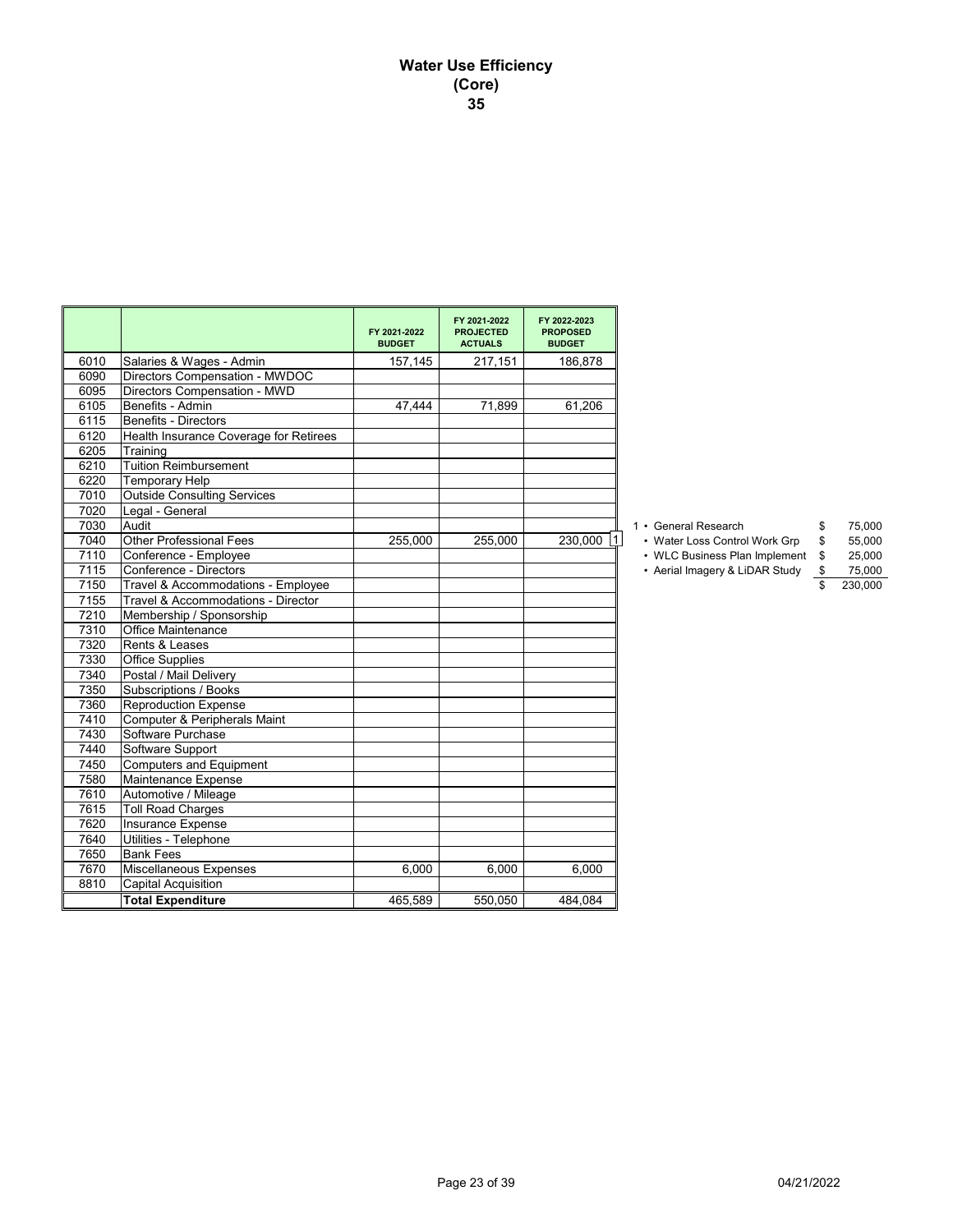# **Water Use Efficiency (Core) 35**

|      |                                        | FY 2021-2022<br><b>BUDGET</b> | FY 2021-2022<br><b>PROJECTED</b><br><b>ACTUALS</b> | FY 2022-2023<br><b>PROPOSED</b><br><b>BUDGET</b> |                                |    |         |
|------|----------------------------------------|-------------------------------|----------------------------------------------------|--------------------------------------------------|--------------------------------|----|---------|
| 6010 | Salaries & Wages - Admin               | 157,145                       | 217,151                                            | 186,878                                          |                                |    |         |
| 6090 | Directors Compensation - MWDOC         |                               |                                                    |                                                  |                                |    |         |
| 6095 | Directors Compensation - MWD           |                               |                                                    |                                                  |                                |    |         |
| 6105 | Benefits - Admin                       | 47,444                        | 71.899                                             | 61,206                                           |                                |    |         |
| 6115 | Benefits - Directors                   |                               |                                                    |                                                  |                                |    |         |
| 6120 | Health Insurance Coverage for Retirees |                               |                                                    |                                                  |                                |    |         |
| 6205 | Training                               |                               |                                                    |                                                  |                                |    |         |
| 6210 | Tuition Reimbursement                  |                               |                                                    |                                                  |                                |    |         |
| 6220 | <b>Temporary Help</b>                  |                               |                                                    |                                                  |                                |    |         |
| 7010 | <b>Outside Consulting Services</b>     |                               |                                                    |                                                  |                                |    |         |
| 7020 | Legal - General                        |                               |                                                    |                                                  |                                |    |         |
| 7030 | Audit                                  |                               |                                                    |                                                  | 1 • General Research           | \$ | 75,000  |
| 7040 | <b>Other Professional Fees</b>         | 255,000                       | 255,000                                            | 230,000                                          | • Water Loss Control Work Grp  | \$ | 55,000  |
| 7110 | Conference - Employee                  |                               |                                                    |                                                  | • WLC Business Plan Implement  | S  | 25,000  |
| 7115 | Conference - Directors                 |                               |                                                    |                                                  | • Aerial Imagery & LiDAR Study |    | 75,000  |
| 7150 | Travel & Accommodations - Employee     |                               |                                                    |                                                  |                                |    | 230,000 |
| 7155 | Travel & Accommodations - Director     |                               |                                                    |                                                  |                                |    |         |
| 7210 | Membership / Sponsorship               |                               |                                                    |                                                  |                                |    |         |
| 7310 | Office Maintenance                     |                               |                                                    |                                                  |                                |    |         |
| 7320 | Rents & Leases                         |                               |                                                    |                                                  |                                |    |         |
| 7330 | <b>Office Supplies</b>                 |                               |                                                    |                                                  |                                |    |         |
| 7340 | Postal / Mail Delivery                 |                               |                                                    |                                                  |                                |    |         |
| 7350 | Subscriptions / Books                  |                               |                                                    |                                                  |                                |    |         |
| 7360 | Reproduction Expense                   |                               |                                                    |                                                  |                                |    |         |
| 7410 | Computer & Peripherals Maint           |                               |                                                    |                                                  |                                |    |         |
| 7430 | Software Purchase                      |                               |                                                    |                                                  |                                |    |         |
| 7440 | Software Support                       |                               |                                                    |                                                  |                                |    |         |
| 7450 | Computers and Equipment                |                               |                                                    |                                                  |                                |    |         |
| 7580 | Maintenance Expense                    |                               |                                                    |                                                  |                                |    |         |
| 7610 | Automotive / Mileage                   |                               |                                                    |                                                  |                                |    |         |
| 7615 | <b>Toll Road Charges</b>               |                               |                                                    |                                                  |                                |    |         |
| 7620 | Insurance Expense                      |                               |                                                    |                                                  |                                |    |         |
| 7640 | Utilities - Telephone                  |                               |                                                    |                                                  |                                |    |         |
| 7650 | <b>Bank Fees</b>                       |                               |                                                    |                                                  |                                |    |         |
| 7670 | Miscellaneous Expenses                 | 6,000                         | 6,000                                              | 6.000                                            |                                |    |         |
| 8810 | Capital Acquisition                    |                               |                                                    |                                                  |                                |    |         |
|      | <b>Total Expenditure</b>               | 465,589                       | 550,050                                            | 484,084                                          |                                |    |         |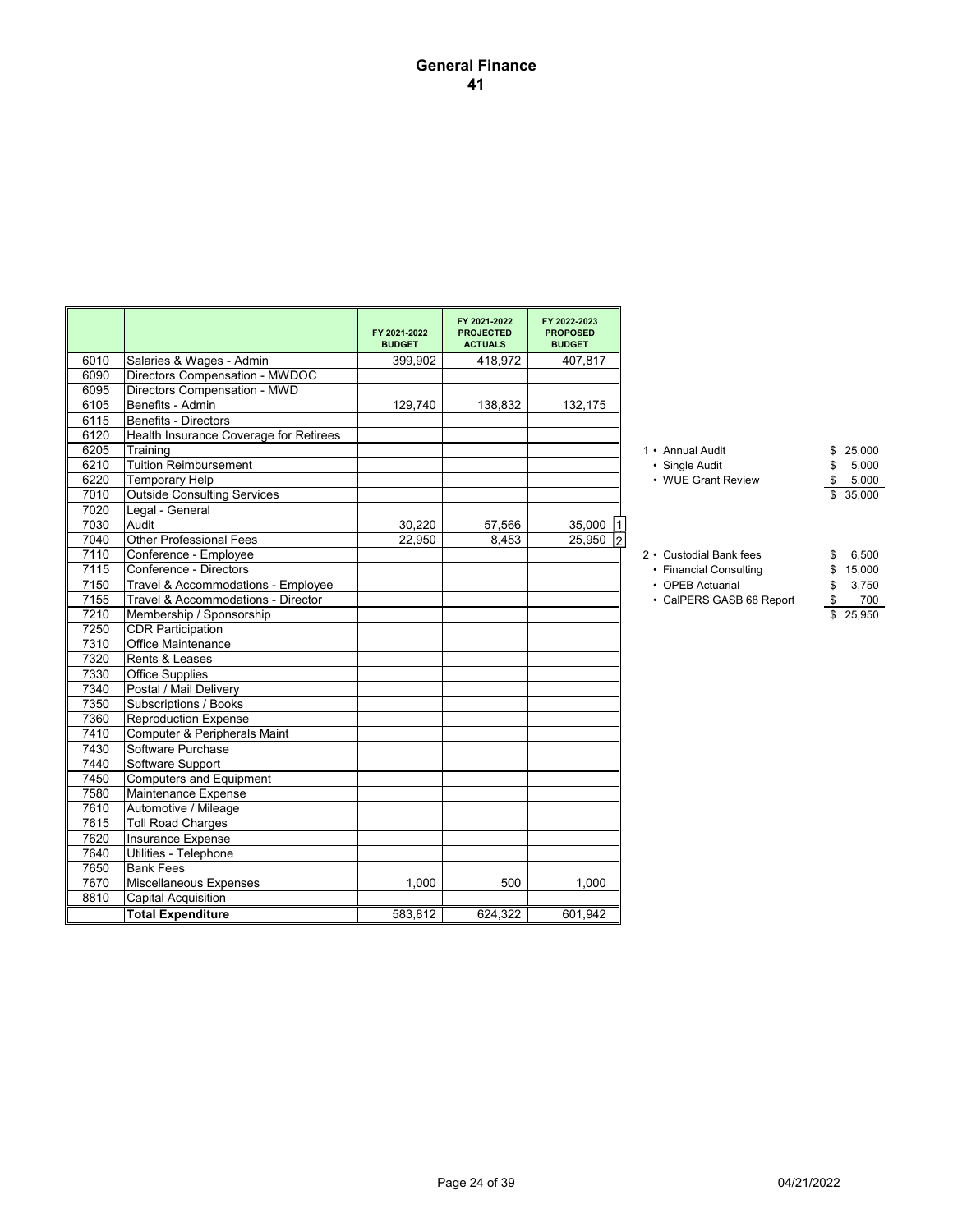## **General Finance 41**

|      |                                        | FY 2021-2022<br><b>BUDGET</b> | FY 2021-2022<br><b>PROJECTED</b><br><b>ACTUALS</b> | FY 2022-2023<br><b>PROPOSED</b><br><b>BUDGET</b> |                          |              |
|------|----------------------------------------|-------------------------------|----------------------------------------------------|--------------------------------------------------|--------------------------|--------------|
| 6010 | Salaries & Wages - Admin               | 399,902                       | 418,972                                            | 407,817                                          |                          |              |
| 6090 | Directors Compensation - MWDOC         |                               |                                                    |                                                  |                          |              |
| 6095 | Directors Compensation - MWD           |                               |                                                    |                                                  |                          |              |
| 6105 | Benefits - Admin                       | 129.740                       | 138,832                                            | 132,175                                          |                          |              |
| 6115 | Benefits - Directors                   |                               |                                                    |                                                  |                          |              |
| 6120 | Health Insurance Coverage for Retirees |                               |                                                    |                                                  |                          |              |
| 6205 | Training                               |                               |                                                    |                                                  | 1 • Annual Audit         | 25,000<br>\$ |
| 6210 | Tuition Reimbursement                  |                               |                                                    |                                                  | • Single Audit           | 5,000<br>\$  |
| 6220 | Temporary Help                         |                               |                                                    |                                                  | • WUE Grant Review       | \$<br>5,000  |
| 7010 | <b>Outside Consulting Services</b>     |                               |                                                    |                                                  |                          | 35,000<br>\$ |
| 7020 | Legal - General                        |                               |                                                    |                                                  |                          |              |
| 7030 | Audit                                  | 30,220                        | 57,566                                             | $35,000$  1                                      |                          |              |
| 7040 | <b>Other Professional Fees</b>         | 22.950                        | 8.453                                              | $25,950$ 2                                       |                          |              |
| 7110 | Conference - Employee                  |                               |                                                    |                                                  | 2 • Custodial Bank fees  | 6,500<br>\$  |
| 7115 | Conference - Directors                 |                               |                                                    |                                                  | • Financial Consulting   | 15,000<br>\$ |
| 7150 | Travel & Accommodations - Employee     |                               |                                                    |                                                  | • OPEB Actuarial         | 3,750<br>\$  |
| 7155 | Travel & Accommodations - Director     |                               |                                                    |                                                  | • CalPERS GASB 68 Report | \$<br>700    |
| 7210 | Membership / Sponsorship               |                               |                                                    |                                                  |                          | 25,950<br>\$ |
| 7250 | <b>CDR Participation</b>               |                               |                                                    |                                                  |                          |              |
| 7310 | <b>Office Maintenance</b>              |                               |                                                    |                                                  |                          |              |
| 7320 | Rents & Leases                         |                               |                                                    |                                                  |                          |              |
| 7330 | Office Supplies                        |                               |                                                    |                                                  |                          |              |
| 7340 | Postal / Mail Delivery                 |                               |                                                    |                                                  |                          |              |
| 7350 | Subscriptions / Books                  |                               |                                                    |                                                  |                          |              |
| 7360 | <b>Reproduction Expense</b>            |                               |                                                    |                                                  |                          |              |
| 7410 | Computer & Peripherals Maint           |                               |                                                    |                                                  |                          |              |
| 7430 | Software Purchase                      |                               |                                                    |                                                  |                          |              |
| 7440 | Software Support                       |                               |                                                    |                                                  |                          |              |
| 7450 | Computers and Equipment                |                               |                                                    |                                                  |                          |              |
| 7580 | Maintenance Expense                    |                               |                                                    |                                                  |                          |              |
| 7610 | Automotive / Mileage                   |                               |                                                    |                                                  |                          |              |
| 7615 | <b>Toll Road Charges</b>               |                               |                                                    |                                                  |                          |              |
| 7620 | Insurance Expense                      |                               |                                                    |                                                  |                          |              |
| 7640 | Utilities - Telephone                  |                               |                                                    |                                                  |                          |              |
| 7650 | <b>Bank Fees</b>                       |                               |                                                    |                                                  |                          |              |
| 7670 | Miscellaneous Expenses                 | 1,000                         | 500                                                | 1,000                                            |                          |              |
| 8810 | Capital Acquisition                    |                               |                                                    |                                                  |                          |              |
|      | <b>Total Expenditure</b>               | 583,812                       | 624,322                                            | 601,942                                          |                          |              |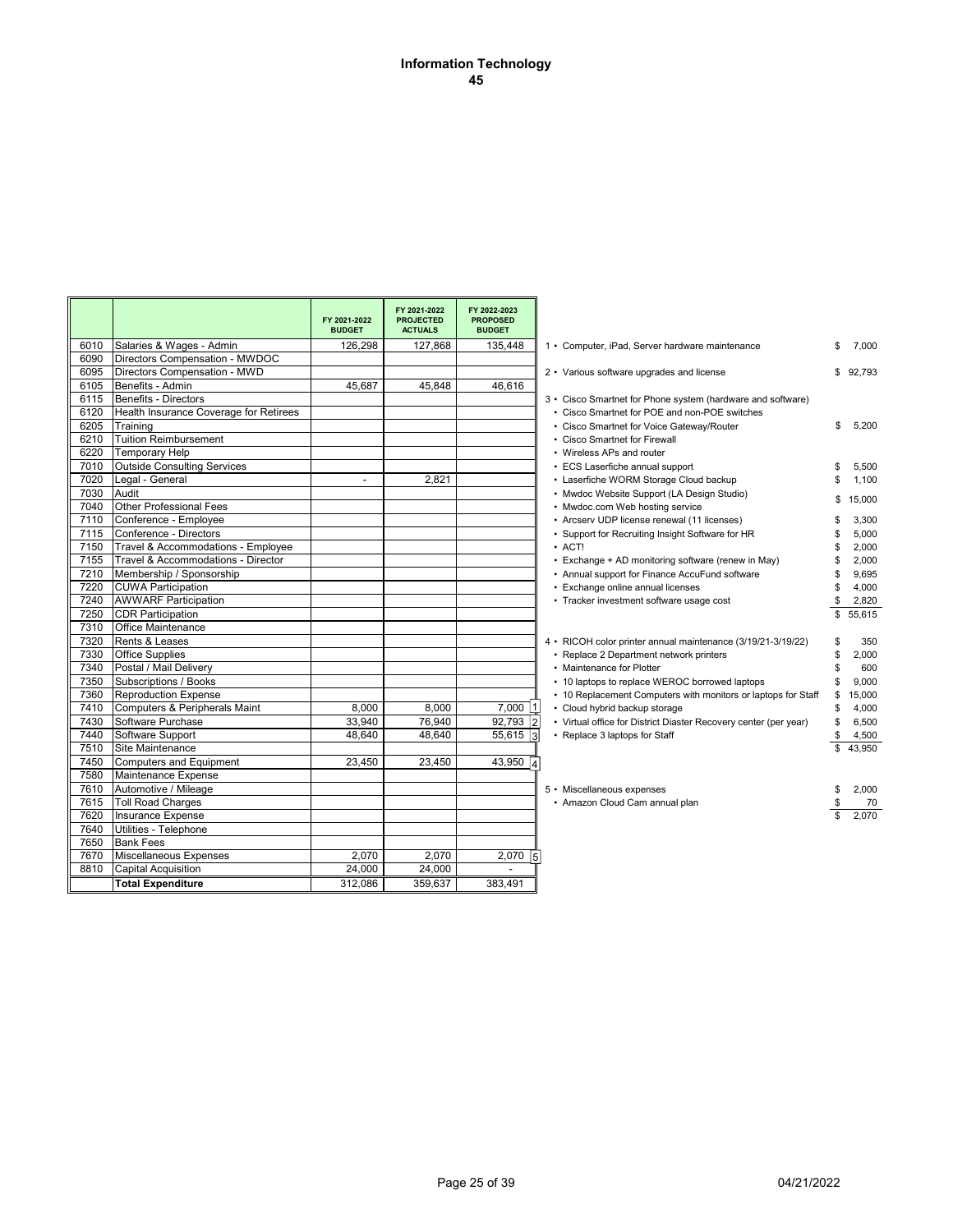#### **Information Technology 45**

|      |                                        | FY 2021-2022<br><b>BUDGET</b> | FY 2021-2022<br><b>PROJECTED</b><br><b>ACTUALS</b> | FY 2022-2023<br><b>PROPOSED</b><br><b>BUDGET</b> |                                                                  |    |          |
|------|----------------------------------------|-------------------------------|----------------------------------------------------|--------------------------------------------------|------------------------------------------------------------------|----|----------|
| 6010 | Salaries & Wages - Admin               | 126.298                       | 127,868                                            | 135,448                                          | 1 • Computer, iPad, Server hardware maintenance                  | \$ | 7,000    |
| 6090 | Directors Compensation - MWDOC         |                               |                                                    |                                                  |                                                                  |    |          |
| 6095 | Directors Compensation - MWD           |                               |                                                    |                                                  | 2 • Various software upgrades and license                        |    | \$92,793 |
| 6105 | Benefits - Admin                       | 45,687                        | 45,848                                             | 46,616                                           |                                                                  |    |          |
| 6115 | Benefits - Directors                   |                               |                                                    |                                                  | 3 • Cisco Smartnet for Phone system (hardware and software)      |    |          |
| 6120 | Health Insurance Coverage for Retirees |                               |                                                    |                                                  | • Cisco Smartnet for POE and non-POE switches                    |    |          |
| 6205 | Training                               |                               |                                                    |                                                  | • Cisco Smartnet for Voice Gateway/Router                        | \$ | 5,200    |
| 6210 | <b>Tuition Reimbursement</b>           |                               |                                                    |                                                  | • Cisco Smartnet for Firewall                                    |    |          |
| 6220 | <b>Temporary Help</b>                  |                               |                                                    |                                                  | • Wireless APs and router                                        |    |          |
| 7010 | <b>Outside Consulting Services</b>     |                               |                                                    |                                                  | • ECS Laserfiche annual support                                  | \$ | 5,500    |
| 7020 | Legal - General                        | $\overline{a}$                | 2,821                                              |                                                  | • Laserfiche WORM Storage Cloud backup                           | \$ | 1,100    |
| 7030 | Audit                                  |                               |                                                    |                                                  | • Mwdoc Website Support (LA Design Studio)                       | \$ | 15,000   |
| 7040 | <b>Other Professional Fees</b>         |                               |                                                    |                                                  | • Mwdoc.com Web hosting service                                  |    |          |
| 7110 | Conference - Employee                  |                               |                                                    |                                                  | • Arcserv UDP license renewal (11 licenses)                      | \$ | 3.300    |
| 7115 | Conference - Directors                 |                               |                                                    |                                                  | • Support for Recruiting Insight Software for HR                 | \$ | 5.000    |
| 7150 | Travel & Accommodations - Employee     |                               |                                                    |                                                  | $·$ ACT!                                                         | £. | 2,000    |
| 7155 | Travel & Accommodations - Director     |                               |                                                    |                                                  | • Exchange + AD monitoring software (renew in May)               | \$ | 2,000    |
| 7210 | Membership / Sponsorship               |                               |                                                    |                                                  | • Annual support for Finance AccuFund software                   | \$ | 9,695    |
| 7220 | <b>CUWA Participation</b>              |                               |                                                    |                                                  | • Exchange online annual licenses                                |    | 4,000    |
| 7240 | <b>AWWARF Participation</b>            |                               |                                                    |                                                  | • Tracker investment software usage cost                         | \$ | 2,820    |
| 7250 | <b>CDR Participation</b>               |                               |                                                    |                                                  |                                                                  | \$ | 55,615   |
| 7310 | <b>Office Maintenance</b>              |                               |                                                    |                                                  |                                                                  |    |          |
| 7320 | <b>Rents &amp; Leases</b>              |                               |                                                    |                                                  | 4 • RICOH color printer annual maintenance (3/19/21-3/19/22)     | S  | 350      |
| 7330 | <b>Office Supplies</b>                 |                               |                                                    |                                                  | • Replace 2 Department network printers                          | \$ | 2,000    |
| 7340 | Postal / Mail Delivery                 |                               |                                                    |                                                  | • Maintenance for Plotter                                        | \$ | 600      |
| 7350 | Subscriptions / Books                  |                               |                                                    |                                                  | • 10 laptops to replace WEROC borrowed laptops                   | \$ | 9.000    |
| 7360 | <b>Reproduction Expense</b>            |                               |                                                    |                                                  | • 10 Replacement Computers with monitors or laptops for Staff    | \$ | 15,000   |
| 7410 | Computers & Peripherals Maint          | 8.000                         | 8.000                                              | $7,000$  1                                       | • Cloud hybrid backup storage                                    | \$ | 4,000    |
| 7430 | Software Purchase                      | 33,940                        | 76,940                                             | 92,793 2                                         | • Virtual office for District Diaster Recovery center (per year) | \$ | 6,500    |
| 7440 | Software Support                       | 48,640                        | 48,640                                             | $55,615$ 3                                       | • Replace 3 laptops for Staff                                    | \$ | 4,500    |
| 7510 | Site Maintenance                       |                               |                                                    |                                                  |                                                                  |    | 43.950   |
| 7450 | Computers and Equipment                | 23,450                        | 23,450                                             | 43,950 $4$                                       |                                                                  |    |          |
| 7580 | Maintenance Expense                    |                               |                                                    |                                                  |                                                                  |    |          |
| 7610 | Automotive / Mileage                   |                               |                                                    |                                                  | 5 • Miscellaneous expenses                                       | \$ | 2,000    |
| 7615 | <b>Toll Road Charges</b>               |                               |                                                    |                                                  | • Amazon Cloud Cam annual plan                                   |    | 70       |
| 7620 | Insurance Expense                      |                               |                                                    |                                                  |                                                                  |    | 2.070    |
| 7640 | Utilities - Telephone                  |                               |                                                    |                                                  |                                                                  |    |          |
| 7650 | <b>Bank Fees</b>                       |                               |                                                    |                                                  |                                                                  |    |          |
| 7670 | Miscellaneous Expenses                 | 2,070                         | 2,070                                              | $2,070$ 5                                        |                                                                  |    |          |
| 8810 | <b>Capital Acquisition</b>             | 24,000                        | 24,000                                             |                                                  |                                                                  |    |          |
|      | <b>Total Expenditure</b>               | 312.086                       | 359,637                                            | 383,491                                          |                                                                  |    |          |

|          | 1 • Computer, iPad, Server hardware maintenance                                                                                                                                                                                                                                                                                                                                                                                                                                                                                                                                                                                                                                   | \$                                                             | 7,000                                                                                            |
|----------|-----------------------------------------------------------------------------------------------------------------------------------------------------------------------------------------------------------------------------------------------------------------------------------------------------------------------------------------------------------------------------------------------------------------------------------------------------------------------------------------------------------------------------------------------------------------------------------------------------------------------------------------------------------------------------------|----------------------------------------------------------------|--------------------------------------------------------------------------------------------------|
|          | 2 • Various software upgrades and license                                                                                                                                                                                                                                                                                                                                                                                                                                                                                                                                                                                                                                         | \$                                                             | 92,793                                                                                           |
| $·$ ACT! | 3 • Cisco Smartnet for Phone system (hardware and software)<br>• Cisco Smartnet for POE and non-POE switches<br>• Cisco Smartnet for Voice Gateway/Router<br>• Cisco Smartnet for Firewall<br>• Wireless APs and router<br>• ECS Laserfiche annual support<br>• Laserfiche WORM Storage Cloud backup<br>• Mwdoc Website Support (LA Design Studio)<br>• Mwdoc.com Web hosting service<br>• Arcserv UDP license renewal (11 licenses)<br>• Support for Recruiting Insight Software for HR<br>• Exchange + AD monitoring software (renew in May)<br>• Annual support for Finance AccuFund software<br>• Exchange online annual licenses<br>• Tracker investment software usage cost | \$<br>\$<br>\$<br>\$<br>\$<br>\$<br>\$<br>\$<br>\$<br>\$<br>\$ | 5,200<br>5,500<br>1,100<br>15,000<br>3,300<br>5,000<br>2,000<br>2,000<br>9,695<br>4,000<br>2,820 |
|          | 4 • RICOH color printer annual maintenance (3/19/21-3/19/22)<br>• Replace 2 Department network printers<br>• Maintenance for Plotter<br>• 10 laptops to replace WEROC borrowed laptops<br>• 10 Replacement Computers with monitors or laptops for Staff<br>• Cloud hybrid backup storage<br>• Virtual office for District Diaster Recovery center (per year)<br>• Replace 3 laptops for Staff                                                                                                                                                                                                                                                                                     | \$<br>\$<br>\$<br>\$<br>\$<br>\$<br>\$<br>\$<br>\$<br>\$       | 55,615<br>350<br>2,000<br>600<br>9,000<br>15,000<br>4,000<br>6,500<br>4,500<br>43,950            |
|          | 5 • Miscellaneous expenses<br>• Amazon Cloud Cam annual plan                                                                                                                                                                                                                                                                                                                                                                                                                                                                                                                                                                                                                      | \$<br>\$<br>\$                                                 | 2,000<br>70<br>2,070                                                                             |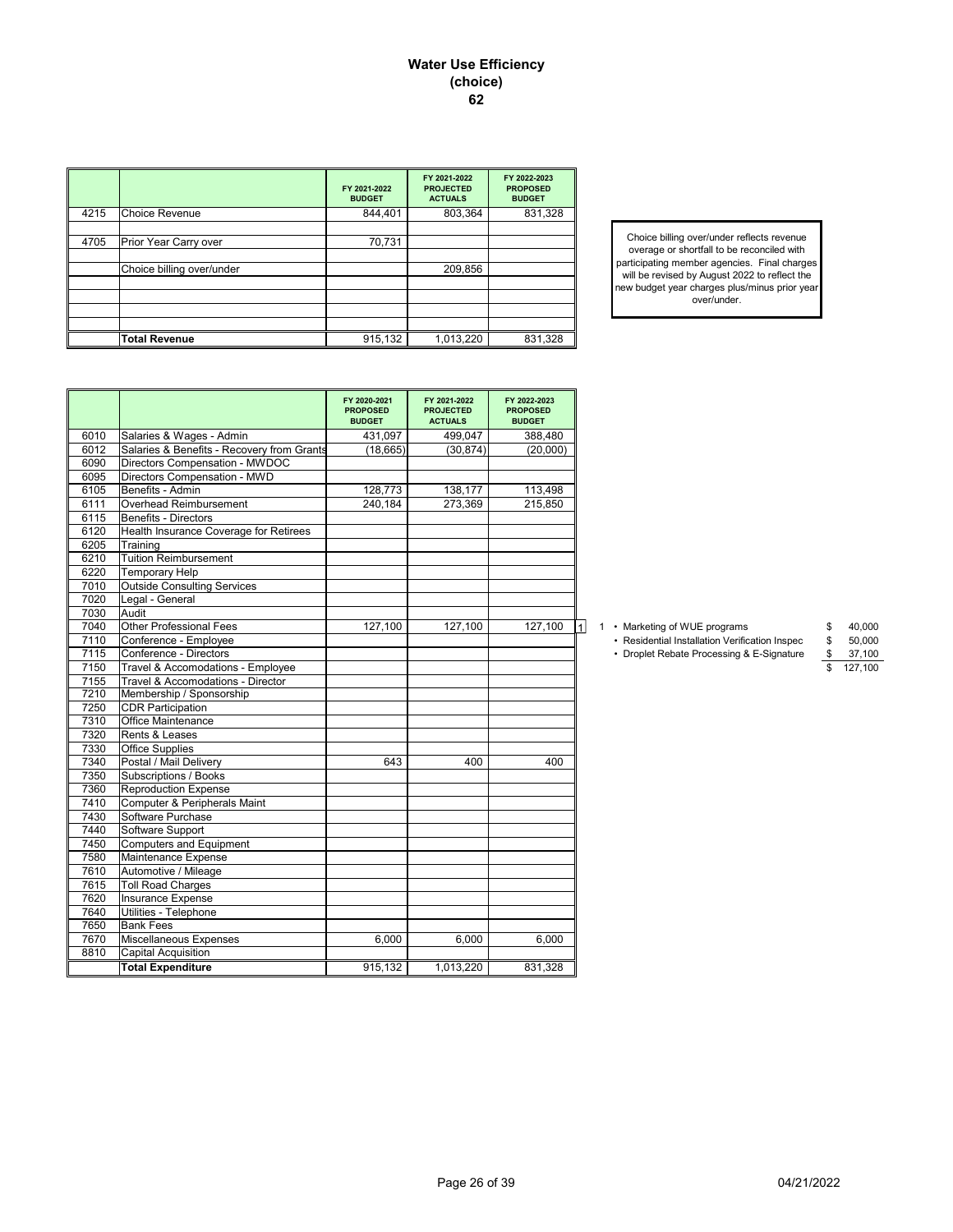#### **Water Use Efficiency (choice) 62**

|      |                           | FY 2021-2022<br><b>BUDGET</b> | FY 2021-2022<br><b>PROJECTED</b><br><b>ACTUALS</b> | FY 2022-2023<br><b>PROPOSED</b><br><b>BUDGET</b> |
|------|---------------------------|-------------------------------|----------------------------------------------------|--------------------------------------------------|
| 4215 | <b>Choice Revenue</b>     | 844,401                       | 803,364                                            | 831,328                                          |
|      |                           |                               |                                                    |                                                  |
| 4705 | Prior Year Carry over     | 70,731                        |                                                    |                                                  |
|      |                           |                               |                                                    |                                                  |
|      | Choice billing over/under |                               | 209,856                                            |                                                  |
|      |                           |                               |                                                    |                                                  |
|      |                           |                               |                                                    |                                                  |
|      |                           |                               |                                                    |                                                  |
|      |                           |                               |                                                    |                                                  |
|      | <b>Total Revenue</b>      | 915,132                       | 1,013,220                                          | 831,328                                          |

Choice billing over/under reflects revenue overage or shortfall to be reconciled with participating member agencies. Final charges will be revised by August 2022 to reflect the new budget year charges plus/minus prior year over/under.

|      |                                            | FY 2020-2021<br><b>PROPOSED</b><br><b>BUDGET</b> | FY 2021-2022<br><b>PROJECTED</b><br><b>ACTUALS</b> | FY 2022-2023<br><b>PROPOSED</b><br><b>BUDGET</b> |                                                                |
|------|--------------------------------------------|--------------------------------------------------|----------------------------------------------------|--------------------------------------------------|----------------------------------------------------------------|
| 6010 | Salaries & Wages - Admin                   | 431,097                                          | 499,047                                            | 388,480                                          |                                                                |
| 6012 | Salaries & Benefits - Recovery from Grants | (18, 665)                                        | (30, 874)                                          | (20,000)                                         |                                                                |
| 6090 | Directors Compensation - MWDOC             |                                                  |                                                    |                                                  |                                                                |
| 6095 | Directors Compensation - MWD               |                                                  |                                                    |                                                  |                                                                |
| 6105 | Benefits - Admin                           | 128,773                                          | 138,177                                            | 113,498                                          |                                                                |
| 6111 | Overhead Reimbursement                     | 240.184                                          | 273,369                                            | 215,850                                          |                                                                |
| 6115 | <b>Benefits - Directors</b>                |                                                  |                                                    |                                                  |                                                                |
| 6120 | Health Insurance Coverage for Retirees     |                                                  |                                                    |                                                  |                                                                |
| 6205 | Training                                   |                                                  |                                                    |                                                  |                                                                |
| 6210 | <b>Tuition Reimbursement</b>               |                                                  |                                                    |                                                  |                                                                |
| 6220 | Temporary Help                             |                                                  |                                                    |                                                  |                                                                |
| 7010 | <b>Outside Consulting Services</b>         |                                                  |                                                    |                                                  |                                                                |
| 7020 | Legal - General                            |                                                  |                                                    |                                                  |                                                                |
| 7030 | Audit                                      |                                                  |                                                    |                                                  |                                                                |
| 7040 | Other Professional Fees                    | 127,100                                          | 127,100                                            | 127,100                                          | 40,000<br>1 • Marketing of WUE programs<br>\$                  |
| 7110 | Conference - Employee                      |                                                  |                                                    |                                                  | • Residential Installation Verification Inspec<br>50,000<br>\$ |
| 7115 | Conference - Directors                     |                                                  |                                                    |                                                  | • Droplet Rebate Processing & E-Signature<br>\$<br>37,100      |
| 7150 | Travel & Accomodations - Employee          |                                                  |                                                    |                                                  | 127,100                                                        |
| 7155 | Travel & Accomodations - Director          |                                                  |                                                    |                                                  |                                                                |
| 7210 | Membership / Sponsorship                   |                                                  |                                                    |                                                  |                                                                |
| 7250 | <b>CDR Participation</b>                   |                                                  |                                                    |                                                  |                                                                |
| 7310 | Office Maintenance                         |                                                  |                                                    |                                                  |                                                                |
| 7320 | Rents & Leases                             |                                                  |                                                    |                                                  |                                                                |
| 7330 | <b>Office Supplies</b>                     |                                                  |                                                    |                                                  |                                                                |
| 7340 | Postal / Mail Delivery                     | 643                                              | 400                                                | 400                                              |                                                                |
| 7350 | <b>Subscriptions / Books</b>               |                                                  |                                                    |                                                  |                                                                |
| 7360 | <b>Reproduction Expense</b>                |                                                  |                                                    |                                                  |                                                                |
| 7410 | Computer & Peripherals Maint               |                                                  |                                                    |                                                  |                                                                |
| 7430 | Software Purchase                          |                                                  |                                                    |                                                  |                                                                |
| 7440 | Software Support                           |                                                  |                                                    |                                                  |                                                                |
| 7450 | <b>Computers and Equipment</b>             |                                                  |                                                    |                                                  |                                                                |
| 7580 | Maintenance Expense                        |                                                  |                                                    |                                                  |                                                                |
| 7610 | Automotive / Mileage                       |                                                  |                                                    |                                                  |                                                                |
| 7615 | <b>Toll Road Charges</b>                   |                                                  |                                                    |                                                  |                                                                |
| 7620 | Insurance Expense                          |                                                  |                                                    |                                                  |                                                                |
| 7640 | Utilities - Telephone                      |                                                  |                                                    |                                                  |                                                                |
| 7650 | <b>Bank Fees</b>                           |                                                  |                                                    |                                                  |                                                                |
| 7670 | Miscellaneous Expenses                     | 6,000                                            | 6,000                                              | 6,000                                            |                                                                |
| 8810 | <b>Capital Acquisition</b>                 |                                                  |                                                    |                                                  |                                                                |
|      | <b>Total Expenditure</b>                   | 915,132                                          | 1,013,220                                          | 831,328                                          |                                                                |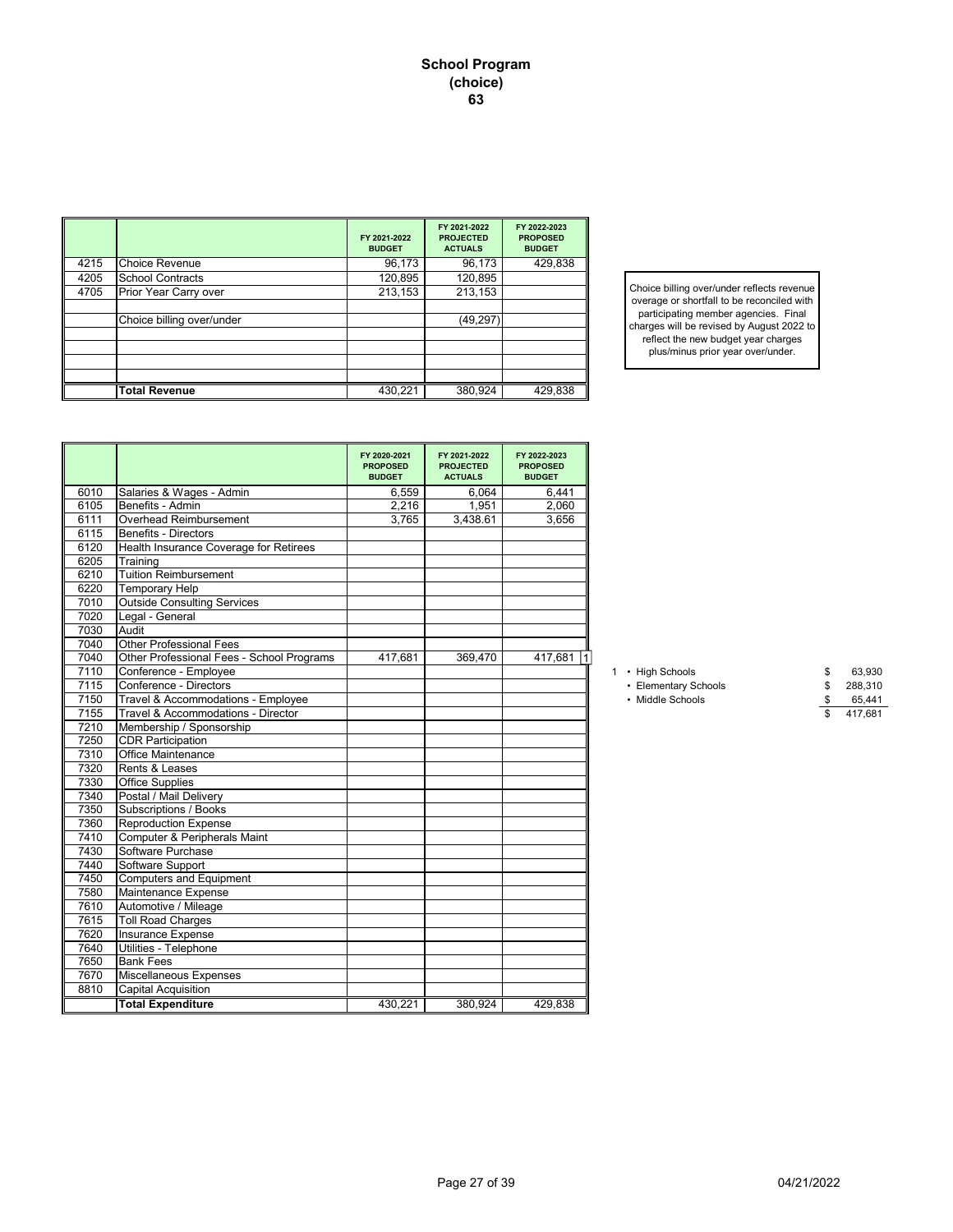|      |                           | FY 2021-2022<br><b>BUDGET</b> | FY 2021-2022<br><b>PROJECTED</b><br><b>ACTUALS</b> | FY 2022-2023<br><b>PROPOSED</b><br><b>BUDGET</b> |
|------|---------------------------|-------------------------------|----------------------------------------------------|--------------------------------------------------|
| 4215 | <b>Choice Revenue</b>     | 96,173                        | 96,173                                             | 429,838                                          |
| 4205 | <b>School Contracts</b>   | 120,895                       | 120,895                                            |                                                  |
| 4705 | Prior Year Carry over     | 213,153                       | 213,153                                            |                                                  |
|      |                           |                               |                                                    |                                                  |
|      | Choice billing over/under |                               | (49, 297)                                          |                                                  |
|      |                           |                               |                                                    |                                                  |
|      |                           |                               |                                                    |                                                  |
|      |                           |                               |                                                    |                                                  |
|      |                           |                               |                                                    |                                                  |
|      | <b>Total Revenue</b>      | 430,221                       | 380,924                                            | 429,838                                          |

Choice billing over/under reflects revenue overage or shortfall to be reconciled with participating member agencies. Final charges will be revised by August 2022 to reflect the new budget year charges plus/minus prior year over/under.

|      |                                           | FY 2020-2021<br><b>PROPOSED</b><br><b>BUDGET</b> | FY 2021-2022<br><b>PROJECTED</b><br><b>ACTUALS</b> | FY 2022-2023<br><b>PROPOSED</b><br><b>BUDGET</b> |                      |               |
|------|-------------------------------------------|--------------------------------------------------|----------------------------------------------------|--------------------------------------------------|----------------------|---------------|
| 6010 | Salaries & Wages - Admin                  | 6,559                                            | 6,064                                              | 6,441                                            |                      |               |
| 6105 | Benefits - Admin                          | 2,216                                            | 1.951                                              | 2.060                                            |                      |               |
| 6111 | Overhead Reimbursement                    | 3,765                                            | 3,438.61                                           | 3,656                                            |                      |               |
| 6115 | <b>Benefits - Directors</b>               |                                                  |                                                    |                                                  |                      |               |
| 6120 | Health Insurance Coverage for Retirees    |                                                  |                                                    |                                                  |                      |               |
| 6205 | Training                                  |                                                  |                                                    |                                                  |                      |               |
| 6210 | Tuition Reimbursement                     |                                                  |                                                    |                                                  |                      |               |
| 6220 | <b>Temporary Help</b>                     |                                                  |                                                    |                                                  |                      |               |
| 7010 | <b>Outside Consulting Services</b>        |                                                  |                                                    |                                                  |                      |               |
| 7020 | Legal - General                           |                                                  |                                                    |                                                  |                      |               |
| 7030 | Audit                                     |                                                  |                                                    |                                                  |                      |               |
| 7040 | <b>Other Professional Fees</b>            |                                                  |                                                    |                                                  |                      |               |
| 7040 | Other Professional Fees - School Programs | 417,681                                          | 369,470                                            | 417,681                                          |                      |               |
| 7110 | Conference - Employee                     |                                                  |                                                    |                                                  | 1 • High Schools     | 63,930<br>S   |
| 7115 | Conference - Directors                    |                                                  |                                                    |                                                  | • Elementary Schools | 288,310<br>\$ |
| 7150 | Travel & Accommodations - Employee        |                                                  |                                                    |                                                  | • Middle Schools     | \$<br>65,441  |
| 7155 | Travel & Accommodations - Director        |                                                  |                                                    |                                                  |                      | 417,681       |
| 7210 | Membership / Sponsorship                  |                                                  |                                                    |                                                  |                      |               |
| 7250 | <b>CDR Participation</b>                  |                                                  |                                                    |                                                  |                      |               |
| 7310 | <b>Office Maintenance</b>                 |                                                  |                                                    |                                                  |                      |               |
| 7320 | Rents & Leases                            |                                                  |                                                    |                                                  |                      |               |
| 7330 | <b>Office Supplies</b>                    |                                                  |                                                    |                                                  |                      |               |
| 7340 | Postal / Mail Delivery                    |                                                  |                                                    |                                                  |                      |               |
| 7350 | Subscriptions / Books                     |                                                  |                                                    |                                                  |                      |               |
| 7360 | Reproduction Expense                      |                                                  |                                                    |                                                  |                      |               |
| 7410 | Computer & Peripherals Maint              |                                                  |                                                    |                                                  |                      |               |
| 7430 | Software Purchase                         |                                                  |                                                    |                                                  |                      |               |
| 7440 | Software Support                          |                                                  |                                                    |                                                  |                      |               |
| 7450 | Computers and Equipment                   |                                                  |                                                    |                                                  |                      |               |
| 7580 | Maintenance Expense                       |                                                  |                                                    |                                                  |                      |               |
| 7610 | Automotive / Mileage                      |                                                  |                                                    |                                                  |                      |               |
| 7615 | <b>Toll Road Charges</b>                  |                                                  |                                                    |                                                  |                      |               |
| 7620 | Insurance Expense                         |                                                  |                                                    |                                                  |                      |               |
| 7640 | Utilities - Telephone                     |                                                  |                                                    |                                                  |                      |               |
| 7650 | <b>Bank Fees</b>                          |                                                  |                                                    |                                                  |                      |               |
| 7670 | Miscellaneous Expenses                    |                                                  |                                                    |                                                  |                      |               |
| 8810 | <b>Capital Acquisition</b>                |                                                  |                                                    |                                                  |                      |               |
|      | <b>Total Expenditure</b>                  | 430,221                                          | 380,924                                            | 429.838                                          |                      |               |

|  | . High Coboolo |  |
|--|----------------|--|

| <b>HIYU SUIDUIS</b>                |  |
|------------------------------------|--|
| $\sim$ $\sim$ $\sim$ $\sim$ $\sim$ |  |

- Elementary Schools
	-

| • High Schools       | 63.930  |
|----------------------|---------|
| • Elementary Schools | 288.310 |
| • Middle Schools     | 65.441  |
|                      | 417.681 |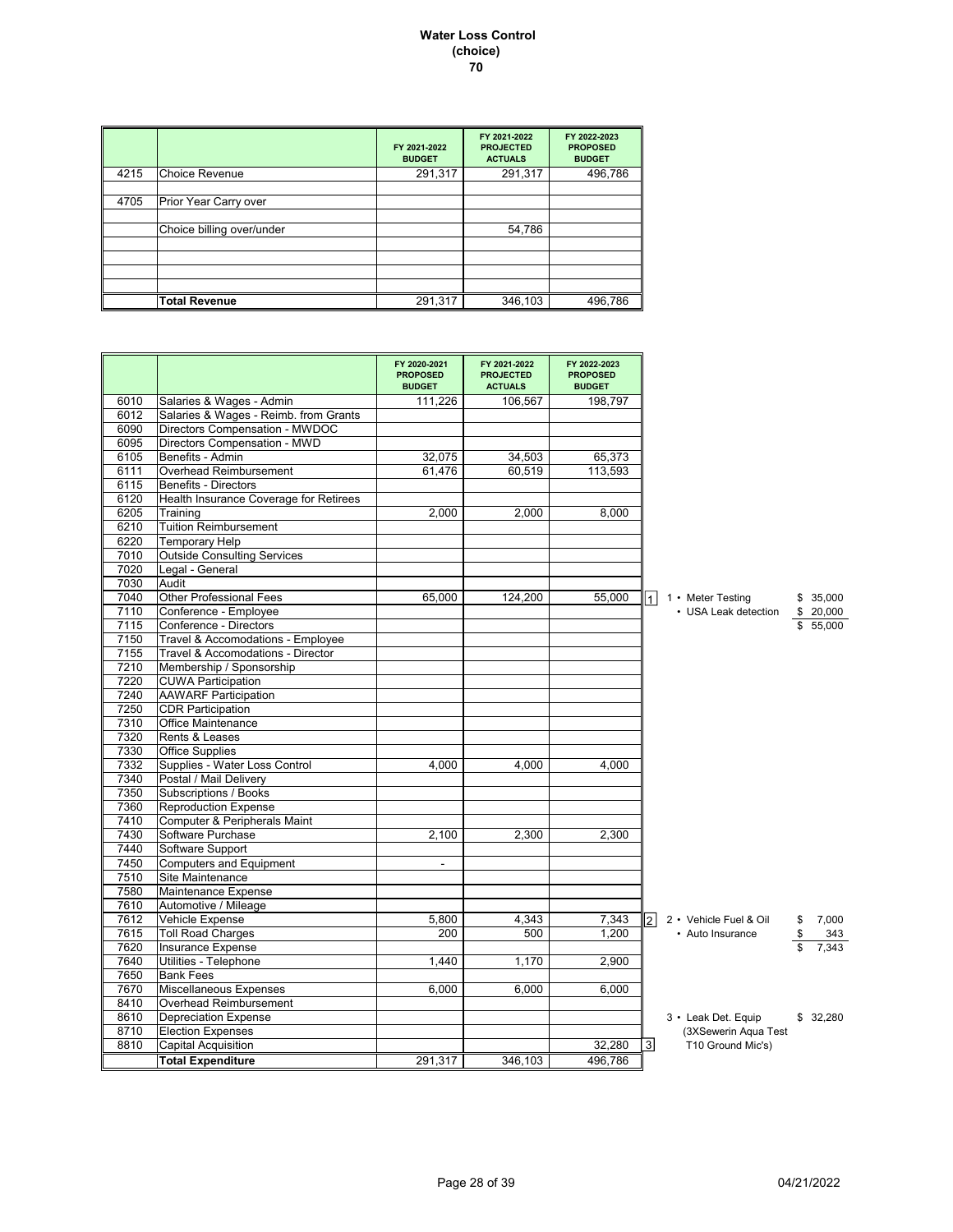#### **Water Loss Control (choice) 70**

|      |                           | FY 2021-2022<br><b>BUDGET</b> | FY 2021-2022<br><b>PROJECTED</b><br><b>ACTUALS</b> | FY 2022-2023<br><b>PROPOSED</b><br><b>BUDGET</b> |
|------|---------------------------|-------------------------------|----------------------------------------------------|--------------------------------------------------|
| 4215 | <b>Choice Revenue</b>     | 291,317                       | 291,317                                            | 496,786                                          |
|      |                           |                               |                                                    |                                                  |
| 4705 | Prior Year Carry over     |                               |                                                    |                                                  |
|      |                           |                               |                                                    |                                                  |
|      | Choice billing over/under |                               | 54,786                                             |                                                  |
|      |                           |                               |                                                    |                                                  |
|      |                           |                               |                                                    |                                                  |
|      |                           |                               |                                                    |                                                  |
|      |                           |                               |                                                    |                                                  |
|      | <b>Total Revenue</b>      | 291,317                       | 346,103                                            | 496,786                                          |

|      |                                        | FY 2020-2021<br><b>PROPOSED</b><br><b>BUDGET</b> | FY 2021-2022<br><b>PROJECTED</b><br><b>ACTUALS</b> | FY 2022-2023<br><b>PROPOSED</b><br><b>BUDGET</b> |                                            |
|------|----------------------------------------|--------------------------------------------------|----------------------------------------------------|--------------------------------------------------|--------------------------------------------|
| 6010 | Salaries & Wages - Admin               | 111,226                                          | 106,567                                            | 198,797                                          |                                            |
| 6012 | Salaries & Wages - Reimb. from Grants  |                                                  |                                                    |                                                  |                                            |
| 6090 | Directors Compensation - MWDOC         |                                                  |                                                    |                                                  |                                            |
| 6095 | Directors Compensation - MWD           |                                                  |                                                    |                                                  |                                            |
| 6105 | Benefits - Admin                       | 32.075                                           | 34.503                                             | 65.373                                           |                                            |
| 6111 | Overhead Reimbursement                 | 61.476                                           | 60,519                                             | 113,593                                          |                                            |
| 6115 | <b>Benefits - Directors</b>            |                                                  |                                                    |                                                  |                                            |
| 6120 | Health Insurance Coverage for Retirees |                                                  |                                                    |                                                  |                                            |
| 6205 | Training                               | 2,000                                            | 2,000                                              | 8,000                                            |                                            |
| 6210 | <b>Tuition Reimbursement</b>           |                                                  |                                                    |                                                  |                                            |
| 6220 | Temporary Help                         |                                                  |                                                    |                                                  |                                            |
| 7010 | <b>Outside Consulting Services</b>     |                                                  |                                                    |                                                  |                                            |
| 7020 | Legal - General                        |                                                  |                                                    |                                                  |                                            |
| 7030 | Audit                                  |                                                  |                                                    |                                                  |                                            |
| 7040 | <b>Other Professional Fees</b>         | 65,000                                           | 124,200                                            | 55,000                                           | 1 • Meter Testing<br>\$35,000<br>$\vert$ 1 |
| 7110 | Conference - Employee                  |                                                  |                                                    |                                                  | • USA Leak detection<br>\$20,000           |
| 7115 | Conference - Directors                 |                                                  |                                                    |                                                  | \$55,000                                   |
| 7150 | Travel & Accomodations - Employee      |                                                  |                                                    |                                                  |                                            |
| 7155 | Travel & Accomodations - Director      |                                                  |                                                    |                                                  |                                            |
| 7210 | Membership / Sponsorship               |                                                  |                                                    |                                                  |                                            |
| 7220 | <b>CUWA Participation</b>              |                                                  |                                                    |                                                  |                                            |
| 7240 | <b>AAWARF Participation</b>            |                                                  |                                                    |                                                  |                                            |
| 7250 | <b>CDR Participation</b>               |                                                  |                                                    |                                                  |                                            |
| 7310 | <b>Office Maintenance</b>              |                                                  |                                                    |                                                  |                                            |
| 7320 | Rents & Leases                         |                                                  |                                                    |                                                  |                                            |
| 7330 | <b>Office Supplies</b>                 |                                                  |                                                    |                                                  |                                            |
| 7332 | Supplies - Water Loss Control          | 4,000                                            | 4.000                                              | 4.000                                            |                                            |
| 7340 | Postal / Mail Delivery                 |                                                  |                                                    |                                                  |                                            |
| 7350 | Subscriptions / Books                  |                                                  |                                                    |                                                  |                                            |
| 7360 | <b>Reproduction Expense</b>            |                                                  |                                                    |                                                  |                                            |
| 7410 | Computer & Peripherals Maint           |                                                  |                                                    |                                                  |                                            |
| 7430 | Software Purchase                      | 2,100                                            | 2,300                                              | 2.300                                            |                                            |
| 7440 | Software Support                       |                                                  |                                                    |                                                  |                                            |
| 7450 | <b>Computers and Equipment</b>         | ÷.                                               |                                                    |                                                  |                                            |
| 7510 | Site Maintenance                       |                                                  |                                                    |                                                  |                                            |
| 7580 | Maintenance Expense                    |                                                  |                                                    |                                                  |                                            |
| 7610 | Automotive / Mileage                   |                                                  |                                                    |                                                  |                                            |
| 7612 | Vehicle Expense                        | 5,800                                            | 4,343                                              | 7,343                                            | 2 • Vehicle Fuel & Oil<br>7,000<br>\$      |
| 7615 | <b>Toll Road Charges</b>               | 200                                              | 500                                                | 1,200                                            | • Auto Insurance<br>343                    |
| 7620 | <b>Insurance Expense</b>               |                                                  |                                                    |                                                  | 7.343                                      |
| 7640 | Utilities - Telephone                  | 1,440                                            | 1,170                                              | 2,900                                            |                                            |
| 7650 | <b>Bank Fees</b>                       |                                                  |                                                    |                                                  |                                            |
| 7670 | <b>Miscellaneous Expenses</b>          | 6.000                                            | 6.000                                              | 6.000                                            |                                            |
| 8410 | Overhead Reimbursement                 |                                                  |                                                    |                                                  |                                            |
| 8610 | <b>Depreciation Expense</b>            |                                                  |                                                    |                                                  | 3 • Leak Det. Equip<br>\$32.280            |
| 8710 | <b>Election Expenses</b>               |                                                  |                                                    |                                                  | (3XSewerin Aqua Test                       |
| 8810 | <b>Capital Acquisition</b>             |                                                  |                                                    | 32,280                                           | 3 <sup>1</sup><br>T10 Ground Mic's)        |
|      | <b>Total Expenditure</b>               | 291,317                                          | 346.103                                            | 496,786                                          |                                            |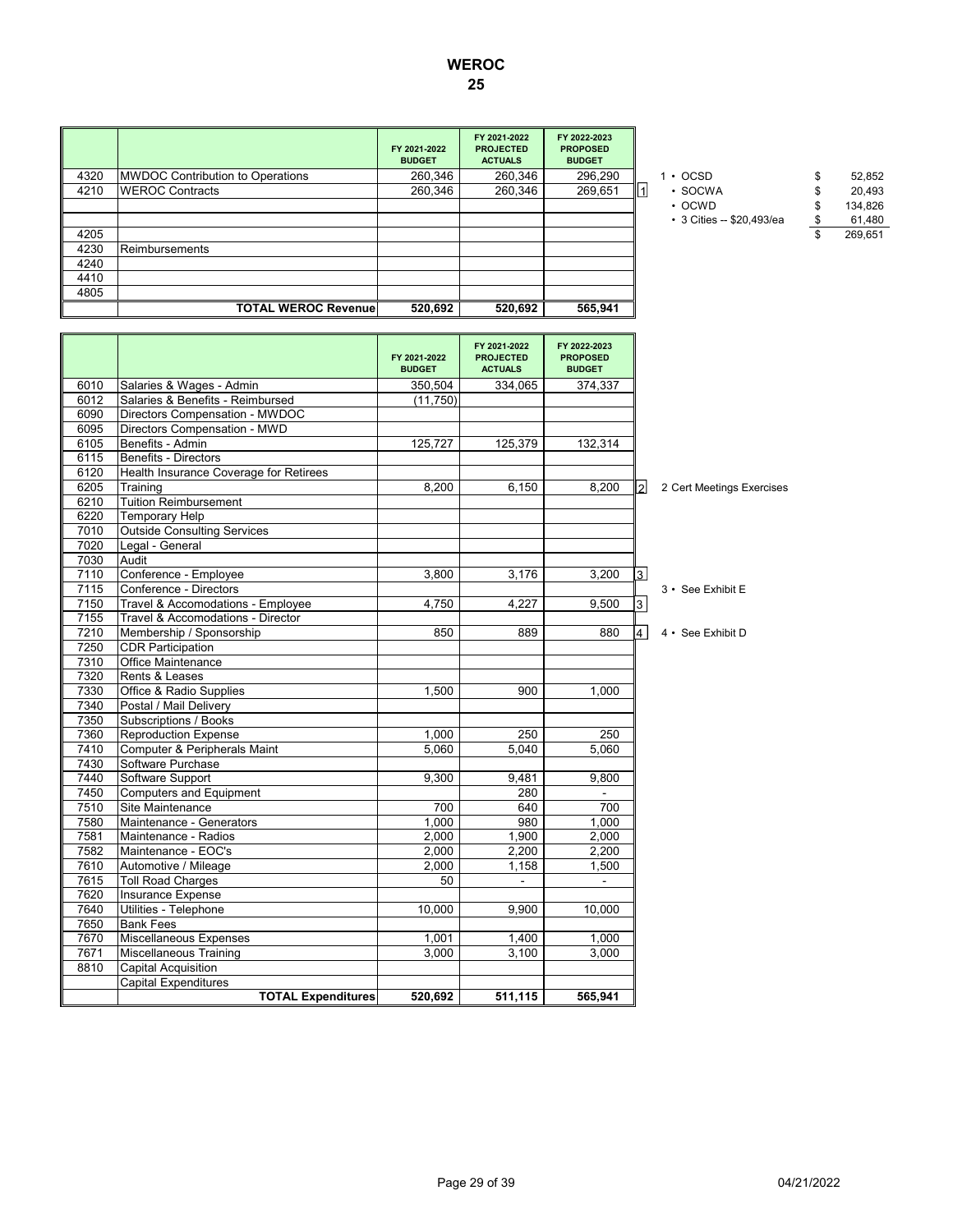|      |                                  | FY 2021-2022<br><b>BUDGET</b> | FY 2021-2022<br><b>PROJECTED</b><br><b>ACTUALS</b> | FY 2022-2023<br><b>PROPOSED</b><br><b>BUDGET</b> |                           |         |
|------|----------------------------------|-------------------------------|----------------------------------------------------|--------------------------------------------------|---------------------------|---------|
| 4320 | MWDOC Contribution to Operations | 260,346                       | 260,346                                            | 296,290                                          | $\cdot$ OCSD              | 52,852  |
| 4210 | <b>WEROC Contracts</b>           | 260,346                       | 260,346                                            | 269,651                                          | • SOCWA<br>1              | 20,493  |
|      |                                  |                               |                                                    |                                                  | $\cdot$ OCWD              | 134,826 |
|      |                                  |                               |                                                    |                                                  | • 3 Cities -- \$20,493/ea | 61,480  |
| 4205 |                                  |                               |                                                    |                                                  |                           | 269,651 |
| 4230 | Reimbursements                   |                               |                                                    |                                                  |                           |         |
| 4240 |                                  |                               |                                                    |                                                  |                           |         |
| 4410 |                                  |                               |                                                    |                                                  |                           |         |
| 4805 |                                  |                               |                                                    |                                                  |                           |         |
|      | <b>TOTAL WEROC Revenue</b>       | 520.692                       | 520,692                                            | 565,941                                          |                           |         |
|      |                                  |                               |                                                    |                                                  |                           |         |
|      |                                  |                               |                                                    |                                                  |                           |         |

- - OCWD \$ 134,826
	- 3 Cities -- \$20,493/ea \$ 61,480

|      |                                        | FY 2021-2022<br><b>BUDGET</b> | FY 2021-2022<br><b>PROJECTED</b><br><b>ACTUALS</b> | FY 2022-2023<br><b>PROPOSED</b><br><b>BUDGET</b> |           |                           |
|------|----------------------------------------|-------------------------------|----------------------------------------------------|--------------------------------------------------|-----------|---------------------------|
| 6010 | Salaries & Wages - Admin               | 350.504                       | 334.065                                            | 374.337                                          |           |                           |
| 6012 | Salaries & Benefits - Reimbursed       | (11,750)                      |                                                    |                                                  |           |                           |
| 6090 | Directors Compensation - MWDOC         |                               |                                                    |                                                  |           |                           |
| 6095 | Directors Compensation - MWD           |                               |                                                    |                                                  |           |                           |
| 6105 | Benefits - Admin                       | 125,727                       | 125,379                                            | 132,314                                          |           |                           |
| 6115 | Benefits - Directors                   |                               |                                                    |                                                  |           |                           |
| 6120 | Health Insurance Coverage for Retirees |                               |                                                    |                                                  |           |                           |
| 6205 | Training                               | 8,200                         | 6,150                                              | 8,200                                            | 121       | 2 Cert Meetings Exercises |
| 6210 | <b>Tuition Reimbursement</b>           |                               |                                                    |                                                  |           |                           |
| 6220 | <b>Temporary Help</b>                  |                               |                                                    |                                                  |           |                           |
| 7010 | <b>Outside Consulting Services</b>     |                               |                                                    |                                                  |           |                           |
| 7020 | Legal - General                        |                               |                                                    |                                                  |           |                           |
| 7030 | Audit                                  |                               |                                                    |                                                  |           |                           |
| 7110 | Conference - Employee                  | 3,800                         | 3,176                                              | 3,200                                            | $\vert$ 3 |                           |
| 7115 | Conference - Directors                 |                               |                                                    |                                                  |           | 3 • See Exhibit E         |
| 7150 | Travel & Accomodations - Employee      | 4,750                         | 4.227                                              | 9,500                                            | 3         |                           |
| 7155 | Travel & Accomodations - Director      |                               |                                                    |                                                  |           |                           |
| 7210 | Membership / Sponsorship               | 850                           | 889                                                | 880                                              | 4         | 4 • See Exhibit D         |
| 7250 | <b>CDR Participation</b>               |                               |                                                    |                                                  |           |                           |
| 7310 | Office Maintenance                     |                               |                                                    |                                                  |           |                           |
| 7320 | Rents & Leases                         |                               |                                                    |                                                  |           |                           |
| 7330 | Office & Radio Supplies                | 1,500                         | 900                                                | 1,000                                            |           |                           |
| 7340 | Postal / Mail Deliverv                 |                               |                                                    |                                                  |           |                           |
| 7350 | Subscriptions / Books                  |                               |                                                    |                                                  |           |                           |
| 7360 | <b>Reproduction Expense</b>            | 1,000                         | 250                                                | 250                                              |           |                           |
| 7410 | Computer & Peripherals Maint           | 5.060                         | 5.040                                              | 5.060                                            |           |                           |
| 7430 | Software Purchase                      |                               |                                                    |                                                  |           |                           |
| 7440 | Software Support                       | 9,300                         | 9,481                                              | 9,800                                            |           |                           |
| 7450 | <b>Computers and Equipment</b>         |                               | 280                                                |                                                  |           |                           |
| 7510 | Site Maintenance                       | 700                           | 640                                                | 700                                              |           |                           |
| 7580 | Maintenance - Generators               | 1,000                         | 980                                                | 1,000                                            |           |                           |
| 7581 | Maintenance - Radios                   | 2,000                         | 1,900                                              | 2,000                                            |           |                           |
| 7582 | Maintenance - EOC's                    | 2.000                         | 2,200                                              | 2,200                                            |           |                           |
| 7610 | Automotive / Mileage                   | 2,000                         | 1,158                                              | 1,500                                            |           |                           |
| 7615 | <b>Toll Road Charges</b>               | 50                            | $\mathbf{r}$                                       | $\mathbf{r}$                                     |           |                           |
| 7620 | Insurance Expense                      |                               |                                                    |                                                  |           |                           |
| 7640 | Utilities - Telephone                  | 10.000                        | 9.900                                              | 10.000                                           |           |                           |
| 7650 | <b>Bank Fees</b>                       |                               |                                                    |                                                  |           |                           |
| 7670 | Miscellaneous Expenses                 | 1,001                         | 1,400                                              | 1,000                                            |           |                           |
| 7671 | Miscellaneous Training                 | 3.000                         | 3.100                                              | 3.000                                            |           |                           |
| 8810 | <b>Capital Acquisition</b>             |                               |                                                    |                                                  |           |                           |
|      | <b>Capital Expenditures</b>            |                               |                                                    |                                                  |           |                           |
|      | <b>TOTAL Expenditures</b>              | 520,692                       | 511,115                                            | 565,941                                          |           |                           |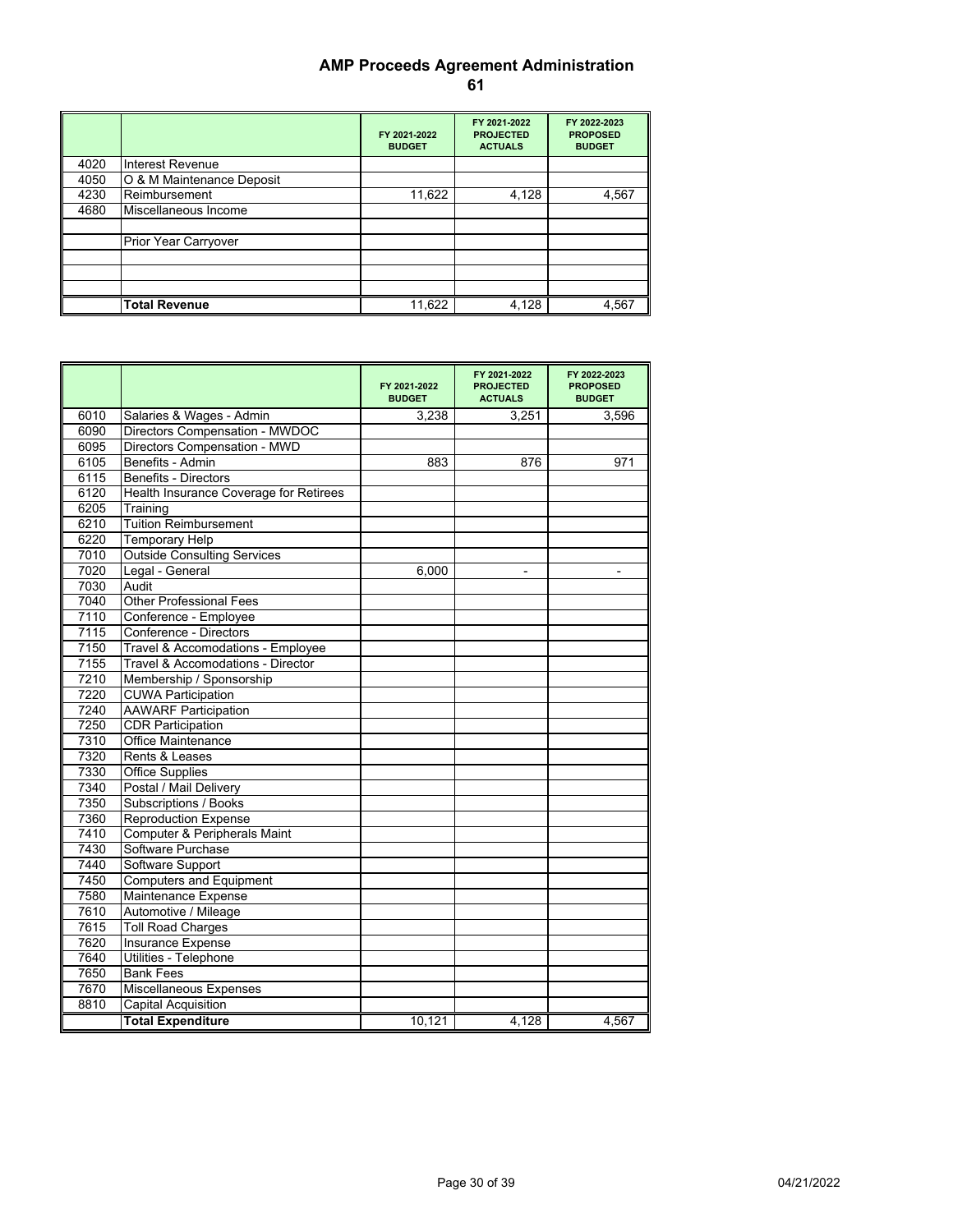# **AMP Proceeds Agreement Administration 61**

|      |                           | FY 2021-2022<br><b>BUDGET</b> | FY 2021-2022<br><b>PROJECTED</b><br><b>ACTUALS</b> | FY 2022-2023<br><b>PROPOSED</b><br><b>BUDGET</b> |
|------|---------------------------|-------------------------------|----------------------------------------------------|--------------------------------------------------|
| 4020 | Interest Revenue          |                               |                                                    |                                                  |
| 4050 | O & M Maintenance Deposit |                               |                                                    |                                                  |
| 4230 | Reimbursement             | 11,622                        | 4,128                                              | 4,567                                            |
| 4680 | Miscellaneous Income      |                               |                                                    |                                                  |
|      | Prior Year Carryover      |                               |                                                    |                                                  |
|      |                           |                               |                                                    | 4,567                                            |
|      | <b>Total Revenue</b>      | 11,622                        | 4,128                                              |                                                  |

|      |                                        | FY 2021-2022<br><b>BUDGET</b> | FY 2021-2022<br><b>PROJECTED</b><br><b>ACTUALS</b> | FY 2022-2023<br><b>PROPOSED</b><br><b>BUDGET</b> |
|------|----------------------------------------|-------------------------------|----------------------------------------------------|--------------------------------------------------|
| 6010 | Salaries & Wages - Admin               | 3,238                         | 3,251                                              | 3,596                                            |
| 6090 | Directors Compensation - MWDOC         |                               |                                                    |                                                  |
| 6095 | Directors Compensation - MWD           |                               |                                                    |                                                  |
| 6105 | Benefits - Admin                       | 883                           | 876                                                | 971                                              |
| 6115 | Benefits - Directors                   |                               |                                                    |                                                  |
| 6120 | Health Insurance Coverage for Retirees |                               |                                                    |                                                  |
| 6205 | Training                               |                               |                                                    |                                                  |
| 6210 | <b>Tuition Reimbursement</b>           |                               |                                                    |                                                  |
| 6220 | <b>Temporary Help</b>                  |                               |                                                    |                                                  |
| 7010 | <b>Outside Consulting Services</b>     |                               |                                                    |                                                  |
| 7020 | Legal - General                        | 6,000                         |                                                    |                                                  |
| 7030 | Audit                                  |                               |                                                    |                                                  |
| 7040 | <b>Other Professional Fees</b>         |                               |                                                    |                                                  |
| 7110 | Conference - Employee                  |                               |                                                    |                                                  |
| 7115 | Conference - Directors                 |                               |                                                    |                                                  |
| 7150 | Travel & Accomodations - Employee      |                               |                                                    |                                                  |
| 7155 | Travel & Accomodations - Director      |                               |                                                    |                                                  |
| 7210 | Membership / Sponsorship               |                               |                                                    |                                                  |
| 7220 | <b>CUWA Participation</b>              |                               |                                                    |                                                  |
| 7240 | <b>AAWARF Participation</b>            |                               |                                                    |                                                  |
| 7250 | <b>CDR Participation</b>               |                               |                                                    |                                                  |
| 7310 | <b>Office Maintenance</b>              |                               |                                                    |                                                  |
| 7320 | Rents & Leases                         |                               |                                                    |                                                  |
| 7330 | <b>Office Supplies</b>                 |                               |                                                    |                                                  |
| 7340 | Postal / Mail Delivery                 |                               |                                                    |                                                  |
| 7350 | Subscriptions / Books                  |                               |                                                    |                                                  |
| 7360 | <b>Reproduction Expense</b>            |                               |                                                    |                                                  |
| 7410 | Computer & Peripherals Maint           |                               |                                                    |                                                  |
| 7430 | Software Purchase                      |                               |                                                    |                                                  |
| 7440 | Software Support                       |                               |                                                    |                                                  |
| 7450 | <b>Computers and Equipment</b>         |                               |                                                    |                                                  |
| 7580 | Maintenance Expense                    |                               |                                                    |                                                  |
| 7610 | Automotive / Mileage                   |                               |                                                    |                                                  |
| 7615 | <b>Toll Road Charges</b>               |                               |                                                    |                                                  |
| 7620 | Insurance Expense                      |                               |                                                    |                                                  |
| 7640 | Utilities - Telephone                  |                               |                                                    |                                                  |
| 7650 | <b>Bank Fees</b>                       |                               |                                                    |                                                  |
| 7670 | Miscellaneous Expenses                 |                               |                                                    |                                                  |
| 8810 | Capital Acquisition                    |                               |                                                    |                                                  |
|      | <b>Total Expenditure</b>               | 10,121                        | 4,128                                              | 4,567                                            |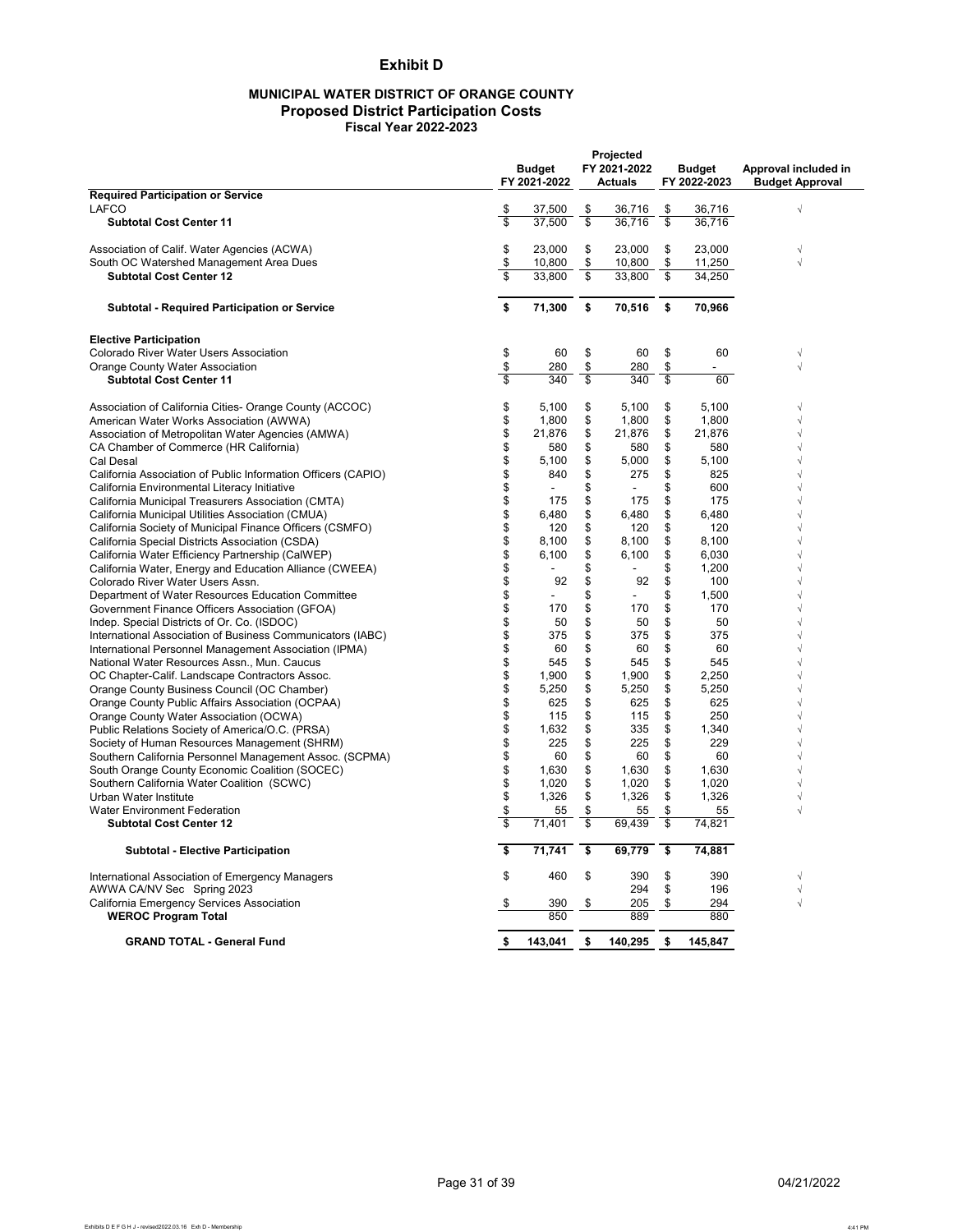## **Exhibit D**

#### **MUNICIPAL WATER DISTRICT OF ORANGE COUNTY Proposed District Participation Costs Fiscal Year 2022-2023**

|                                                                                       |          | <b>Budget</b><br>FY 2021-2022 |          | Projected<br>FY 2021-2022<br><b>Actuals</b> |          | <b>Budget</b><br>FY 2022-2023 | Approval included in<br><b>Budget Approval</b> |
|---------------------------------------------------------------------------------------|----------|-------------------------------|----------|---------------------------------------------|----------|-------------------------------|------------------------------------------------|
| <b>Required Participation or Service</b>                                              |          |                               |          |                                             |          |                               |                                                |
| LAFCO                                                                                 | \$       | 37.500                        | \$       | 36.716                                      | \$       | 36.716                        | $\sqrt{2}$                                     |
| <b>Subtotal Cost Center 11</b>                                                        | \$       | 37.500                        | s        | 36.716                                      | s        | 36.716                        |                                                |
| Association of Calif. Water Agencies (ACWA)                                           | \$       | 23,000                        | \$       | 23,000                                      | \$       | 23,000                        |                                                |
| South OC Watershed Management Area Dues                                               | \$       | 10,800                        | \$       | 10,800                                      | \$       | 11,250                        | $\sqrt{2}$                                     |
| <b>Subtotal Cost Center 12</b>                                                        | \$       | 33,800                        | \$       | 33,800                                      | \$       | 34,250                        |                                                |
| <b>Subtotal - Required Participation or Service</b>                                   | \$       | 71,300                        | \$       | 70,516                                      | \$       | 70,966                        |                                                |
| <b>Elective Participation</b>                                                         |          |                               |          |                                             |          |                               |                                                |
| Colorado River Water Users Association                                                | \$       | 60                            | \$       | 60                                          | \$       | 60                            | $\sqrt{}$                                      |
| Orange County Water Association                                                       | \$       | 280                           | \$       | 280                                         | \$       | $\overline{\phantom{a}}$      | $\sqrt{}$                                      |
| <b>Subtotal Cost Center 11</b>                                                        | \$       | 340                           | \$       | 340                                         | \$       | 60                            |                                                |
| Association of California Cities- Orange County (ACCOC)                               | \$       | 5,100                         | \$       | 5,100                                       | \$       | 5,100                         | $\sqrt{}$                                      |
| American Water Works Association (AWWA)                                               | \$       | 1,800                         | \$       | 1,800                                       | \$       | 1,800                         | $\sqrt{ }$                                     |
| Association of Metropolitan Water Agencies (AMWA)                                     | \$       | 21,876                        | \$       | 21,876                                      | \$       | 21,876                        | $\sqrt{ }$                                     |
| CA Chamber of Commerce (HR California)                                                | \$       | 580                           | \$       | 580                                         | \$       | 580                           | $\sqrt{ }$                                     |
| Cal Desal                                                                             | \$       | 5,100                         | \$       | 5,000                                       | \$       | 5,100                         | $\sqrt{ }$                                     |
| California Association of Public Information Officers (CAPIO)                         | \$       | 840                           | \$       | 275                                         | \$       | 825                           | $\sqrt{2}$                                     |
| California Environmental Literacy Initiative                                          | \$       |                               | \$       |                                             | \$       | 600                           | $\sqrt{ }$                                     |
| California Municipal Treasurers Association (CMTA)                                    | \$       | 175                           | \$       | 175                                         | \$       | 175                           | $\sqrt{ }$                                     |
| California Municipal Utilities Association (CMUA)                                     | \$       | 6,480                         | \$       | 6,480                                       | \$       | 6,480                         | $\sqrt{}$                                      |
| California Society of Municipal Finance Officers (CSMFO)                              | \$       | 120                           | \$       | 120                                         | \$       | 120                           | $\sqrt{ }$                                     |
| California Special Districts Association (CSDA)                                       | \$       | 8,100                         | \$       | 8,100                                       | \$       | 8,100                         | $\sqrt{}$                                      |
| California Water Efficiency Partnership (CalWEP)                                      | \$       | 6,100                         | \$       | 6,100<br>$\mathbf{r}$                       | \$       | 6,030                         | $\sqrt{ }$                                     |
| California Water, Energy and Education Alliance (CWEEA)                               | \$       |                               | \$<br>\$ |                                             | \$<br>\$ | 1,200                         | $\sqrt{ }$<br>$\sqrt{ }$                       |
| Colorado River Water Users Assn.<br>Department of Water Resources Education Committee | \$<br>\$ | 92                            | \$       | 92<br>$\overline{a}$                        | \$       | 100<br>1,500                  | $\sqrt{ }$                                     |
| Government Finance Officers Association (GFOA)                                        | \$       | 170                           | \$       | 170                                         | \$       | 170                           | $\sqrt{ }$                                     |
| Indep. Special Districts of Or. Co. (ISDOC)                                           | \$       | 50                            | \$       | 50                                          | \$       | 50                            | $\sqrt{ }$                                     |
| International Association of Business Communicators (IABC)                            | \$       | 375                           | \$       | 375                                         | \$       | 375                           | $\sqrt{2}$                                     |
| International Personnel Management Association (IPMA)                                 | \$       | 60                            | \$       | 60                                          | \$       | 60                            | $\sqrt{ }$                                     |
| National Water Resources Assn., Mun. Caucus                                           | \$       | 545                           | \$       | 545                                         | \$       | 545                           | $\sqrt{ }$                                     |
| OC Chapter-Calif. Landscape Contractors Assoc.                                        | \$       | 1,900                         | \$       | 1,900                                       | \$       | 2,250                         | $\sqrt{2}$                                     |
| Orange County Business Council (OC Chamber)                                           | \$       | 5,250                         | \$       | 5,250                                       | \$       | 5,250                         | $\sqrt{ }$                                     |
| Orange County Public Affairs Association (OCPAA)                                      | \$       | 625                           | \$       | 625                                         | \$       | 625                           |                                                |
| Orange County Water Association (OCWA)                                                | \$       | 115                           | \$       | 115                                         | \$       | 250                           | $\sqrt{ }$                                     |
| Public Relations Society of America/O.C. (PRSA)                                       | \$       | 1,632                         | \$       | 335                                         | \$       | 1.340                         | $\sqrt{ }$                                     |
| Society of Human Resources Management (SHRM)                                          | \$       | 225                           | \$       | 225                                         | \$       | 229                           | $\sqrt{ }$                                     |
| Southern California Personnel Management Assoc. (SCPMA)                               | \$       | 60                            | \$       | 60                                          | \$       | 60                            | $\sqrt{ }$                                     |
| South Orange County Economic Coalition (SOCEC)                                        | \$       | 1.630                         | \$       | 1.630                                       | \$       | 1.630                         | $\sqrt{ }$                                     |
| Southern California Water Coalition (SCWC)                                            | \$       | 1,020                         | \$       | 1.020                                       | \$       | 1.020                         | $\sqrt{2}$                                     |
| Urban Water Institute                                                                 | \$       | 1,326                         | \$       | 1,326                                       | \$       | 1,326                         | $\sqrt{ }$                                     |
| <b>Water Environment Federation</b>                                                   | \$       | 55                            | \$       | 55                                          | \$       | 55                            | $\sqrt{2}$                                     |
| <b>Subtotal Cost Center 12</b>                                                        | \$       | 71,401                        | \$       | 69,439                                      | \$       | 74,821                        |                                                |
| <b>Subtotal - Elective Participation</b>                                              | \$       | 71,741                        | \$       | 69,779                                      | \$       | 74,881                        |                                                |
| International Association of Emergency Managers                                       | \$       | 460                           | \$       | 390                                         | \$       | 390                           | N                                              |
| AWWA CA/NV Sec Spring 2023                                                            |          |                               |          | 294                                         | \$       | 196                           | $\sqrt{}$                                      |
| California Emergency Services Association                                             | \$       | 390                           | \$       | 205                                         | \$       | 294                           | $\sqrt{}$                                      |
| <b>WEROC Program Total</b>                                                            |          | 850                           |          | 889                                         |          | 880                           |                                                |
| <b>GRAND TOTAL - General Fund</b>                                                     | \$       | 143,041                       | \$       | 140,295                                     | \$       | 145,847                       |                                                |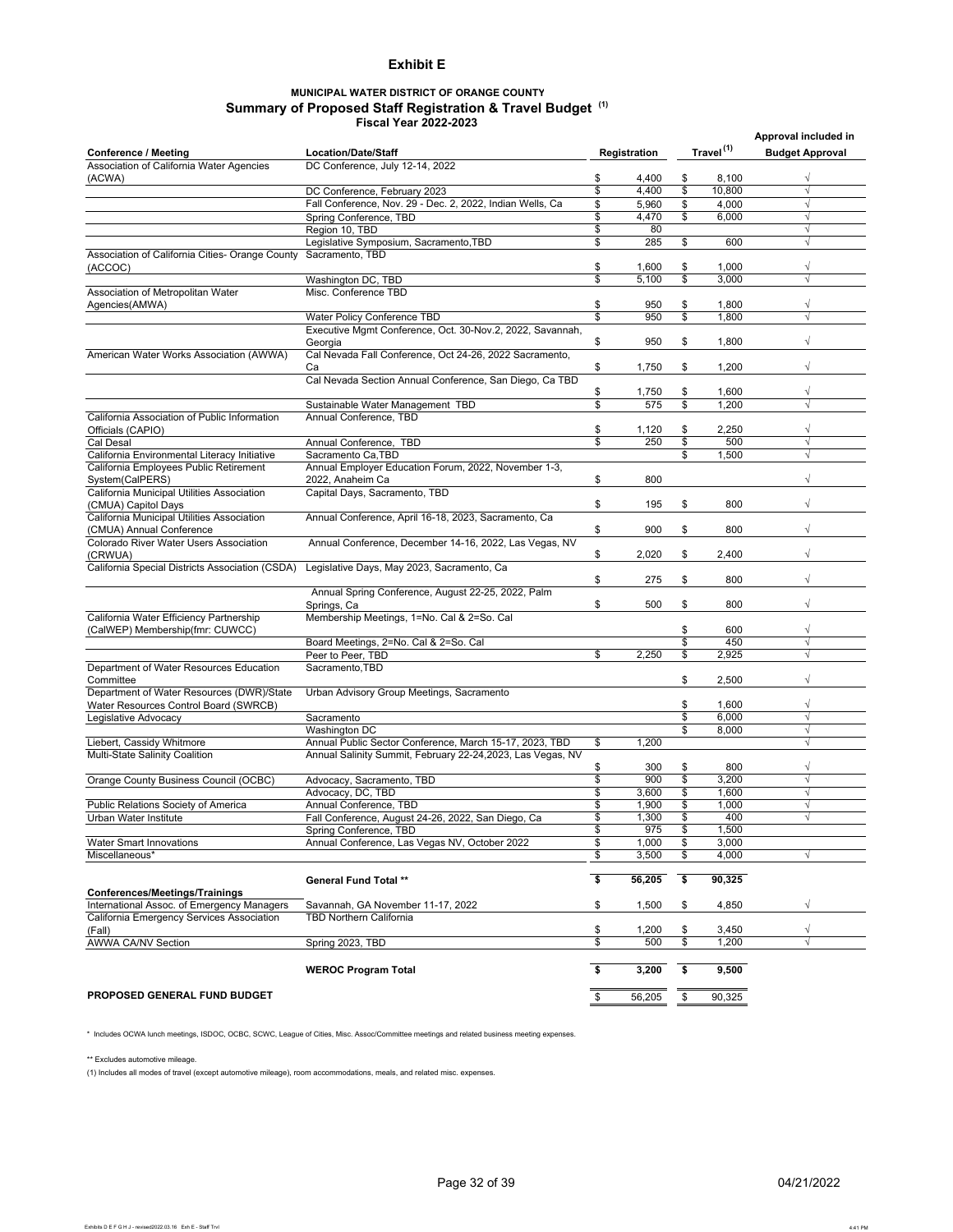#### **Exhibit E**

#### **MUNICIPAL WATER DISTRICT OF ORANGE COUNTY Summary of Proposed Staff Registration & Travel Budget (1) Fiscal Year 2022-2023**

|                                                               |                                                                           |          |                |          |                       | Approval included in   |  |
|---------------------------------------------------------------|---------------------------------------------------------------------------|----------|----------------|----------|-----------------------|------------------------|--|
| <b>Conference / Meeting</b>                                   | <b>Location/Date/Staff</b>                                                |          | Registration   |          | Travel <sup>(1)</sup> | <b>Budget Approval</b> |  |
| Association of California Water Agencies                      | DC Conference, July 12-14, 2022                                           |          |                |          |                       |                        |  |
| (ACWA)                                                        |                                                                           | \$       | 4,400          | \$       | 8,100                 | $\sqrt{}$              |  |
|                                                               | DC Conference, February 2023                                              | \$       | 4,400          | \$       | 10,800                | $\sqrt{}$              |  |
|                                                               | Fall Conference, Nov. 29 - Dec. 2, 2022, Indian Wells, Ca                 | \$       | 5,960          | \$       | 4.000                 | $\sqrt{}$              |  |
|                                                               | Spring Conference, TBD                                                    | \$       | 4,470          | \$       | 6,000                 | $\sqrt{}$              |  |
|                                                               | Region 10, TBD                                                            | \$       | 80             |          |                       | $\sqrt{}$              |  |
|                                                               | Legislative Symposium, Sacramento, TBD                                    | \$       | 285            | \$       | 600                   | $\sqrt{}$              |  |
| Association of California Cities- Orange County               | Sacramento, TBD                                                           |          |                | \$       |                       | √                      |  |
| (ACCOC)                                                       | Washington DC, TBD                                                        | \$<br>\$ | 1,600<br>5.100 | \$       | 1,000<br>3,000        | √                      |  |
| Association of Metropolitan Water                             | Misc. Conference TBD                                                      |          |                |          |                       |                        |  |
| Agencies(AMWA)                                                |                                                                           | \$       | 950            | \$       | 1,800                 | √                      |  |
|                                                               | Water Policy Conference TBD                                               | \$       | 950            | \$       | 1,800                 | $\sqrt{}$              |  |
|                                                               | Executive Mgmt Conference, Oct. 30-Nov.2, 2022, Savannah,                 |          |                |          |                       |                        |  |
|                                                               | Georgia                                                                   | \$       | 950            | \$       | 1,800                 | $\sqrt{}$              |  |
| American Water Works Association (AWWA)                       | Cal Nevada Fall Conference, Oct 24-26, 2022 Sacramento,                   |          |                |          |                       |                        |  |
|                                                               | Ca                                                                        | \$       | 1,750          | \$       | 1,200                 | $\sqrt{}$              |  |
|                                                               | Cal Nevada Section Annual Conference, San Diego, Ca TBD                   |          |                |          |                       |                        |  |
|                                                               |                                                                           | \$       | 1,750          | \$       | 1,600                 | $\sqrt{}$              |  |
|                                                               | Sustainable Water Management TBD                                          | \$       | 575            | \$       | 1,200                 | √                      |  |
| California Association of Public Information                  | Annual Conference, TBD                                                    |          |                |          |                       |                        |  |
| Officials (CAPIO)                                             |                                                                           | \$       | 1,120          | \$       | 2,250                 | $\sqrt{}$              |  |
| Cal Desal                                                     | Annual Conference, TBD                                                    | \$       | 250            | \$       | 500                   | √                      |  |
| California Environmental Literacy Initiative                  | Sacramento Ca.TBD<br>Annual Employer Education Forum, 2022, November 1-3, |          |                | \$       | 1,500                 | $\sqrt{ }$             |  |
| California Employees Public Retirement                        | 2022, Anaheim Ca                                                          | \$       | 800            |          |                       |                        |  |
| System(CalPERS)<br>California Municipal Utilities Association | Capital Days, Sacramento, TBD                                             |          |                |          |                       |                        |  |
| (CMUA) Capitol Days                                           |                                                                           | \$       | 195            | \$       | 800                   | √                      |  |
| California Municipal Utilities Association                    | Annual Conference, April 16-18, 2023, Sacramento, Ca                      |          |                |          |                       |                        |  |
| (CMUA) Annual Conference                                      |                                                                           | \$       | 900            | \$       | 800                   | $\sqrt{}$              |  |
| Colorado River Water Users Association                        | Annual Conference, December 14-16, 2022, Las Vegas, NV                    |          |                |          |                       |                        |  |
| (CRWUA)                                                       |                                                                           | \$       | 2,020          | \$       | 2,400                 | $\sqrt{}$              |  |
| California Special Districts Association (CSDA)               | Legislative Days, May 2023, Sacramento, Ca                                |          |                |          |                       |                        |  |
|                                                               |                                                                           | \$       | 275            | \$       | 800                   | $\sqrt{}$              |  |
|                                                               | Annual Spring Conference, August 22-25, 2022, Palm                        |          |                |          |                       |                        |  |
|                                                               | Springs, Ca                                                               | \$       | 500            | \$       | 800                   | $\sqrt{}$              |  |
| California Water Efficiency Partnership                       | Membership Meetings, 1=No. Cal & 2=So. Cal                                |          |                |          |                       |                        |  |
| (CalWEP) Membership(fmr: CUWCC)                               |                                                                           |          |                | \$       | 600                   | $\sqrt{}$              |  |
|                                                               | Board Meetings, 2=No. Cal & 2=So. Cal<br>Peer to Peer, TBD                | \$       |                | \$       | 450                   | $\sqrt{}$<br>$\sqrt{}$ |  |
| Department of Water Resources Education                       | Sacramento, TBD                                                           |          | 2,250          | \$       | 2,925                 |                        |  |
| Committee                                                     |                                                                           |          |                | \$       | 2,500                 | $\sqrt{}$              |  |
| Department of Water Resources (DWR)/State                     | Urban Advisory Group Meetings, Sacramento                                 |          |                |          |                       |                        |  |
| Water Resources Control Board (SWRCB)                         |                                                                           |          |                | \$       | 1,600                 | $\sqrt{}$              |  |
| Legislative Advocacy                                          | Sacramento                                                                |          |                | \$       | 6.000                 | $\sqrt{}$              |  |
|                                                               | Washington DC                                                             |          |                | \$       | 8,000                 | $\sqrt{}$              |  |
| Liebert, Cassidy Whitmore                                     | Annual Public Sector Conference, March 15-17, 2023, TBD                   | \$       | 1,200          |          |                       | $\sqrt{}$              |  |
| Multi-State Salinity Coalition                                | Annual Salinity Summit, February 22-24, 2023, Las Vegas, NV               |          |                |          |                       |                        |  |
|                                                               |                                                                           | \$       | 300            | \$       | 800                   | $\sqrt{}$              |  |
| Orange County Business Council (OCBC)                         | Advocacy, Sacramento, TBD                                                 | \$       | 900            | \$       | 3,200                 | $\sqrt{}$              |  |
|                                                               | Advocacy, DC, TBD                                                         | \$       | 3,600          | \$       | 1,600                 | $\sqrt{}$              |  |
| Public Relations Society of America                           | Annual Conference, TBD                                                    | \$       | 1,900          | \$       | 1,000                 | $\sqrt{}$              |  |
| Urban Water Institute                                         | Fall Conference, August 24-26, 2022, San Diego, Ca                        | \$       | 1,300          | \$       | 400                   | $\sqrt{}$              |  |
| <b>Water Smart Innovations</b>                                | Spring Conference, TBD                                                    | \$<br>\$ | 975<br>1,000   | \$<br>\$ | 1,500<br>3,000        |                        |  |
| Miscellaneous*                                                | Annual Conference, Las Vegas NV, October 2022                             | \$       | 3,500          | \$       | 4,000                 | $\sqrt{}$              |  |
|                                                               |                                                                           |          |                |          |                       |                        |  |
|                                                               | <b>General Fund Total **</b>                                              | \$       | 56,205         | \$       | 90,325                |                        |  |
| <b>Conferences/Meetings/Trainings</b>                         |                                                                           |          |                |          |                       |                        |  |
| International Assoc. of Emergency Managers                    | Savannah, GA November 11-17, 2022                                         | \$       | 1,500          | \$       | 4,850                 | √                      |  |
| California Emergency Services Association                     | <b>TBD Northern California</b>                                            |          |                |          |                       |                        |  |
| (Fall)                                                        |                                                                           | \$       | 1,200          | \$       | 3,450                 | $\sqrt{}$              |  |
| AWWA CA/NV Section                                            | Spring 2023, TBD                                                          | \$       | 500            | \$       | 1,200                 | $\sqrt{}$              |  |
|                                                               |                                                                           |          |                |          |                       |                        |  |
|                                                               | <b>WEROC Program Total</b>                                                | \$       | 3,200          | \$       | 9,500                 |                        |  |
|                                                               |                                                                           |          |                |          |                       |                        |  |
| PROPOSED GENERAL FUND BUDGET                                  |                                                                           | \$       | 56,205         | \$       | 90,325                |                        |  |

\* Includes OCWA lunch meetings, ISDOC, OCBC, SCWC, League of Cities, Misc. Assoc/Committee meetings and related business meeting expenses.

\*\* Excludes automotive mileage.

(1) Includes all modes of travel (except automotive mileage), room accommodations, meals, and related misc. expenses.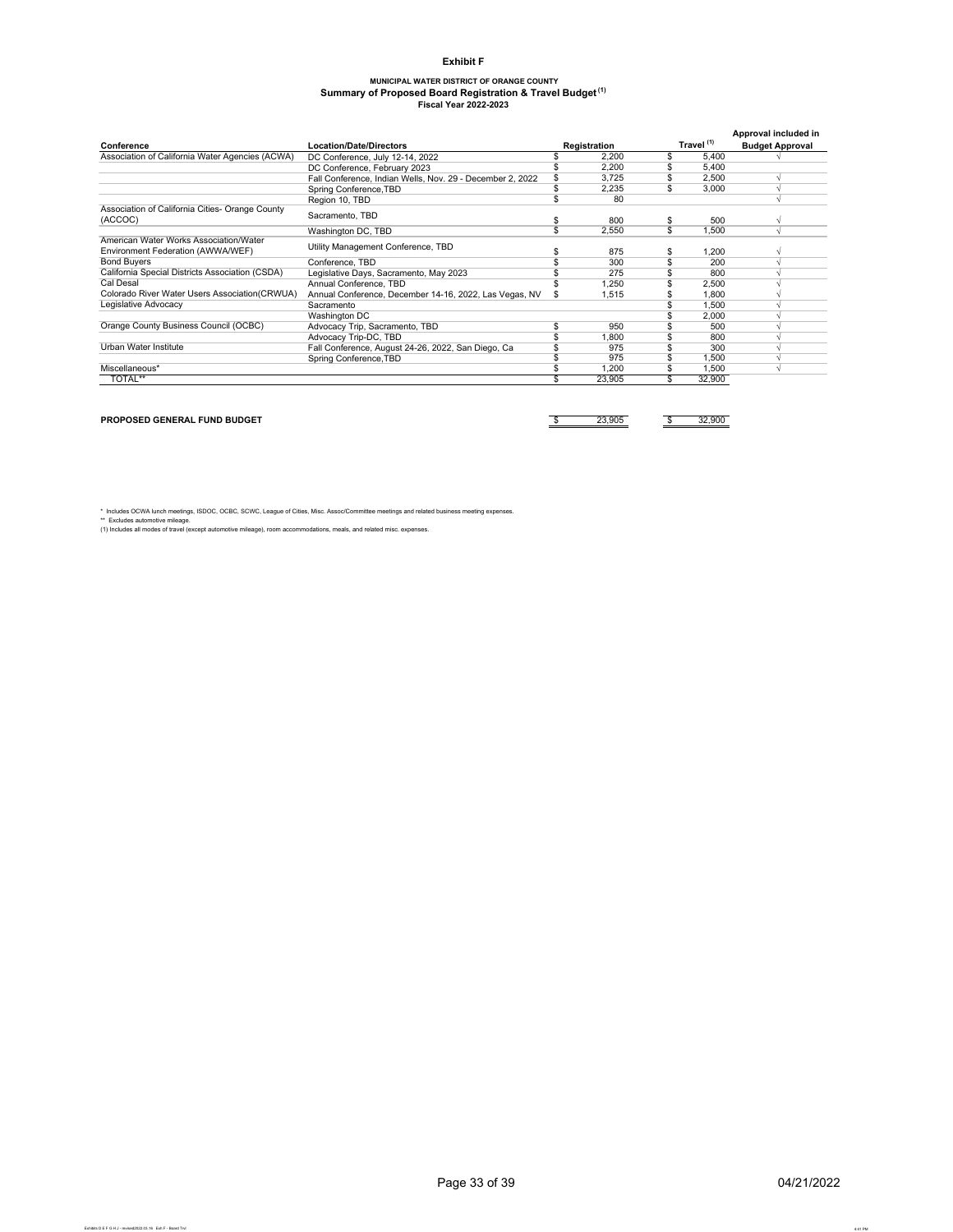#### **Exhibit F**

# **MUNICIPAL WATER DISTRICT OF ORANGE COUNTY Summary of Proposed Board Registration & Travel Budget (1) Fiscal Year 2022-2023**

|                                                                             |                                                           |  |        |                       | Approval included in   |
|-----------------------------------------------------------------------------|-----------------------------------------------------------|--|--------|-----------------------|------------------------|
| Conference                                                                  | <b>Location/Date/Directors</b>                            |  |        | Travel <sup>(1)</sup> | <b>Budget Approval</b> |
| Association of California Water Agencies (ACWA)                             | DC Conference, July 12-14, 2022                           |  | 2,200  | \$<br>5,400           |                        |
|                                                                             | DC Conference, February 2023                              |  | 2,200  | 5,400                 |                        |
|                                                                             | Fall Conference, Indian Wells, Nov. 29 - December 2, 2022 |  | 3.725  | 2.500                 |                        |
|                                                                             | Spring Conference, TBD                                    |  | 2,235  | \$<br>3.000           |                        |
|                                                                             | Region 10, TBD                                            |  | 80     |                       |                        |
| Association of California Cities- Orange County<br>(ACCOC)                  | Sacramento, TBD                                           |  | 800    | \$<br>500             |                        |
|                                                                             | Washington DC, TBD                                        |  | 2,550  | \$<br>1.500           |                        |
| American Water Works Association/Water<br>Environment Federation (AWWA/WEF) | Utility Management Conference, TBD                        |  | 875    | 1,200                 |                        |
| <b>Bond Buyers</b>                                                          | Conference, TBD                                           |  | 300    | 200                   |                        |
| California Special Districts Association (CSDA)                             | Legislative Days, Sacramento, May 2023                    |  | 275    | 800                   |                        |
| Cal Desal                                                                   | Annual Conference, TBD                                    |  | 1.250  | \$<br>2,500           |                        |
| Colorado River Water Users Association(CRWUA)                               | Annual Conference, December 14-16, 2022, Las Vegas, NV    |  | 1,515  | 1.800                 |                        |
| Legislative Advocacy                                                        | Sacramento                                                |  |        | 1,500                 |                        |
|                                                                             | Washington DC                                             |  |        | 2.000                 |                        |
| Orange County Business Council (OCBC)                                       | Advocacy Trip, Sacramento, TBD                            |  | 950    | 500                   |                        |
|                                                                             | Advocacy Trip-DC, TBD                                     |  | 1.800  | 800                   |                        |
| Urban Water Institute                                                       | Fall Conference, August 24-26, 2022, San Diego, Ca        |  | 975    | 300                   |                        |
|                                                                             | Spring Conference, TBD                                    |  | 975    | 1.500                 |                        |
| Miscellaneous*                                                              |                                                           |  | 1,200  | 1,500                 |                        |
| TOTAL**                                                                     |                                                           |  | 23,905 | 32,900                |                        |

**PROPOSED GENERAL FUND BUDGET because the contract of the contract of the contract of the contract of the contract of the contract of the contract of the contract of the contract of the contract of the contract of the co** 

\* Includes OCWA lunch meetings, ISDOC, OCBC, SCWC, League of Cities, Misc. Assoc/Committee meetings and related business meeting expenses.<br>\*\* Excludes automotive mileage.<br>(1) Includes all modes of travel (except automotive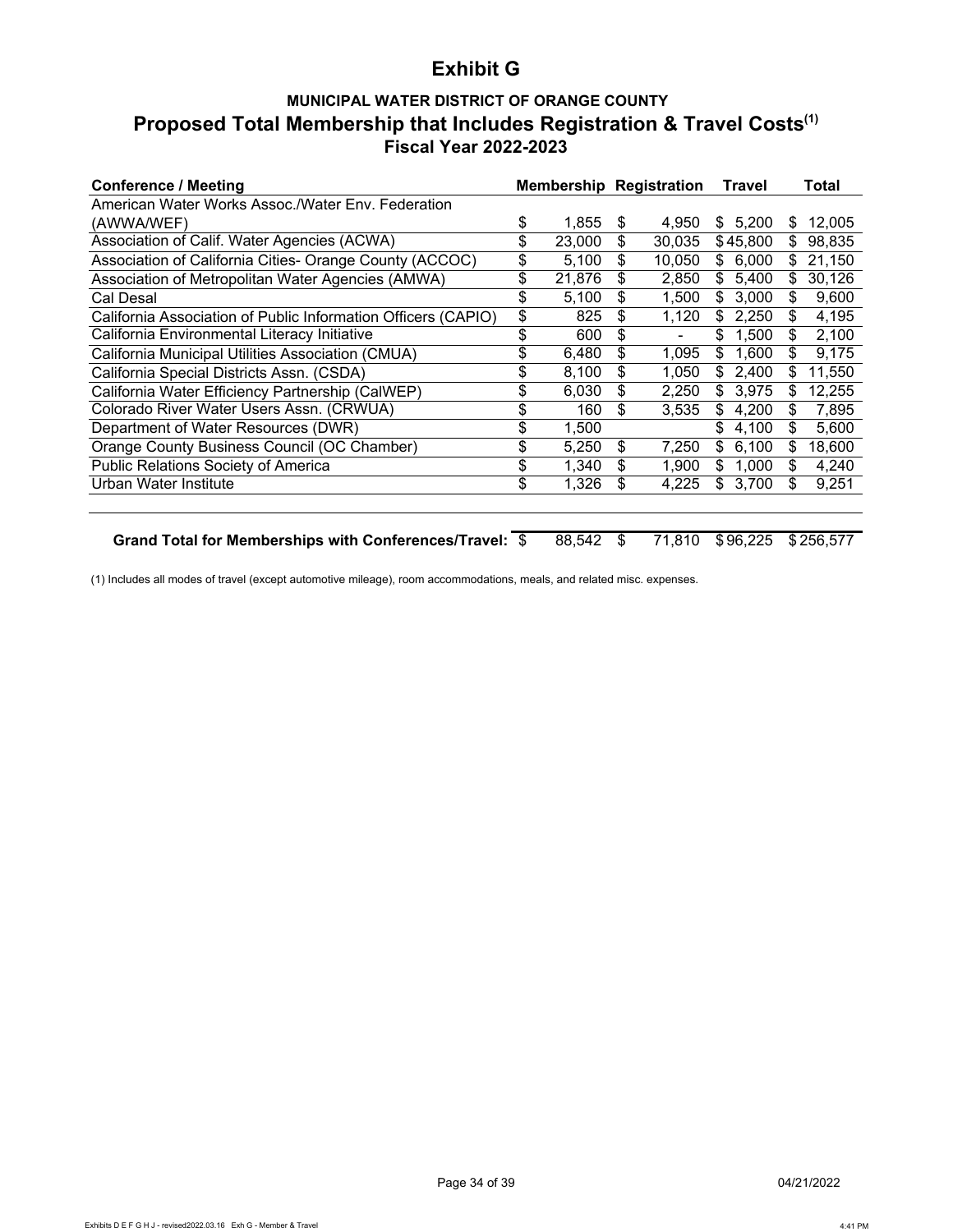# **Exhibit G**

# **MUNICIPAL WATER DISTRICT OF ORANGE COUNTY Proposed Total Membership that Includes Registration & Travel Costs(1) Fiscal Year 2022-2023**

| Conference / Meeting                                          |              |    | <b>Membership Registration</b> |     | Travel   |    | Total  |
|---------------------------------------------------------------|--------------|----|--------------------------------|-----|----------|----|--------|
| American Water Works Assoc./Water Env. Federation             |              |    |                                |     |          |    |        |
| (AWWA/WEF)                                                    | \$<br>1,855  | S  | 4,950                          | \$  | 5.200    | S  | 12,005 |
| Association of Calif. Water Agencies (ACWA)                   | 23,000       | \$ | 30,035                         |     | \$45,800 | \$ | 98,835 |
| Association of California Cities- Orange County (ACCOC)       | 5,100        | \$ | 10.050                         |     | \$6,000  | S  | 21,150 |
| Association of Metropolitan Water Agencies (AMWA)             | \$<br>21,876 | \$ | 2,850                          |     | \$5,400  | S  | 30,126 |
| Cal Desal                                                     | \$<br>5,100  | \$ | 1,500                          | \$. | 3,000    | \$ | 9,600  |
| California Association of Public Information Officers (CAPIO) | \$<br>825    | \$ | 1,120                          | \$  | 2,250    | \$ | 4,195  |
| California Environmental Literacy Initiative                  | \$<br>600    | \$ |                                | \$  | 1,500    | \$ | 2,100  |
| California Municipal Utilities Association (CMUA)             | \$<br>6,480  | \$ | 1,095                          | \$  | 1,600    | \$ | 9,175  |
| California Special Districts Assn. (CSDA)                     | \$<br>8.100  | \$ | 1.050                          | \$  | 2.400    | \$ | 11.550 |
| California Water Efficiency Partnership (CalWEP)              | \$<br>6.030  | \$ | 2.250                          | \$. | 3.975    | S  | 12.255 |
| Colorado River Water Users Assn. (CRWUA)                      | \$<br>160    | \$ | 3.535                          | \$. | 4.200    | \$ | 7.895  |
| Department of Water Resources (DWR)                           | \$<br>1.500  |    |                                | \$  | 4,100    | \$ | 5,600  |
| Orange County Business Council (OC Chamber)                   | \$<br>5,250  | \$ | 7,250                          | \$  | 6,100    | \$ | 18,600 |
| Public Relations Society of America                           | 1.340        | \$ | 1,900                          | \$  | 1.000    | \$ | 4,240  |
| Urban Water Institute                                         | \$<br>1,326  | \$ | 4,225                          | \$  | 3,700    | \$ | 9,251  |
|                                                               |              |    |                                |     |          |    |        |

Grand Total for Memberships with Conferences/Travel:  $\frac{2}{3}$  88,542 \$ 71,810 \$96,225 \$256,577

(1) Includes all modes of travel (except automotive mileage), room accommodations, meals, and related misc. expenses.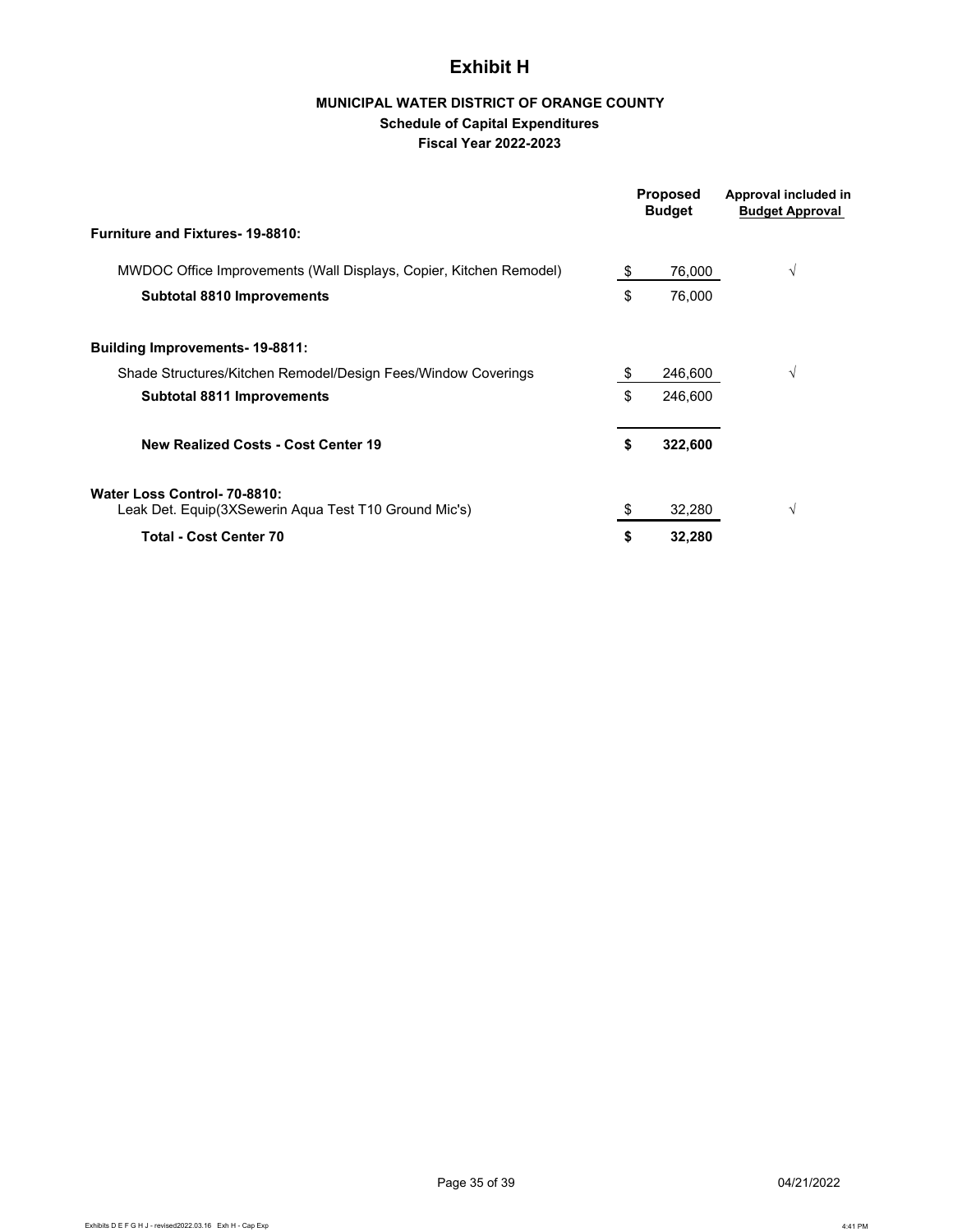# **Exhibit H**

# **MUNICIPAL WATER DISTRICT OF ORANGE COUNTY Schedule of Capital Expenditures Fiscal Year 2022-2023**

|                                                                                       | <b>Proposed</b><br><b>Budget</b> | Approval included in<br><b>Budget Approval</b> |
|---------------------------------------------------------------------------------------|----------------------------------|------------------------------------------------|
| <b>Furniture and Fixtures-19-8810:</b>                                                |                                  |                                                |
| MWDOC Office Improvements (Wall Displays, Copier, Kitchen Remodel)                    | \$<br>76,000                     | $\sqrt{}$                                      |
| <b>Subtotal 8810 Improvements</b>                                                     | \$<br>76,000                     |                                                |
| <b>Building Improvements-19-8811:</b>                                                 |                                  |                                                |
| Shade Structures/Kitchen Remodel/Design Fees/Window Coverings                         | \$<br>246,600                    | V                                              |
| <b>Subtotal 8811 Improvements</b>                                                     | \$<br>246,600                    |                                                |
| <b>New Realized Costs - Cost Center 19</b>                                            | \$<br>322,600                    |                                                |
| Water Loss Control- 70-8810:<br>Leak Det. Equip(3XSewerin Aqua Test T10 Ground Mic's) | 32,280                           | V                                              |
| <b>Total - Cost Center 70</b>                                                         | \$<br>32,280                     |                                                |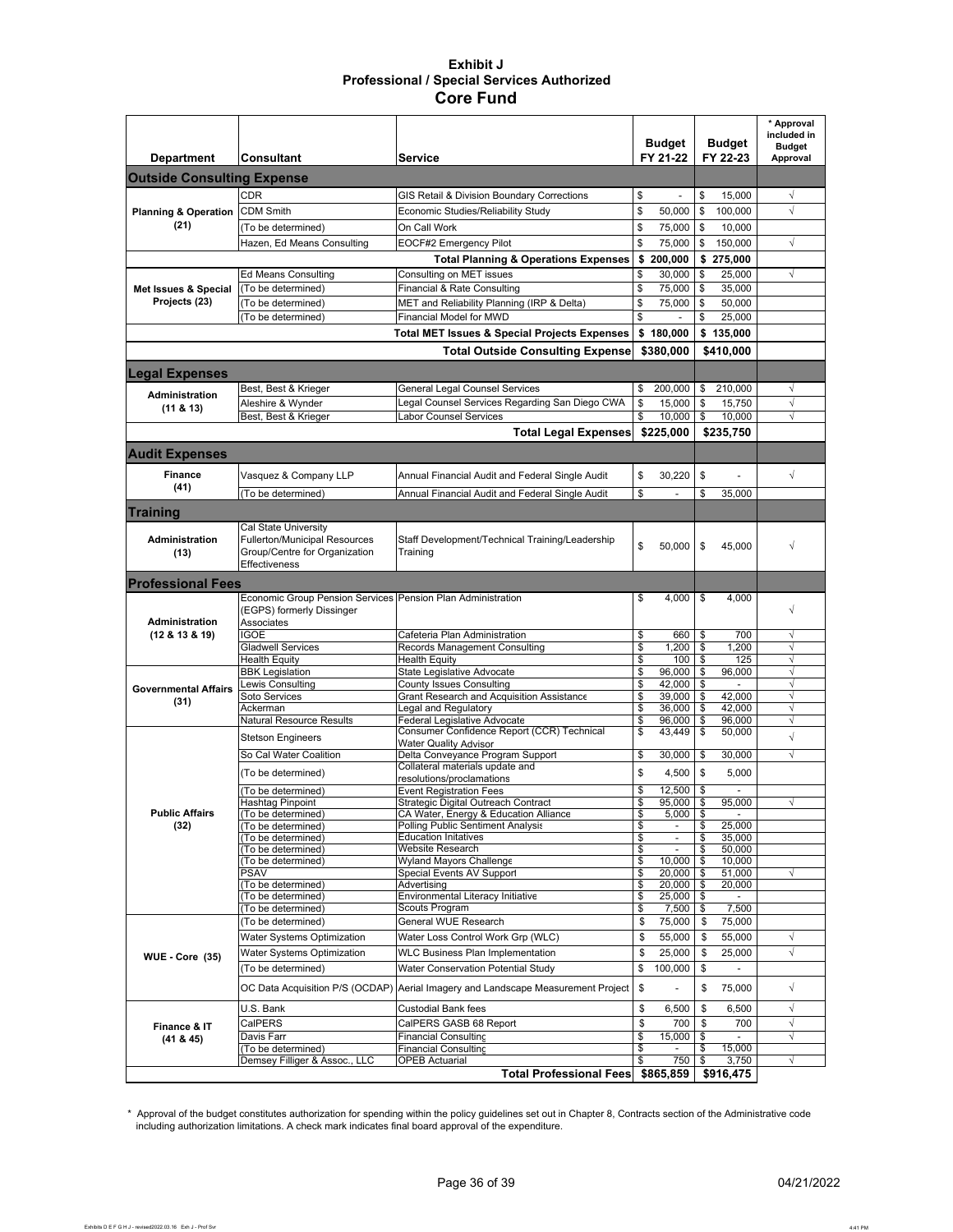#### **Exhibit J Professional / Special Services Authorized Core Fund**

|                                   |                                                                                          | <b>Service</b>                                                                   | <b>Budget</b><br>FY 21-22 |                                            | <b>Budget</b><br>FY 22-23 |                  | * Approval<br>included in<br><b>Budget</b> |
|-----------------------------------|------------------------------------------------------------------------------------------|----------------------------------------------------------------------------------|---------------------------|--------------------------------------------|---------------------------|------------------|--------------------------------------------|
| <b>Department</b>                 | Consultant                                                                               |                                                                                  |                           |                                            |                           |                  | Approval                                   |
| <b>Outside Consulting Expense</b> |                                                                                          |                                                                                  |                           |                                            |                           |                  |                                            |
|                                   | <b>CDR</b>                                                                               | GIS Retail & Division Boundary Corrections                                       | \$                        |                                            | \$                        | 15,000           | $\sqrt{}$                                  |
| <b>Planning &amp; Operation</b>   | <b>CDM Smith</b>                                                                         | Economic Studies/Reliability Study                                               | \$                        | 50,000                                     | \$                        | 100.000          | $\sqrt{ }$                                 |
| (21)                              | (To be determined)                                                                       | On Call Work                                                                     | \$                        | 75,000                                     | \$                        | 10,000           |                                            |
|                                   | Hazen, Ed Means Consulting                                                               | EOCF#2 Emergency Pilot                                                           | \$                        | 75,000                                     | \$                        | 150,000          | $\sqrt{}$                                  |
|                                   |                                                                                          | <b>Total Planning &amp; Operations Expenses</b>                                  |                           | \$200,000                                  |                           | \$ 275,000       |                                            |
|                                   | <b>Ed Means Consulting</b>                                                               | Consulting on MET issues                                                         | \$                        | 30.000                                     | \$                        | 25,000           | $\sqrt{}$                                  |
| Met Issues & Special              | (To be determined)                                                                       | Financial & Rate Consulting                                                      | \$                        | 75,000                                     | $\boldsymbol{\mathsf{s}}$ | 35,000           |                                            |
| Projects (23)                     | (To be determined)                                                                       | MET and Reliability Planning (IRP & Delta)                                       | \$                        | 75.000                                     | \$                        | 50,000           |                                            |
|                                   | To be determined)                                                                        | <b>Financial Model for MWD</b>                                                   | \$                        |                                            | \$                        | 25,000           |                                            |
|                                   |                                                                                          | <b>Total MET Issues &amp; Special Projects Expenses</b>                          |                           | \$180,000                                  |                           | \$135,000        |                                            |
|                                   |                                                                                          | <b>Total Outside Consulting Expense</b>                                          |                           | \$380,000                                  |                           | \$410,000        |                                            |
| <b>Legal Expenses</b>             |                                                                                          |                                                                                  |                           |                                            |                           |                  |                                            |
|                                   | Best, Best & Krieger                                                                     | <b>General Legal Counsel Services</b>                                            | \$                        | 200,000                                    | \$                        | 210,000          | $\sqrt{}$                                  |
| <b>Administration</b>             | Aleshire & Wynder                                                                        | Legal Counsel Services Regarding San Diego CWA                                   | \$                        | 15,000                                     | \$                        | 15,750           | $\sqrt{}$                                  |
| (11 & 8 & 13)                     | Best, Best & Krieger                                                                     | Labor Counsel Services                                                           | \$                        | 10,000                                     | \$                        | 10.000           | $\sqrt{}$                                  |
|                                   |                                                                                          | <b>Total Legal Expenses</b>                                                      |                           | \$225,000                                  |                           | \$235,750        |                                            |
| <b>Audit Expenses</b>             |                                                                                          |                                                                                  |                           |                                            |                           |                  |                                            |
|                                   |                                                                                          |                                                                                  |                           |                                            |                           |                  |                                            |
| Finance                           | Vasquez & Company LLP                                                                    | Annual Financial Audit and Federal Single Audit                                  | \$                        | 30,220                                     | \$                        | ÷,               | $\sqrt{ }$                                 |
| (41)                              | (To be determined)                                                                       | Annual Financial Audit and Federal Single Audit                                  | \$                        |                                            | \$                        | 35,000           |                                            |
| <b>Training</b>                   |                                                                                          |                                                                                  |                           |                                            |                           |                  |                                            |
|                                   | Cal State University                                                                     |                                                                                  |                           |                                            |                           |                  |                                            |
| Administration                    | <b>Fullerton/Municipal Resources</b>                                                     | Staff Development/Technical Training/Leadership                                  | \$                        | 50,000                                     | \$                        | 45,000           | √                                          |
| (13)                              | Group/Centre for Organization<br>Effectiveness                                           | Training                                                                         |                           |                                            |                           |                  |                                            |
|                                   |                                                                                          |                                                                                  |                           |                                            |                           |                  |                                            |
| <b>Professional Fees</b>          |                                                                                          |                                                                                  |                           |                                            |                           |                  |                                            |
|                                   | Economic Group Pension Services Pension Plan Administration<br>(EGPS) formerly Dissinger |                                                                                  | \$                        | 4,000                                      | \$                        | 4,000            | $\sqrt{}$                                  |
| Administration                    | Associates                                                                               |                                                                                  |                           |                                            |                           |                  |                                            |
| (12 & 8 & 13 & 8 & 19)            | <b>GOE</b>                                                                               | Cafeteria Plan Administration                                                    | \$                        | 660                                        | \$                        | 700              | $\sqrt{ }$                                 |
|                                   | <b>Gladwell Services</b>                                                                 | Records Management Consulting                                                    | \$                        | 1,200                                      | \$                        | 1,200            | $\sqrt{}$                                  |
|                                   | <b>Health Equity</b><br><b>BBK Legislation</b>                                           | <b>Health Equity</b><br>State Legislative Advocate                               | \$<br>\$                  | 100<br>96,000                              | $\mathsf{\$}$<br>\$       | 125<br>96,000    | $\sqrt{}$<br>$\sqrt{}$                     |
|                                   | Lewis Consulting                                                                         | County Issues Consulting                                                         | \$                        | 42,000                                     | \$                        | $\overline{a}$   | √                                          |
| <b>Governmental Affairs</b>       | Soto Services                                                                            | Grant Research and Acquisition Assistance                                        | \$                        | 39,000                                     | \$                        | 42,000           | $\sqrt{}$                                  |
| (31)                              | Ackerman                                                                                 | Legal and Regulatory                                                             | \$                        | 36,000                                     | \$                        | 42,000           | $\sqrt{}$                                  |
|                                   | Natural Resource Results                                                                 | Federal Legislative Advocate<br>Consumer Confidence Report (CCR) Technical       | \$<br>\$                  | 96.000<br>43.449                           | \$<br>\$                  | 96,000<br>50,000 | $\sqrt{}$                                  |
|                                   | <b>Stetson Engineers</b>                                                                 | Water Quality Advisor                                                            |                           |                                            |                           |                  | $\sqrt{ }$                                 |
|                                   | So Cal Water Coalition                                                                   | Delta Conveyance Program Supporl                                                 | \$                        | 30,000                                     | \$                        | 30,000           | $\sqrt{}$                                  |
|                                   | (To be determined)                                                                       | Collateral materials update and                                                  | \$                        | 4,500                                      | \$                        | 5,000            |                                            |
|                                   | To be determined)                                                                        | resolutions/proclamations<br><b>Event Registration Fees</b>                      | \$                        | 12,500                                     | \$                        | ÷.               |                                            |
|                                   | Hashtag Pinpoint                                                                         | Strategic Digital Outreach Contract                                              | \$                        | 95,000                                     | \$                        | 95,000           | $\sqrt{}$                                  |
| <b>Public Affairs</b>             | To be determined)                                                                        | CA Water, Energy & Education Alliance                                            | \$                        | $5,000$   \$                               |                           | $\sim$           |                                            |
| (32)                              | To be determined)<br>(To be determined)                                                  | Polling Public Sentiment Analysis<br><b>Education Initatives</b>                 | \$<br>\$                  | $\overline{\phantom{a}}$<br>$\blacksquare$ | \$<br>\$                  | 25,000<br>35,000 |                                            |
|                                   | To be determined)                                                                        | Website Research                                                                 | \$                        |                                            | \$                        | 50,000           |                                            |
|                                   | To be determined)                                                                        | Wyland Mayors Challenge                                                          | \$                        | 10,000                                     | \$                        | 10,000           |                                            |
|                                   | PSAV                                                                                     | Special Events AV Support                                                        | \$                        | 20,000                                     | \$                        | 51.000           | $\sqrt{ }$                                 |
|                                   | (To be determined)<br>(To be determined)                                                 | Advertising<br>Environmental Literacy Initiative                                 | \$<br>\$                  | 20,000<br>25,000                           | \$<br>\$                  | 20,000           |                                            |
|                                   | To be determined)                                                                        | <b>Scouts Program</b>                                                            | \$                        | 7,500                                      | \$                        | 7,500            |                                            |
|                                   | (To be determined)                                                                       | General WUE Research                                                             | \$                        | 75,000                                     | \$                        | 75,000           |                                            |
|                                   | Water Systems Optimization                                                               | Water Loss Control Work Grp (WLC)                                                |                           | 55,000                                     | \$                        | 55,000           | $\sqrt{}$                                  |
| <b>WUE - Core (35)</b>            | Water Systems Optimization                                                               | WLC Business Plan Implementation                                                 | \$                        | 25,000                                     | \$                        | 25,000           | $\sqrt{}$                                  |
|                                   | (To be determined)                                                                       | <b>Water Conservation Potential Study</b>                                        | \$                        | 100,000                                    | \$                        | ÷.               |                                            |
|                                   |                                                                                          | OC Data Acquisition P/S (OCDAP) Aerial Imagery and Landscape Measurement Project | \$                        |                                            | \$                        | 75,000           | $\sqrt{}$                                  |
|                                   |                                                                                          |                                                                                  |                           |                                            |                           |                  |                                            |
|                                   | U.S. Bank                                                                                | <b>Custodial Bank fees</b>                                                       | \$                        | 6,500                                      | \$                        | 6,500            | $\sqrt{}$                                  |
| Finance & IT                      | CalPERS                                                                                  | CalPERS GASB 68 Report                                                           | \$<br>\$                  | 700<br>15,000                              | \$<br>\$                  | 700              | $\sqrt{ }$<br>$\sqrt{ }$                   |
| (41 & 45)                         | Davis Farr<br>(To be determined)                                                         | <b>Financial Consulting</b><br><b>Financial Consulting</b>                       | \$                        |                                            | \$                        | 15,000           |                                            |
|                                   | Demsey Filliger & Assoc., LLC                                                            | <b>OPEB Actuarial</b>                                                            | \$                        | 750                                        | \$                        | 3,750            | √                                          |
|                                   |                                                                                          | <b>Total Professional Fees</b>                                                   |                           | \$865,859                                  |                           | \$916,475        |                                            |

\* Approval of the budget constitutes authorization for spending within the policy guidelines set out in Chapter 8, Contracts section of the Administrative code<br>including authorization limitations. A check mark indicates f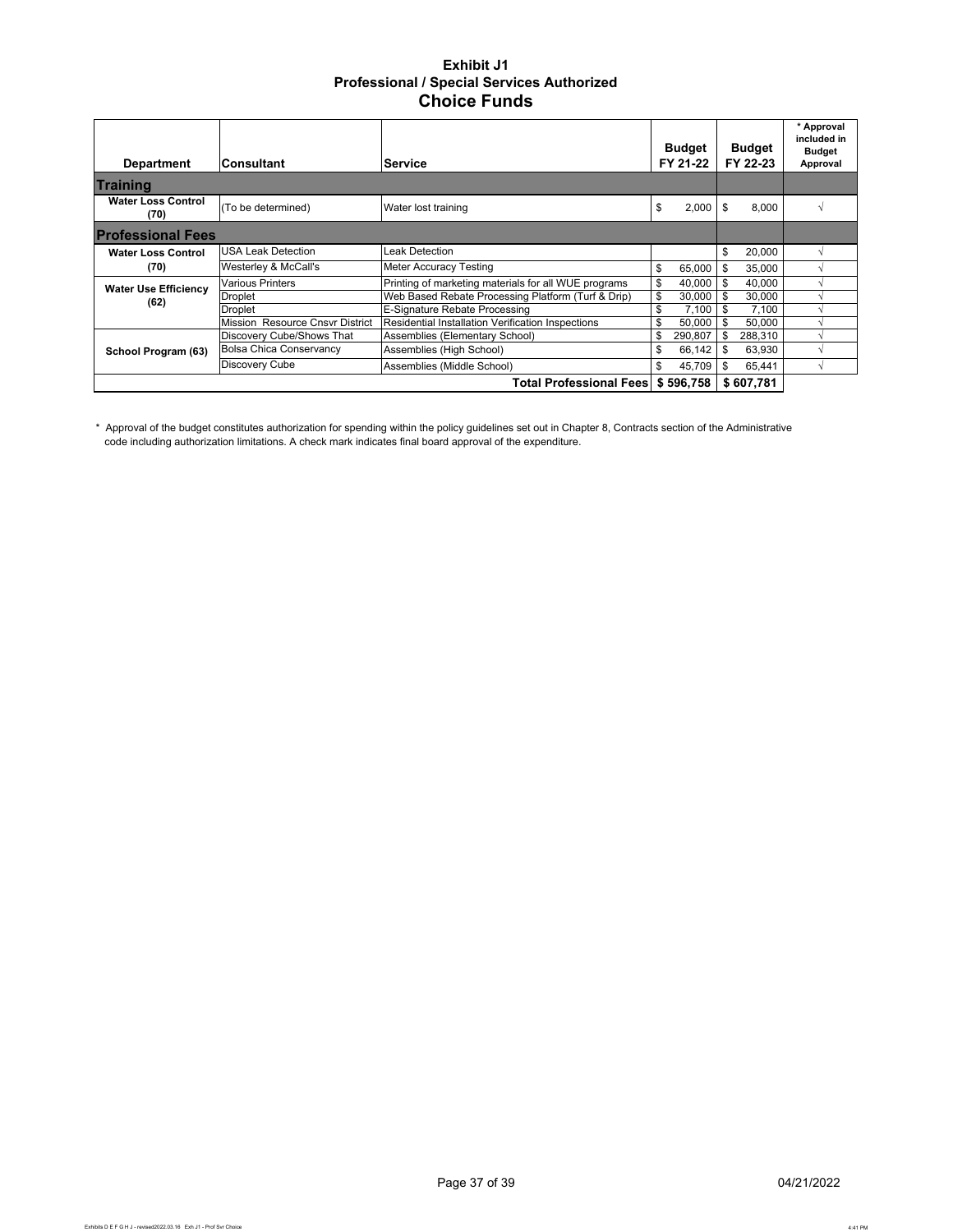#### **Exhibit J1 Professional / Special Services Authorized Choice Funds**

| <b>Department</b>                 | lConsultant                     | <b>Budget</b><br>FY 22-23<br>FY 21-22<br><b>Service</b> |    |               |      |           | * Approval<br>included in<br>Budget<br>Approval |
|-----------------------------------|---------------------------------|---------------------------------------------------------|----|---------------|------|-----------|-------------------------------------------------|
| <b>Training</b>                   |                                 |                                                         |    |               |      |           |                                                 |
| <b>Water Loss Control</b><br>(70) | (To be determined)              | Water lost training                                     | S  | 2,000         | Ŝ.   | 8.000     |                                                 |
| <b>Professional Fees</b>          |                                 |                                                         |    |               |      |           |                                                 |
| <b>Water Loss Control</b>         | <b>USA Leak Detection</b>       | Leak Detection                                          |    |               | \$   | 20,000    |                                                 |
| (70)                              | Westerley & McCall's            | <b>Meter Accuracy Testing</b>                           | \$ | 65,000        | \$   | 35,000    |                                                 |
| <b>Water Use Efficiency</b>       | <b>Various Printers</b>         | Printing of marketing materials for all WUE programs    | \$ | 40.000        | -\$  | 40.000    |                                                 |
|                                   | Droplet                         | Web Based Rebate Processing Platform (Turf & Drip)      | \$ | 30,000        | -S   | 30,000    |                                                 |
| (62)                              | Droplet                         | E-Signature Rebate Processing                           | \$ | 7.100         |      | 7.100     |                                                 |
|                                   | Mission Resource Cnsyr District | Residential Installation Verification Inspections       | \$ | $50,000$ \ \$ |      | 50.000    |                                                 |
|                                   | Discovery Cube/Shows That       | Assemblies (Elementary School)                          | \$ | 290,807       | \$   | 288,310   |                                                 |
| School Program (63)               | <b>Bolsa Chica Conservancy</b>  | Assemblies (High School)                                | \$ | 66,142        | - \$ | 63,930    |                                                 |
|                                   | Discovery Cube                  | Assemblies (Middle School)                              | \$ | 45.709        | \$   | 65.441    |                                                 |
|                                   |                                 | Total Professional Fees \$596.758                       |    |               |      | \$607,781 |                                                 |

\* Approval of the budget constitutes authorization for spending within the policy guidelines set out in Chapter 8, Contracts section of the Administrative code including authorization limitations. A check mark indicates final board approval of the expenditure.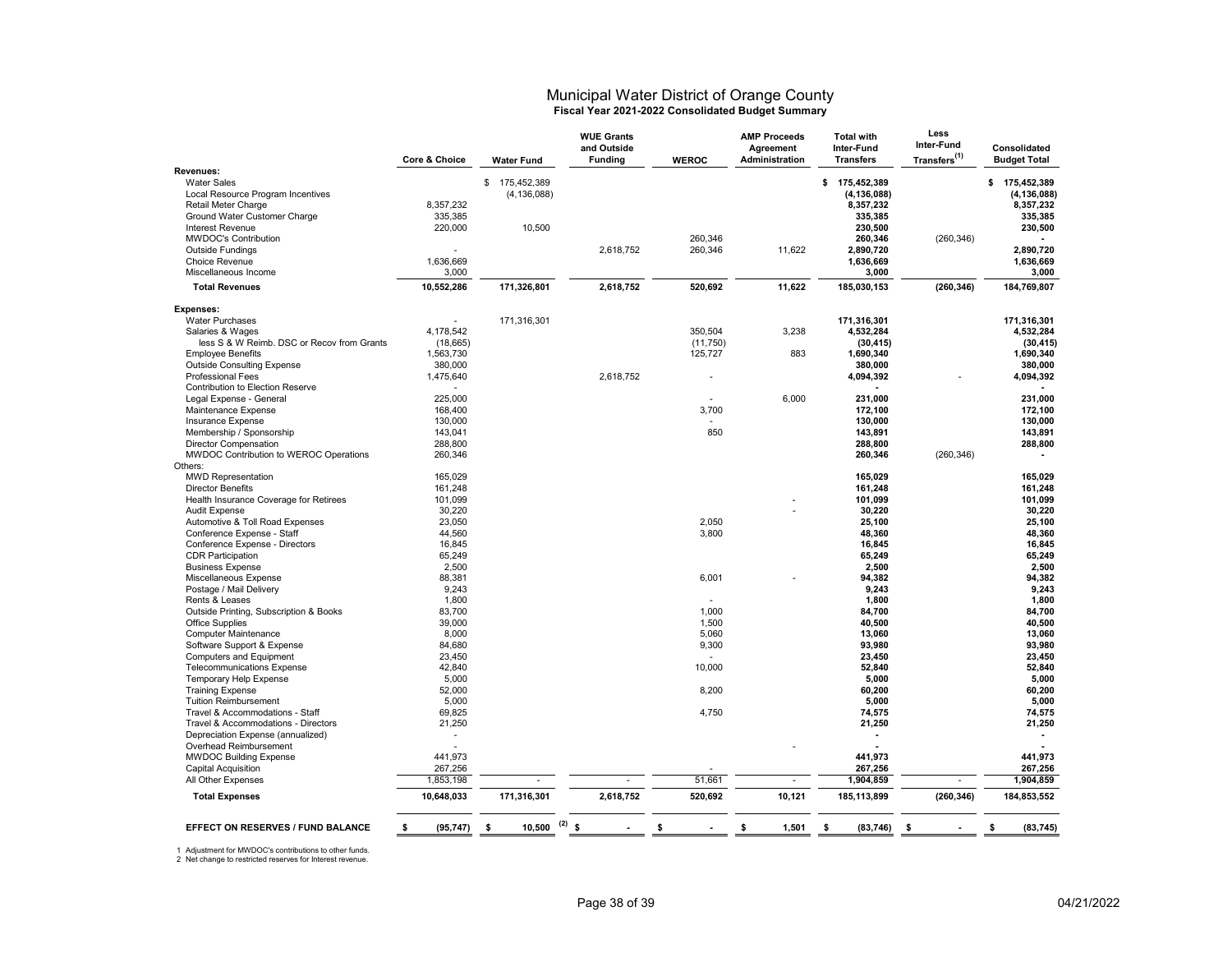#### Municipal Water District of Orange County **Fiscal Year 2021-2022 Consolidated Budget Summary**

|                                            | Core & Choice   | <b>Water Fund</b>     | <b>WUE Grants</b><br>and Outside<br><b>Funding</b> | <b>WEROC</b> | <b>AMP Proceeds</b><br>Agreement<br>Administration | <b>Total with</b><br>Inter-Fund<br><b>Transfers</b> | Less<br>Inter-Fund<br>Transfers <sup>(1)</sup> | Consolidated<br><b>Budget Total</b> |
|--------------------------------------------|-----------------|-----------------------|----------------------------------------------------|--------------|----------------------------------------------------|-----------------------------------------------------|------------------------------------------------|-------------------------------------|
| Revenues:                                  |                 |                       |                                                    |              |                                                    |                                                     |                                                |                                     |
| <b>Water Sales</b>                         |                 | \$175,452,389         |                                                    |              |                                                    | \$175,452,389                                       |                                                | \$175,452,389                       |
| Local Resource Program Incentives          |                 | (4, 136, 088)         |                                                    |              |                                                    | (4, 136, 088)                                       |                                                | (4, 136, 088)                       |
| Retail Meter Charge                        | 8,357,232       |                       |                                                    |              |                                                    | 8,357,232                                           |                                                | 8,357,232                           |
| Ground Water Customer Charge               | 335,385         |                       |                                                    |              |                                                    | 335,385                                             |                                                | 335,385                             |
| Interest Revenue                           | 220,000         | 10,500                |                                                    |              |                                                    | 230,500                                             |                                                | 230,500                             |
| <b>MWDOC's Contribution</b>                |                 |                       |                                                    | 260,346      |                                                    | 260,346                                             | (260, 346)                                     |                                     |
| <b>Outside Fundings</b>                    |                 |                       | 2.618.752                                          | 260,346      | 11,622                                             | 2,890,720                                           |                                                | 2.890.720                           |
| Choice Revenue                             | 1,636,669       |                       |                                                    |              |                                                    | 1,636,669                                           |                                                | 1,636,669                           |
| Miscellaneous Income                       | 3,000           |                       |                                                    |              |                                                    | 3,000                                               |                                                | 3,000                               |
| <b>Total Revenues</b>                      | 10,552,286      | 171,326,801           | 2,618,752                                          | 520,692      | 11,622                                             | 185,030,153                                         | (260, 346)                                     | 184,769,807                         |
| <b>Expenses:</b>                           |                 |                       |                                                    |              |                                                    |                                                     |                                                |                                     |
| <b>Water Purchases</b>                     |                 | 171,316,301           |                                                    |              |                                                    | 171,316,301                                         |                                                | 171,316,301                         |
| Salaries & Wages                           | 4,178,542       |                       |                                                    | 350,504      | 3,238                                              | 4,532,284                                           |                                                | 4,532,284                           |
| less S & W Reimb. DSC or Recov from Grants | (18, 665)       |                       |                                                    | (11,750)     |                                                    | (30, 415)                                           |                                                | (30, 415)                           |
| <b>Employee Benefits</b>                   | 1,563,730       |                       |                                                    | 125,727      | 883                                                | 1,690,340                                           |                                                | 1,690,340                           |
| <b>Outside Consulting Expense</b>          | 380,000         |                       |                                                    |              |                                                    | 380.000                                             |                                                | 380.000                             |
| <b>Professional Fees</b>                   | 1,475,640       |                       | 2,618,752                                          |              |                                                    | 4,094,392                                           |                                                | 4,094,392                           |
| Contribution to Election Reserve           |                 |                       |                                                    |              |                                                    |                                                     |                                                |                                     |
| Legal Expense - General                    | 225,000         |                       |                                                    |              | 6,000                                              | 231,000                                             |                                                | 231,000                             |
| Maintenance Expense                        | 168,400         |                       |                                                    | 3,700        |                                                    | 172,100                                             |                                                | 172,100                             |
| Insurance Expense                          | 130,000         |                       |                                                    |              |                                                    | 130,000                                             |                                                | 130,000                             |
| Membership / Sponsorship                   | 143,041         |                       |                                                    | 850          |                                                    | 143,891                                             |                                                | 143,891                             |
| Director Compensation                      | 288.800         |                       |                                                    |              |                                                    | 288,800                                             |                                                | 288,800                             |
| MWDOC Contribution to WEROC Operations     | 260,346         |                       |                                                    |              |                                                    | 260,346                                             | (260, 346)                                     |                                     |
| Others:                                    |                 |                       |                                                    |              |                                                    |                                                     |                                                |                                     |
| <b>MWD Representation</b>                  | 165,029         |                       |                                                    |              |                                                    | 165,029                                             |                                                | 165,029                             |
| <b>Director Benefits</b>                   | 161,248         |                       |                                                    |              |                                                    | 161,248                                             |                                                | 161,248                             |
| Health Insurance Coverage for Retirees     | 101,099         |                       |                                                    |              |                                                    | 101,099                                             |                                                | 101,099                             |
| <b>Audit Expense</b>                       | 30,220          |                       |                                                    |              |                                                    | 30,220                                              |                                                | 30,220                              |
| Automotive & Toll Road Expenses            | 23,050          |                       |                                                    | 2,050        |                                                    | 25,100                                              |                                                | 25,100                              |
| Conference Expense - Staff                 | 44,560          |                       |                                                    | 3,800        |                                                    | 48,360                                              |                                                | 48,360                              |
| Conference Expense - Directors             | 16,845          |                       |                                                    |              |                                                    | 16,845                                              |                                                | 16,845                              |
| <b>CDR Participation</b>                   | 65,249          |                       |                                                    |              |                                                    | 65,249                                              |                                                | 65,249                              |
| <b>Business Expense</b>                    | 2,500           |                       |                                                    |              |                                                    | 2,500                                               |                                                | 2,500                               |
| Miscellaneous Expense                      | 88,381          |                       |                                                    | 6,001        |                                                    | 94,382                                              |                                                | 94,382                              |
| Postage / Mail Delivery                    | 9,243           |                       |                                                    |              |                                                    | 9,243                                               |                                                | 9,243                               |
| Rents & Leases                             | 1,800           |                       |                                                    |              |                                                    | 1,800                                               |                                                | 1,800                               |
| Outside Printing, Subscription & Books     | 83,700          |                       |                                                    | 1,000        |                                                    | 84,700                                              |                                                | 84,700                              |
| <b>Office Supplies</b>                     | 39,000          |                       |                                                    | 1,500        |                                                    | 40,500                                              |                                                | 40,500                              |
| <b>Computer Maintenance</b>                | 8.000           |                       |                                                    | 5,060        |                                                    | 13,060                                              |                                                | 13,060                              |
| Software Support & Expense                 | 84,680          |                       |                                                    | 9,300        |                                                    | 93,980                                              |                                                | 93,980                              |
| Computers and Equipment                    | 23,450          |                       |                                                    |              |                                                    | 23,450                                              |                                                | 23,450                              |
| <b>Telecommunications Expense</b>          | 42,840          |                       |                                                    | 10,000       |                                                    | 52,840                                              |                                                | 52,840                              |
| Temporary Help Expense                     | 5,000           |                       |                                                    |              |                                                    | 5,000                                               |                                                | 5,000                               |
| <b>Training Expense</b>                    | 52,000          |                       |                                                    | 8,200        |                                                    | 60,200                                              |                                                | 60,200                              |
| <b>Tuition Reimbursement</b>               | 5,000           |                       |                                                    |              |                                                    | 5,000                                               |                                                | 5,000                               |
| Travel & Accommodations - Staff            | 69,825          |                       |                                                    | 4,750        |                                                    | 74,575                                              |                                                | 74,575                              |
| Travel & Accommodations - Directors        | 21,250          |                       |                                                    |              |                                                    | 21,250                                              |                                                | 21,250                              |
| Depreciation Expense (annualized)          |                 |                       |                                                    |              |                                                    | ÷,                                                  |                                                | $\blacksquare$                      |
| Overhead Reimbursement                     |                 |                       |                                                    |              |                                                    |                                                     |                                                |                                     |
| <b>MWDOC Building Expense</b>              | 441,973         |                       |                                                    |              |                                                    | 441,973                                             |                                                | 441,973                             |
| Capital Acquisition                        | 267,256         |                       |                                                    |              |                                                    | 267,256                                             |                                                | 267,256                             |
| All Other Expenses                         | 1,853,198       |                       |                                                    | 51,661       |                                                    | 1,904,859                                           | ÷,                                             | 1,904,859                           |
| <b>Total Expenses</b>                      | 10,648,033      | 171,316,301           | 2,618,752                                          | 520,692      | 10,121                                             | 185,113,899                                         | (260, 346)                                     | 184,853,552                         |
|                                            |                 |                       |                                                    |              |                                                    |                                                     |                                                |                                     |
| EFFECT ON RESERVES / FUND BALANCE          | (95, 747)<br>s. | (2)<br>10,500<br>- \$ | \$                                                 | \$           | \$<br>1,501                                        | S.<br>(83, 746)                                     | S.                                             | \$<br>(83, 745)                     |

1 Adjustment for MWDOC's contributions to other funds. 2 Net change to restricted reserves for Interest revenue.